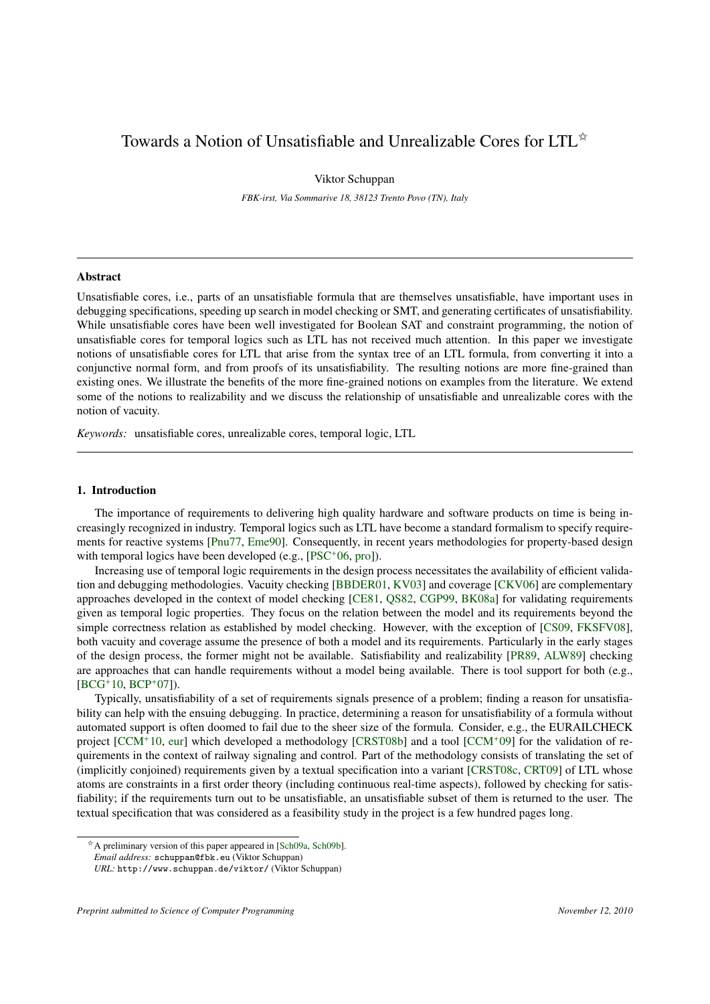# <span id="page-0-1"></span>Towards a Notion of Unsatisfiable and Unrealizable Cores for  $LTL^*$

# Viktor Schuppan

*FBK-irst, Via Sommarive 18, 38123 Trento Povo (TN), Italy*

# Abstract

Unsatisfiable cores, i.e., parts of an unsatisfiable formula that are themselves unsatisfiable, have important uses in debugging specifications, speeding up search in model checking or SMT, and generating certificates of unsatisfiability. While unsatisfiable cores have been well investigated for Boolean SAT and constraint programming, the notion of unsatisfiable cores for temporal logics such as LTL has not received much attention. In this paper we investigate notions of unsatisfiable cores for LTL that arise from the syntax tree of an LTL formula, from converting it into a conjunctive normal form, and from proofs of its unsatisfiability. The resulting notions are more fine-grained than existing ones. We illustrate the benefits of the more fine-grained notions on examples from the literature. We extend some of the notions to realizability and we discuss the relationship of unsatisfiable and unrealizable cores with the notion of vacuity.

*Keywords:* unsatisfiable cores, unrealizable cores, temporal logic, LTL

# <span id="page-0-0"></span>1. Introduction

The importance of requirements to delivering high quality hardware and software products on time is being increasingly recognized in industry. Temporal logics such as LTL have become a standard formalism to specify require-ments for reactive systems [\[Pnu77,](#page-38-0) [Eme90\]](#page-37-0). Consequently, in recent years methodologies for property-based design with temporal logics have been developed (e.g., [\[PSC](#page-38-1)<sup>+</sup>06, [pro\]](#page-38-2)).

Increasing use of temporal logic requirements in the design process necessitates the availability of efficient validation and debugging methodologies. Vacuity checking [\[BBDER01,](#page-35-0) [KV03\]](#page-37-1) and coverage [\[CKV06\]](#page-36-0) are complementary approaches developed in the context of model checking [\[CE81,](#page-36-1) [QS82,](#page-38-3) [CGP99,](#page-36-2) [BK08a\]](#page-36-3) for validating requirements given as temporal logic properties. They focus on the relation between the model and its requirements beyond the simple correctness relation as established by model checking. However, with the exception of [\[CS09,](#page-36-4) [FKSFV08\]](#page-37-2), both vacuity and coverage assume the presence of both a model and its requirements. Particularly in the early stages of the design process, the former might not be available. Satisfiability and realizability [\[PR89,](#page-38-4) [ALW89\]](#page-35-1) checking are approaches that can handle requirements without a model being available. There is tool support for both (e.g.,  $[BCG<sup>+</sup>10, BCP<sup>+</sup>07]$  $[BCG<sup>+</sup>10, BCP<sup>+</sup>07]$  $[BCG<sup>+</sup>10, BCP<sup>+</sup>07]$  $[BCG<sup>+</sup>10, BCP<sup>+</sup>07]$ ).

Typically, unsatisfiability of a set of requirements signals presence of a problem; finding a reason for unsatisfiability can help with the ensuing debugging. In practice, determining a reason for unsatisfiability of a formula without automated support is often doomed to fail due to the sheer size of the formula. Consider, e.g., the EURAILCHECK project [\[CCM](#page-36-7)<sup>+</sup>10, [eur\]](#page-37-3) which developed a methodology [\[CRST08b\]](#page-36-6) and a tool [CCM<sup>+</sup>09] for the validation of requirements in the context of railway signaling and control. Part of the methodology consists of translating the set of (implicitly conjoined) requirements given by a textual specification into a variant [\[CRST08c,](#page-36-8) [CRT09\]](#page-36-9) of LTL whose atoms are constraints in a first order theory (including continuous real-time aspects), followed by checking for satisfiability; if the requirements turn out to be unsatisfiable, an unsatisfiable subset of them is returned to the user. The textual specification that was considered as a feasibility study in the project is a few hundred pages long.

<sup>✩</sup>A preliminary version of this paper appeared in [\[Sch09a,](#page-38-5) [Sch09b\]](#page-38-6).

*Email address:* schuppan@fbk.eu (Viktor Schuppan)

*URL:* http://www.schuppan.de/viktor/ (Viktor Schuppan)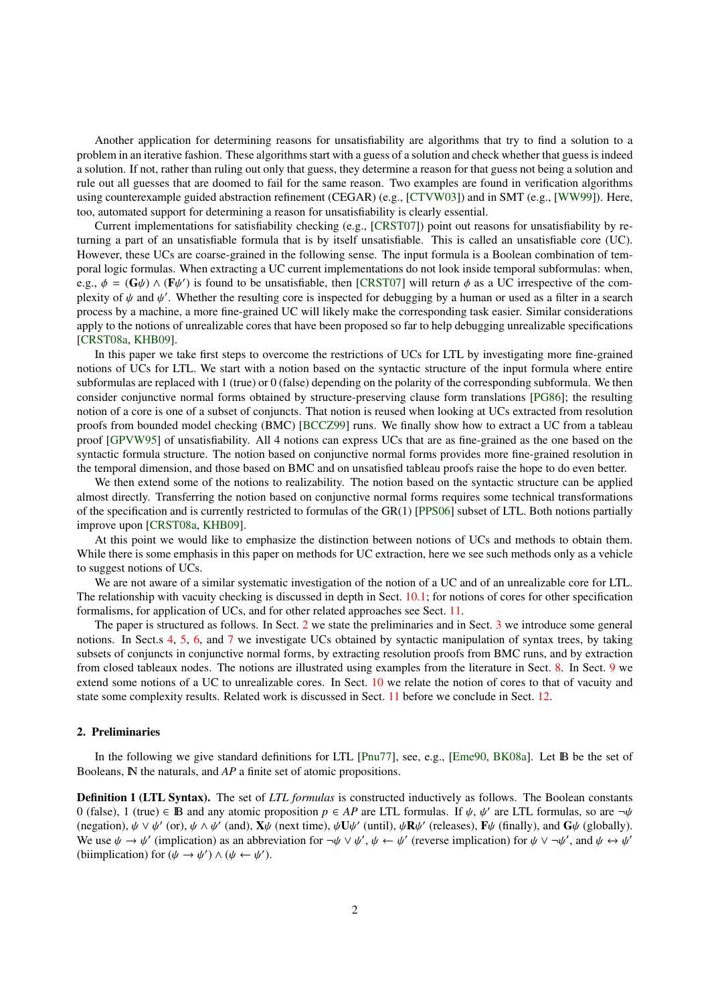<span id="page-1-1"></span>Another application for determining reasons for unsatisfiability are algorithms that try to find a solution to a problem in an iterative fashion. These algorithms start with a guess of a solution and check whether that guess is indeed a solution. If not, rather than ruling out only that guess, they determine a reason for that guess not being a solution and rule out all guesses that are doomed to fail for the same reason. Two examples are found in verification algorithms using counterexample guided abstraction refinement (CEGAR) (e.g., [\[CTVW03\]](#page-36-10)) and in SMT (e.g., [\[WW99\]](#page-38-7)). Here, too, automated support for determining a reason for unsatisfiability is clearly essential.

Current implementations for satisfiability checking (e.g., [\[CRST07\]](#page-36-11)) point out reasons for unsatisfiability by returning a part of an unsatisfiable formula that is by itself unsatisfiable. This is called an unsatisfiable core (UC). However, these UCs are coarse-grained in the following sense. The input formula is a Boolean combination of temporal logic formulas. When extracting a UC current implementations do not look inside temporal subformulas: when, e.g.,  $\phi = (\mathbf{G}\psi) \wedge (\mathbf{F}\psi')$  is found to be unsatisfiable, then [\[CRST07\]](#page-36-11) will return  $\phi$  as a UC irrespective of the com-<br>plexity of the and the Whether the resulting core is inspected for debugging by a human or used plexity of  $\psi$  and  $\psi'$ . Whether the resulting core is inspected for debugging by a human or used as a filter in a search<br>process by a machine, a more fine-grained UC will likely make the corresponding task easier. Simi process by a machine, a more fine-grained UC will likely make the corresponding task easier. Similar considerations apply to the notions of unrealizable cores that have been proposed so far to help debugging unrealizable specifications [\[CRST08a,](#page-36-12) [KHB09\]](#page-37-4).

In this paper we take first steps to overcome the restrictions of UCs for LTL by investigating more fine-grained notions of UCs for LTL. We start with a notion based on the syntactic structure of the input formula where entire subformulas are replaced with 1 (true) or 0 (false) depending on the polarity of the corresponding subformula. We then consider conjunctive normal forms obtained by structure-preserving clause form translations [\[PG86\]](#page-38-8); the resulting notion of a core is one of a subset of conjuncts. That notion is reused when looking at UCs extracted from resolution proofs from bounded model checking (BMC) [\[BCCZ99\]](#page-35-4) runs. We finally show how to extract a UC from a tableau proof [\[GPVW95\]](#page-37-5) of unsatisfiability. All 4 notions can express UCs that are as fine-grained as the one based on the syntactic formula structure. The notion based on conjunctive normal forms provides more fine-grained resolution in the temporal dimension, and those based on BMC and on unsatisfied tableau proofs raise the hope to do even better.

We then extend some of the notions to realizability. The notion based on the syntactic structure can be applied almost directly. Transferring the notion based on conjunctive normal forms requires some technical transformations of the specification and is currently restricted to formulas of the GR(1) [\[PPS06\]](#page-38-9) subset of LTL. Both notions partially improve upon [\[CRST08a,](#page-36-12) [KHB09\]](#page-37-4).

At this point we would like to emphasize the distinction between notions of UCs and methods to obtain them. While there is some emphasis in this paper on methods for UC extraction, here we see such methods only as a vehicle to suggest notions of UCs.

We are not aware of a similar systematic investigation of the notion of a UC and of an unrealizable core for LTL. The relationship with vacuity checking is discussed in depth in Sect. [10.1;](#page-31-0) for notions of cores for other specification formalisms, for application of UCs, and for other related approaches see Sect. [11.](#page-34-0)

The paper is structured as follows. In Sect. [2](#page-1-0) we state the preliminaries and in Sect. [3](#page-2-0) we introduce some general notions. In Sect.s [4,](#page-3-0) [5,](#page-4-0) [6,](#page-13-0) and [7](#page-16-0) we investigate UCs obtained by syntactic manipulation of syntax trees, by taking subsets of conjuncts in conjunctive normal forms, by extracting resolution proofs from BMC runs, and by extraction from closed tableaux nodes. The notions are illustrated using examples from the literature in Sect. [8.](#page-20-0) In Sect. [9](#page-25-0) we extend some notions of a UC to unrealizable cores. In Sect. [10](#page-31-1) we relate the notion of cores to that of vacuity and state some complexity results. Related work is discussed in Sect. [11](#page-34-0) before we conclude in Sect. [12.](#page-35-5)

#### <span id="page-1-0"></span>2. Preliminaries

In the following we give standard definitions for LTL [\[Pnu77\]](#page-38-0), see, e.g., [\[Eme90,](#page-37-0) [BK08a\]](#page-36-3). Let **B** be the set of Booleans, IN the naturals, and *AP* a finite set of atomic propositions.

Definition 1 (LTL Syntax). The set of *LTL formulas* is constructed inductively as follows. The Boolean constants 0 (false), 1 (true) ∈ **IB** and any atomic proposition *p* ∈ *AP* are LTL formulas. If  $\psi$ ,  $\psi'$  are LTL formulas, so are  $\neg \psi$ <br>(persison)  $\psi \vee \psi'$  (or)  $\psi \wedge \psi'$  (and)  $\mathbf{X}\psi$  (pext time)  $\psi$ U $\nu'$  (until)  $\neg \$ (negation),  $\psi \lor \psi'$  (or),  $\psi \land \psi'$  (and),  $\mathbf{X}\psi$  (next time),  $\psi\mathbf{U}\psi'$  (until),  $\psi\mathbf{R}\psi'$  (releases),  $\mathbf{F}\psi$  (finally), and  $\mathbf{G}\psi$  (globally).<br>We use  $\psi \rightarrow \psi'$  (implication) as an abbreviation for  $\neg \psi$ We use  $\psi \to \psi'$  (implication) as an abbreviation for  $\neg \psi \lor \psi', \psi \leftarrow \psi'$  (reverse implication) for  $\psi \lor \neg \psi'$ , and  $\psi \leftrightarrow \psi'$  (bimplication) for  $(\psi \to \psi') \land (\psi \leftarrow \psi')$ (biimplication) for  $(\psi \to \psi') \land (\psi \leftarrow \psi')$ .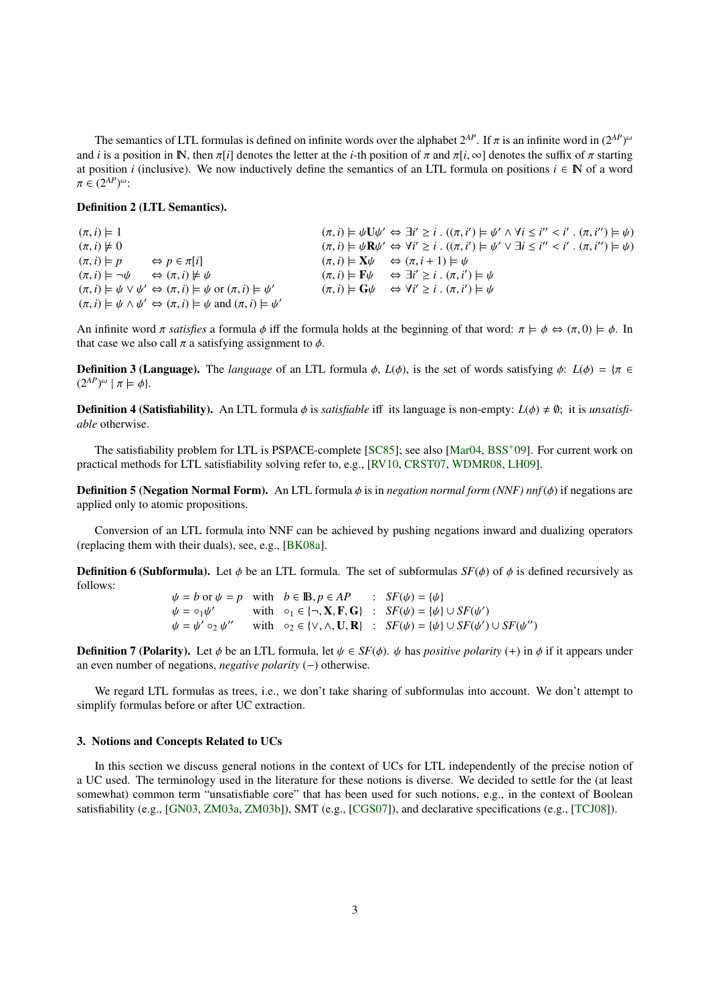<span id="page-2-1"></span>The semantics of LTL formulas is defined on infinite words over the alphabet  $2^{AP}$ . If  $\pi$  is an infinite word in  $(2^{AP})^{\omega}$ <br>*i* is a position in N, then  $\pi[i]$  denotes the letter at the *i*-th position of  $\pi$  and  $\pi$ and *i* is a position in N, then  $\pi[i]$  denotes the letter at the *i*-th position of  $\pi$  and  $\pi[i]$ ,  $\infty$ ] denotes the suffix of  $\pi$  starting at position *i* (inclusive). We now inductively define the semantics of an LTL formula on positions  $i \in \mathbb{N}$  of a word  $\pi \in (2^{AP})^{\omega}$ 

# Definition 2 (LTL Semantics).

 $(\pi, i) \models 1$ <br>  $(\pi, i) \models \psi \mathbf{U} \psi' \Leftrightarrow \exists i' \geq i \cdot ((\pi, i') \models \psi' \wedge \forall i \leq i' \leq i' \cdot (\pi, i') \models \psi)$ <br>  $(\pi, i) \models 0$ <br>  $(\pi, i) \models \psi \mathbf{U} \psi' \Leftrightarrow \exists i' \geq i \cdot ((\pi, i') \models \psi' \wedge \exists i \leq i' \leq i' \cdot (\pi, i'') \models \psi)$  $(\pi, i) \models 0$ <br>  $(\pi, i) \models \psi \mathbb{R} \psi' \Leftrightarrow \forall i' \geq i \cdot ((\pi, i') \models \psi' \vee \exists i \leq i'' < i' \cdot (\pi, i') \models \psi)$ <br>  $(\pi, i) \models \mathbb{R} \psi \Leftrightarrow (\pi, i + 1) \models \psi$  $(\pi, i) \models p \qquad \Leftrightarrow p \in \pi[i]$ <br>  $(\pi, i) \models \neg \psi \qquad \Leftrightarrow (\pi, i) \not\models \psi$ <br>  $(\pi, i) \models \mathbf{F} \psi \qquad \Leftrightarrow \exists i' \geq i \cdot (\pi, i')$  $(\pi, i) \models \neg \psi \iff (\pi, i) \not\models \psi \quad (\pi, i) \models \mathbf{F} \psi \iff \exists i$ <br>  $(\pi, i) \models \psi \lor \psi' \iff (\pi, i) \models \psi \text{ or } (\pi, i) \models \psi' \quad (\pi, i) \models \mathbf{G} \psi \iff \forall i$  $\begin{array}{l} \n\ell' \geq i \cdot (\pi, i') \models \psi \\
\ell' \geq i \quad (\pi, i') \models \psi\n\end{array}$  $(\pi, i) \models \psi \lor \psi' \Leftrightarrow (\pi, i) \models \psi \text{ or } (\pi, i) \models \psi'$ <br> $(\pi, i) \models \psi \land \psi' \Leftrightarrow (\pi, i) \models \psi \text{ and } (\pi, i) \models \psi$  $(\pi, i) \models \mathbf{G}\psi \Leftrightarrow \forall i' \geq i \cdot (\pi, i') \models \psi$  $(\pi, i) \models \psi \land \psi' \Leftrightarrow (\pi, i) \models \psi \text{ and } (\pi, i) \models \psi'$ 

An infinite word  $\pi$  *satisfies* a formula  $\phi$  iff the formula holds at the beginning of that word:  $\pi \models \phi \Leftrightarrow (\pi, 0) \models \phi$ . In that case we also call  $\pi$  a satisfying assignment to  $\phi$ .

**Definition 3 (Language).** The *language* of an LTL formula  $\phi$ ,  $L(\phi)$ , is the set of words satisfying  $\phi$ :  $L(\phi) = {\pi \in \mathbb{R}^n}$  $(2^{AP})^{\omega} | \pi \models \phi$ .

**Definition 4 (Satisfiability).** An LTL formula  $\phi$  is *satisfiable* iff its language is non-empty:  $L(\phi) \neq 0$ ; it is *unsatisfiable* otherwise.

The satisfiability problem for LTL is PSPACE-complete [\[SC85\]](#page-38-10); see also [\[Mar04,](#page-37-6) [BSS](#page-36-13)+09]. For current work on practical methods for LTL satisfiability solving refer to, e.g., [\[RV10,](#page-38-11) [CRST07,](#page-36-11) [WDMR08,](#page-38-12) [LH09\]](#page-37-7).

Definition 5 (Negation Normal Form). An LTL formula φ is in *negation normal form (NNF) nnf*(φ) if negations are applied only to atomic propositions.

Conversion of an LTL formula into NNF can be achieved by pushing negations inward and dualizing operators (replacing them with their duals), see, e.g., [\[BK08a\]](#page-36-3).

**Definition 6 (Subformula).** Let  $\phi$  be an LTL formula. The set of subformulas  $SF(\phi)$  of  $\phi$  is defined recursively as follows:

 $\psi = b$  or  $\psi = p$  with  $b \in \mathbb{B}, p \in AP$  :  $SF(\psi) = {\psi}$  $\psi = \circ_1 \psi'$ with  $\circ_1 \in \{\neg, \mathbf{X}, \mathbf{F}, \mathbf{G}\}$  :  $SF(\psi) = {\psi} \cup SF(\psi')$ <br>
with  $\circ_2 \in {\mathcal{W}} \wedge \mathbf{H}[\mathbf{R}]$   $\cdot$   $SF(\psi) = {\mathcal{W}} \cup \mathbf{F}(\psi')$  $\psi = \psi' \circ_2 \psi$  $0''$  with ∘<sub>2</sub> ∈ {∨, ∧, **U**, **R**} : *SF*( $\psi$ ) = { $\psi$ } ∪ *SF*( $\psi'$ ) ∪ *SF*( $\psi''$ )

**Definition 7 (Polarity).** Let  $\phi$  be an LTL formula, let  $\psi \in SF(\phi)$ .  $\psi$  has *positive polarity* (+) in  $\phi$  if it appears under an even number of negations, *negative polarity* (−) otherwise.

We regard LTL formulas as trees, i.e., we don't take sharing of subformulas into account. We don't attempt to simplify formulas before or after UC extraction.

# <span id="page-2-0"></span>3. Notions and Concepts Related to UCs

In this section we discuss general notions in the context of UCs for LTL independently of the precise notion of a UC used. The terminology used in the literature for these notions is diverse. We decided to settle for the (at least somewhat) common term "unsatisfiable core" that has been used for such notions, e.g., in the context of Boolean satisfiability (e.g., [\[GN03,](#page-37-8) [ZM03a,](#page-38-13) [ZM03b\]](#page-38-14)), SMT (e.g., [\[CGS07\]](#page-36-14)), and declarative specifications (e.g., [\[TCJ08\]](#page-38-15)).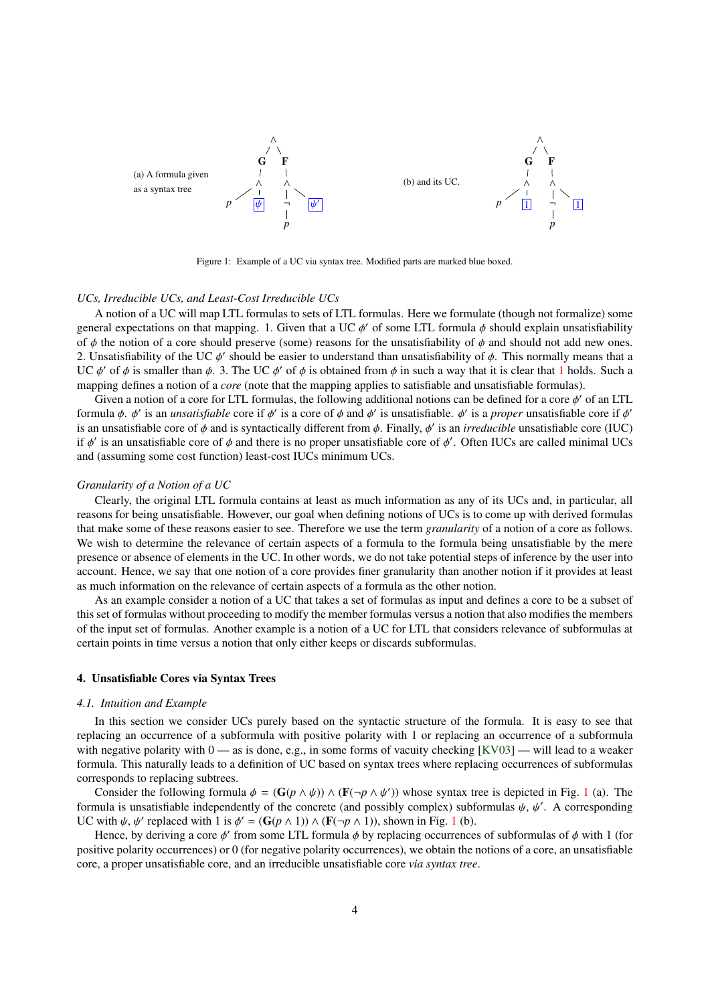<span id="page-3-5"></span>

<span id="page-3-4"></span><span id="page-3-1"></span>Figure 1: Example of a UC via syntax tree. Modified parts are marked blue boxed.

# <span id="page-3-2"></span>*UCs, Irreducible UCs, and Least-Cost Irreducible UCs*

<span id="page-3-3"></span>A notion of a UC will map LTL formulas to sets of LTL formulas. Here we formulate (though not formalize) some general expectations on that mapping. 1. Given that a UC  $\phi'$  of some LTL formula  $\phi$  should explain unsatisfiability of  $\phi$  and should not add new ones of  $\phi$  the notion of a core should preserve (some) reasons for the unsatisfiability of  $\phi$  and should not add new ones. 2. Unsatisfiability of the UC  $\phi'$  should be easier to understand than unsatisfiability of  $\phi$ . This normally means that a  $\text{H}_0$   $\phi'$  of  $\phi$  is smaller than  $\phi$ ,  $\phi$ . The HC  $\phi'$  of  $\phi$  is obtained from  $\phi$  in UC  $\phi'$  of  $\phi$  is smaller than  $\phi$ . 3. The UC  $\phi'$  of  $\phi$  is obtained from  $\phi$  in such a way that it is clear that [1](#page-3-1) holds. Such a manning defines a notion of a *core* (note that the manning applies to satisfiable a mapping defines a notion of a *core* (note that the mapping applies to satisfiable and unsatisfiable formulas).

Given a notion of a core for LTL formulas, the following additional notions can be defined for a core  $\phi'$  of an LTL<br>puls  $\phi$ ,  $\phi'$  is an unsatisfiable core if  $\phi'$  is a core of  $\phi$  and  $\phi'$  is unsatisfiable.  $\phi'$  formula φ. φ' is an *unsatisfiable* core if φ' is a core of φ and φ' is unsatisfiable. φ' is a *proper* unsatisfiable core if φ'<br>is an unsatisfiable core of φ and is syntactically different from φ. Finally, φ' is an *irr* is an unsatisfiable core of  $\phi$  and is syntactically different from  $\phi$ . Finally,  $\phi'$  is an *irreducible* unsatisfiable core (IUC) if  $\phi'$  is an unsatisfiable core of  $\phi$  and there is no proper unsatisfiable core of if  $\phi'$  is an unsatisfiable core of  $\phi$  and there is no proper unsatisfiable core of  $\phi'$ . Often IUCs are called minimal UCs<br>and (assuming some cost function) least-cost IUCs minimum LICs and (assuming some cost function) least-cost IUCs minimum UCs.

#### *Granularity of a Notion of a UC*

Clearly, the original LTL formula contains at least as much information as any of its UCs and, in particular, all reasons for being unsatisfiable. However, our goal when defining notions of UCs is to come up with derived formulas that make some of these reasons easier to see. Therefore we use the term *granularity* of a notion of a core as follows. We wish to determine the relevance of certain aspects of a formula to the formula being unsatisfiable by the mere presence or absence of elements in the UC. In other words, we do not take potential steps of inference by the user into account. Hence, we say that one notion of a core provides finer granularity than another notion if it provides at least as much information on the relevance of certain aspects of a formula as the other notion.

As an example consider a notion of a UC that takes a set of formulas as input and defines a core to be a subset of this set of formulas without proceeding to modify the member formulas versus a notion that also modifies the members of the input set of formulas. Another example is a notion of a UC for LTL that considers relevance of subformulas at certain points in time versus a notion that only either keeps or discards subformulas.

#### <span id="page-3-0"></span>4. Unsatisfiable Cores via Syntax Trees

### *4.1. Intuition and Example*

In this section we consider UCs purely based on the syntactic structure of the formula. It is easy to see that replacing an occurrence of a subformula with positive polarity with 1 or replacing an occurrence of a subformula with negative polarity with  $0 -$  as is done, e.g., in some forms of vacuity checking  $[KV03]$  — will lead to a weaker formula. This naturally leads to a definition of UC based on syntax trees where replacing occurrences of subformulas corresponds to replacing subtrees.

Consider the following formula  $\phi = (\mathbf{G}(p \wedge \psi)) \wedge (\mathbf{F}(\neg p \wedge \psi'))$  whose syntax tree is depicted in Fig. [1](#page-3-2) (a). The pulse is depicted in Fig. 1 (a). formula is unsatisfiable independently of the concrete (and possibly complex) subformulas  $\psi$ ,  $\psi'$ . A corresponding  $\mathbf{H}(\mathbf{C} \le \mathbf{E}(\mathbf{C} \le \mathbf{E}(\mathbf{C} \le \mathbf{C}(\mathbf{C} \le \mathbf{C}(\mathbf{C} \le \mathbf{C}))) \wedge (\mathbf{F}(\mathbf{C} \le \mathbf{C} \$ UC with  $\psi$ ,  $\psi'$  replaced with [1](#page-3-2) is  $\phi' = (\mathbf{G}(p \wedge 1)) \wedge (\mathbf{F}(\neg p \wedge 1))$ , shown in Fig. 1 (b).<br>Hence by deriving a core  $\phi'$  from some LTI formula  $\phi$  by replacing occurrence

Hence, by deriving a core  $\phi'$  from some LTL formula  $\phi$  by replacing occurrences of subformulas of  $\phi$  with 1 (for the positive polarity occurrences) we obtain the notions of a core, an unsatisfiable positive polarity occurrences) or 0 (for negative polarity occurrences), we obtain the notions of a core, an unsatisfiable core, a proper unsatisfiable core, and an irreducible unsatisfiable core *via syntax tree*.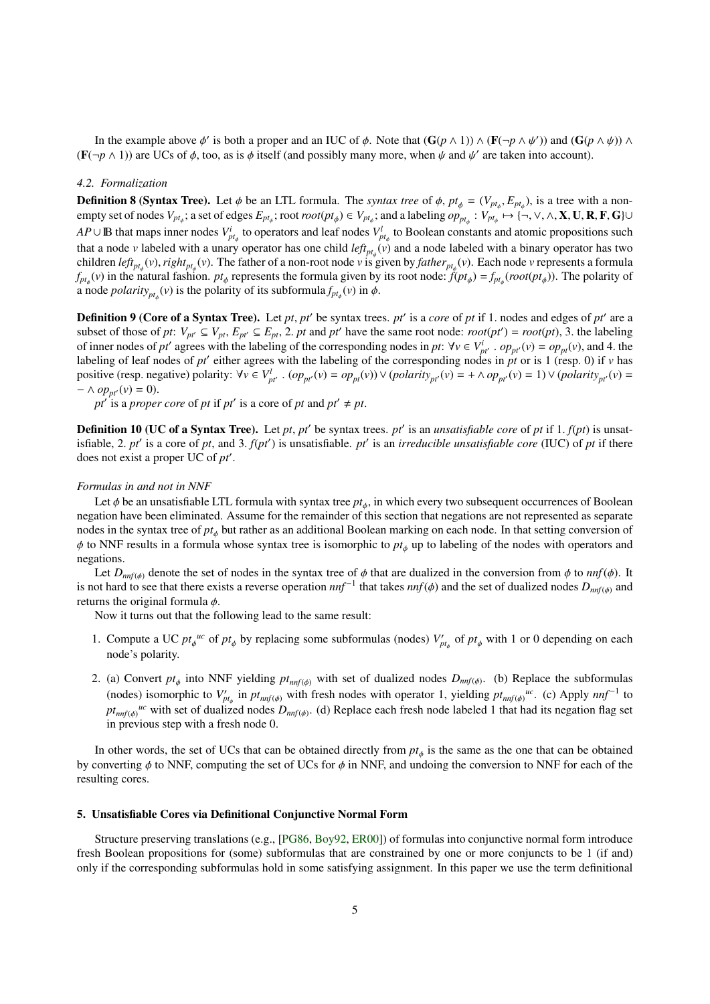<span id="page-4-4"></span>In the example above  $\phi'$  is both a proper and an IUC of  $\phi$ . Note that  $(G(p \land 1)) \land (F(\neg p \land \psi'))$  and  $(G(p \land \psi)) \land$ <br> $\neg p \land 1$ )) are UCs of  $\phi$  too as is  $\phi$  itself (and possibly many more, when  $\psi$  and  $\psi'$  are taken into  $(F(\neg p \land 1))$  are UCs of  $\phi$ , too, as is  $\phi$  itself (and possibly many more, when  $\psi$  and  $\psi'$  are taken into account).

#### *4.2. Formalization*

<span id="page-4-3"></span>**Definition 8 (Syntax Tree).** Let  $\phi$  be an LTL formula. The *syntax tree* of  $\phi$ ,  $pt_{\phi} = (V_{pt_{\phi}}, E_{pt_{\phi}})$ , is a tree with a non-<br>empty set of nodes  $V_{\phi}$  is a set of edges  $F_{\phi}$  is contracted by  $\phi$  and a labelin empty set of nodes  $V_{pt}$ ; a set of edges  $E_{pt}$ ; root  $root(pt_{\phi}) \in V_{pt_{\phi}}$ ; and a labeling  $op_{pt_{\phi}} : V_{pt_{\phi}} \mapsto {\neg, \vee, \wedge, \mathbf{X}, \mathbf{U}, \mathbf{R}, \mathbf{F}, \mathbf{G}} \cup$ *AP*∪**I**B that maps inner nodes  $V_{pt_0}^i$  to operators and leaf nodes  $V_{pt_0}^i$  to Boolean constants and atomic propositions such that a node *v* labeled with a unary operator has one child  $left_{pt_{\phi}}(v)$  and a node labeled with a binary operator has two children left (v) right. (v) The father of a non root node visit given by father. (v) Each node v children *left*<sub>*pt<sub>®</sub>*(*v*), *right<sub>pt</sub>*<sub>*(v*</sub>). The father of a non-root node *v* is given by *father*<sub>*pt*<sub>*§*</sub></sub>(*v*). Each node *v* represents a formula<br>*f* (*v*) in the natural fashion, *nt*, represents the formula g</sub>  $f_{pt_{\phi}}(v)$  in the natural fashion.  $pt_{\phi}$  represents the formula given by its root node:  $\hat{f}(pt_{\phi}) = f_{pt_{\phi}}(root(pt_{\phi}))$ . The polarity of  $p$  and polarity of its subformula  $f_{\phi}(v)$  in  $\phi$ a node *polarity*<sub>*pt*</sub>(*v*) is the polarity of its subformula  $f_{pt}$ (*v*) in  $\phi$ .

<span id="page-4-2"></span>**Definition 9 (Core of a Syntax Tree).** Let  $pt$ ,  $pt'$  be syntax trees.  $pt'$  is a *core* of  $pt$  if 1. nodes and edges of  $pt'$  are a subset of those of pt:  $V_{pt'} \subseteq V_{pt}$ ,  $E_{pt'} \subseteq E_{pt}$ , 2. pt and pt' have the same root node:  $root(pt') = root(pt)$ , 3. the labeling of inner nodes of *pt*<sup>*'*</sup> agrees with the labeling of the corresponding nodes in *pt*:  $\forall v \in V_{pr}^i$ ,  $op_{pr}^i(v) = op_{pt}(v)$ , and 4. the labeling of leaf nodes of *nt*<sup>*'*</sup> either agrees with the labeling of the correspondin labeling of leaf nodes of  $pt'$  either agrees with the labeling of the corresponding nodes in  $pt$  or is 1 (resp. 0) if  $v$  has positive (resp. negative) polarity:  $\forall v \in V_{pt'}^l$ .  $(op_{pt'}(v) = op_{pt}(v)) \vee (polarity_{pt'}(v) = + \wedge op_{pt'}(v) = 1) \vee (polarity_{pt'}(v) = - \wedge op_{pt'}(v) = 0)$  $- \wedge op_{pt}(v) = 0$ .

*pt*<sup> $\prime$ </sup> is a *proper core* of *pt* if *pt*<sup> $\prime$ </sup> is a core of *pt* and  $pt' \neq pt$ .

<span id="page-4-1"></span>**Definition 10 (UC of a Syntax Tree).** Let pt, pt' be syntax trees. pt' is an *unsatisfiable core* of pt if  $1. f(pt)$  is unsatisfiable, 2.  $pt'$  is a core of  $pt$ , and 3.  $f(pt')$  is unsatisfiable.  $pt'$  is an *irreducible unsatisfiable core* (IUC) of  $pt$  if there does not exist a proper UC of pt'.

#### *Formulas in and not in NNF*

Let  $\phi$  be an unsatisfiable LTL formula with syntax tree  $pt_{\phi}$ , in which every two subsequent occurrences of Boolean<br>ation have been eliminated. Assume for the remainder of this section that negations are not represent negation have been eliminated. Assume for the remainder of this section that negations are not represented as separate nodes in the syntax tree of  $pt_{\phi}$  but rather as an additional Boolean marking on each node. In that setting conversion of  $\phi$  to NNF results in a formula whose syntax tree is isomorphic to  $pt_{\phi}$  up to labeling of the nodes with operators and negations.

Let  $D_{nnf(\phi)}$  denote the set of nodes in the syntax tree of  $\phi$  that are dualized in the conversion from  $\phi$  to  $nnf(\phi)$ . It is not hard to see that there exists a reverse operation  $nnf^{-1}$  that takes  $nnf(\phi)$  and the set of dualized nodes  $D_{nnf(\phi)}$  and returns the original formula  $\phi$ returns the original formula  $\phi$ .

Now it turns out that the following lead to the same result:

- 1. Compute a UC  $pt_{\phi}^{uc}$  of  $pt_{\phi}$  by replacing some subformulas (nodes)  $V'_{pt_{\phi}}$  of  $pt_{\phi}$  with 1 or 0 depending on each node<sup>2</sup> nologity. node's polarity.
- 2. (a) Convert  $pt_{\phi}$  into NNF yielding  $pt_{nnf(\phi)}$  with set of dualized nodes  $D_{nnf(\phi)}$ . (b) Replace the subformulas (nodes) isomorphic to  $V'_{pt}$  in  $pt_{mft(\phi)}$  with fresh nodes with operator 1, yielding  $pt_{mft(\phi)}^{u}$ . (c) Apply  $nnf^{-1}$  to  $p$  to  $p$  to  $p$  to  $p$  to  $p$  to  $p$  to  $p$  to  $p$  to  $p$  to  $p$  to  $p$  to  $p$  to  $p$  to  $p$  to  $p$  $pt_{mrf(\phi)}^{u}$  with set of dualized nodes  $D_{nnf(\phi)}$ . (d) Replace each fresh node labeled 1 that had its negation flag set in previous step with a fresh node 0.

In other words, the set of UCs that can be obtained directly from  $pt_{\phi}$  is the same as the one that can be obtained<br>converting  $\phi$  to NNE computing the set of UCs for  $\phi$  in NNE and undoing the conversion to NNE for e by converting  $\phi$  to NNF, computing the set of UCs for  $\phi$  in NNF, and undoing the conversion to NNF for each of the resulting cores.

# <span id="page-4-0"></span>5. Unsatisfiable Cores via Definitional Conjunctive Normal Form

Structure preserving translations (e.g., [\[PG86,](#page-38-8) [Boy92,](#page-36-15) [ER00\]](#page-37-9)) of formulas into conjunctive normal form introduce fresh Boolean propositions for (some) subformulas that are constrained by one or more conjuncts to be 1 (if and) only if the corresponding subformulas hold in some satisfying assignment. In this paper we use the term definitional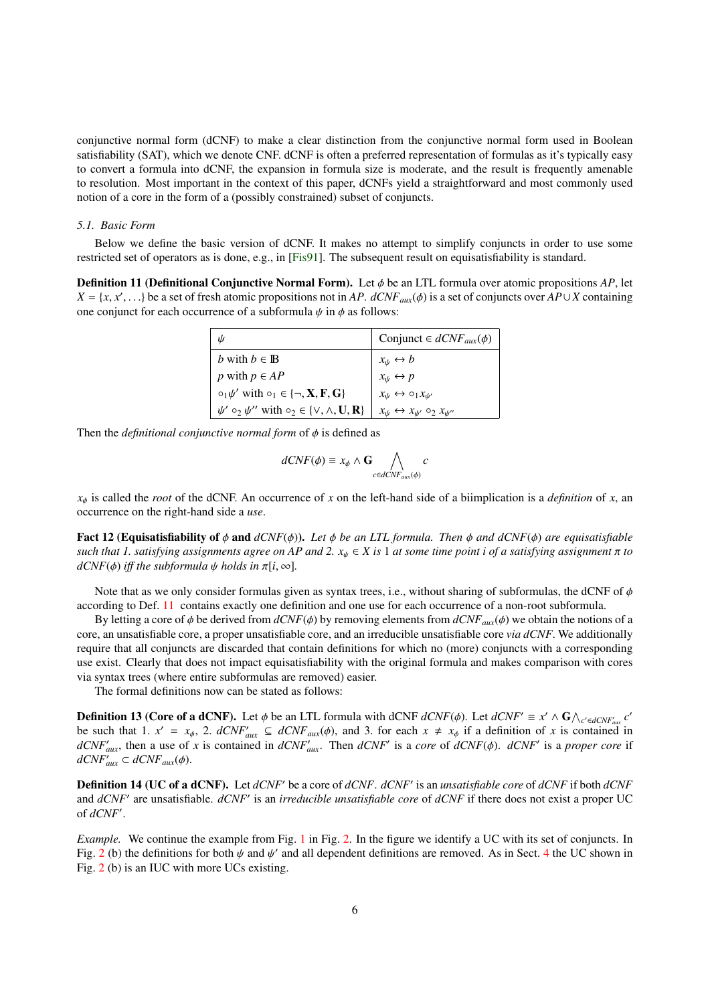<span id="page-5-3"></span>conjunctive normal form (dCNF) to make a clear distinction from the conjunctive normal form used in Boolean satisfiability (SAT), which we denote CNF. dCNF is often a preferred representation of formulas as it's typically easy to convert a formula into dCNF, the expansion in formula size is moderate, and the result is frequently amenable to resolution. Most important in the context of this paper, dCNFs yield a straightforward and most commonly used notion of a core in the form of a (possibly constrained) subset of conjuncts.

### *5.1. Basic Form*

Below we define the basic version of dCNF. It makes no attempt to simplify conjuncts in order to use some restricted set of operators as is done, e.g., in [\[Fis91\]](#page-37-10). The subsequent result on equisatisfiability is standard.

<span id="page-5-0"></span>Definition 11 (Definitional Conjunctive Normal Form). Let φ be an LTL formula over atomic propositions *AP*, let  $X = \{x, x', \ldots\}$  be a set of fresh atomic propositions not in *AP*.  $dCNF_{aux}(\phi)$  is a set of conjuncts over  $AP \cup X$  containing one conjunct for each occurrence of a subformula  $\psi$  in  $\phi$  as follows: one conjunct for each occurrence of a subformula  $\psi$  in  $\phi$  as follows:

| Conjunct $\in dCNF_{aux}(\phi)$                         |
|---------------------------------------------------------|
| $x_{\psi} \leftrightarrow b$                            |
| $x_{\psi} \leftrightarrow p$                            |
| $x_{\psi} \leftrightarrow \circ_1 x_{\psi'}$            |
| $x_{\psi} \leftrightarrow x_{\psi'} \circ_2 x_{\psi''}$ |
|                                                         |

Then the *definitional conjunctive normal form* of  $\phi$  is defined as

$$
dCNF(\phi) \equiv x_{\phi} \wedge \mathbf{G} \bigwedge_{c \in dCNF_{\text{aux}}(\phi)} c
$$

*<sup>x</sup>*φ is called the *root* of the dCNF. An occurrence of *<sup>x</sup>* on the left-hand side of a biimplication is a *definition* of *<sup>x</sup>*, an occurrence on the right-hand side a *use*.

Fact 12 (Equisatisfiability of φ and *dCNF*(φ)). *Let* φ *be an LTL formula. Then* φ *and dCNF*(φ) *are equisatisfiable such that 1. satisfying assignments agree on AP and 2. x*ψ <sup>∈</sup> *X is* <sup>1</sup> *at some time point i of a satisfying assignment* <sup>π</sup> *to*  $dCNF(\phi)$  *iff the subformula*  $\psi$  *holds in*  $\pi[i, \infty]$ *.* 

Note that as we only consider formulas given as syntax trees, i.e., without sharing of subformulas, the dCNF of  $\phi$ according to Def. [11](#page-5-0) contains exactly one definition and one use for each occurrence of a non-root subformula.

By letting a core of  $\phi$  be derived from  $dCNF(\phi)$  by removing elements from  $dCNF_{aux}(\phi)$  we obtain the notions of a core, an unsatisfiable core, a proper unsatisfiable core, and an irreducible unsatisfiable core *via dCNF*. We additionally require that all conjuncts are discarded that contain definitions for which no (more) conjuncts with a corresponding use exist. Clearly that does not impact equisatisfiability with the original formula and makes comparison with cores via syntax trees (where entire subformulas are removed) easier.

The formal definitions now can be stated as follows:

<span id="page-5-2"></span>**Definition 13 (Core of a dCNF).** Let  $\phi$  be an LTL formula with dCNF  $dCNF(\phi)$ . Let  $dCNF' \equiv x' \wedge G/\sqrt{c'} \equiv dCNF' \equiv c' \wedge G/NF' \equiv x' \wedge g/\sqrt{c'} \equiv x' \wedge g/\sqrt{c'} \equiv x' \wedge g/\sqrt{c'} \equiv x' \wedge g/\sqrt{c'} \equiv x' \wedge g/\sqrt{c'} \equiv x' \wedge g/\sqrt{c'} \equiv x' \wedge g/\sqrt{c'} \equiv x' \wedge g/\sqrt$ be such that 1.  $x' = x_{\phi}$ , 2.  $dCNF'_{aux} \subseteq dCNF_{aux}(\phi)$ , and 3. for each  $x \neq x_{\phi}$  if a definition of *x* is contained in  $dCNF'$ . Then  $dCNF'$  is a care of  $dCNF(\phi)$ ,  $dCNF'$  is a proper care if  $dCNF'_{aux}$ , then a use of *x* is contained in  $dCNF'_{aux}$ . Then  $dCNF'$  is a *core* of  $dCNF(\phi)$ .  $dCNF'$  is a *proper core* if  $dCNF' = \sigma dCNF$  $dCNF'_{aux} \subset dCNF_{aux}(\phi).$ 

<span id="page-5-1"></span>Definition 14 (UC of a dCNF). Let  $dCNF'$  be a core of  $dCNF$ .  $dCNF'$  is an *unsatisfiable core* of  $dCNF$  if both  $dCNF$ and *dCNF'* are unsatisfiable. *dCNF'* is an *irreducible unsatisfiable core* of *dCNF* if there does not exist a proper UC of  $dCNF'$ .

*Example.* We continue the example from Fig. [1](#page-3-2) in Fig. [2.](#page-6-0) In the figure we identify a UC with its set of conjuncts. In Fig. [2](#page-6-0) (b) the definitions for both  $\psi$  and  $\psi'$  and all dependent definitions are removed. As in Sect. [4](#page-3-0) the UC shown in<br>Fig. 2 (b) is an HIC with more HCs existing Fig. [2](#page-6-0) (b) is an IUC with more UCs existing.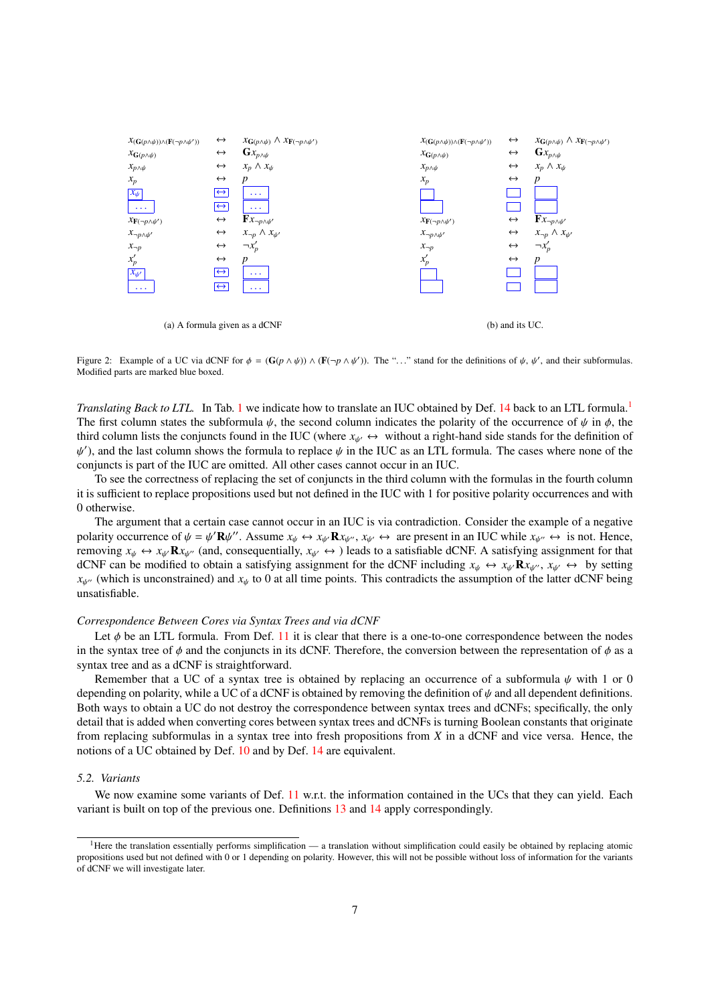

<span id="page-6-0"></span>Figure 2: Example of a UC via dCNF for  $\phi = (\mathbf{G}(p \wedge \psi)) \wedge (\mathbf{F}(\neg p \wedge \psi'))$ . The "..." stand for the definitions of  $\psi$ ,  $\psi'$ , and their subformulas. Modified parts are marked blue boxed.

*Translating Back to LTL.* In Tab. [1](#page-6-1) we indicate how to translate an IUC obtained by Def. [14](#page-5-1) back to an LTL formula.<sup>1</sup> The first column states the subformula  $\psi$ , the second column indicates the polarity of the occurrence of  $\psi$  in  $\phi$ , the third column lists the conjuncts found in the IUC (where  $x_{\psi'} \leftrightarrow$  without a right-hand side stands for the definition of conjuncts is part of the IUC are omitted. All other cases cannot occur in an IUC. ), and the last column shows the formula to replace  $\psi$  in the IUC as an LTL formula. The cases where none of the principle is part of the IUC are omitted. All other cases cannot occur in an IUC

To see the correctness of replacing the set of conjuncts in the third column with the formulas in the fourth column it is sufficient to replace propositions used but not defined in the IUC with 1 for positive polarity occurrences and with 0 otherwise.

The argument that a certain case cannot occur in an IUC is via contradiction. Consider the example of a negative polarity occurrence of  $\psi = \psi' \mathbf{R} \psi''$ . Assume  $x_{\psi} \leftrightarrow x_{\psi'} \mathbf{R} x_{\psi''}, x_{\psi'} \leftrightarrow \text{are present in an IUC while } x_{\psi''} \leftrightarrow \text{is not. Hence,}$ <br>removing  $x_{\psi} \leftrightarrow x_{\psi} \mathbf{R} x_{\psi}$  (and consequentially  $x_{\psi} \leftrightarrow \text{leads to a satisfiable dCNF. A satisfying assumption for that$ removing  $x_{\psi} \leftrightarrow x_{\psi} \mathbf{R} x_{\psi}$  (and, consequentially,  $x_{\psi} \leftrightarrow$ ) leads to a satisfiable dCNF. A satisfying assignment for that dCNF can be modified to obtain a satisfying assignment for the dCNF including  $x_{\psi} \leftrightarrow x_{\psi'} \mathbf{R} x_{\psi''}, x_{\psi'} \leftrightarrow$  by setting  $x_{\psi}$ <sup>n</sup> (which is unconstrained) and  $x_{\psi}$  to 0 at all time points. This contradicts the assumption of the latter dCNF being unsatisfiable.

#### *Correspondence Between Cores via Syntax Trees and via dCNF*

Let  $\phi$  be an LTL formula. From Def. [11](#page-5-0) it is clear that there is a one-to-one correspondence between the nodes in the syntax tree of  $\phi$  and the conjuncts in its dCNF. Therefore, the conversion between the representation of  $\phi$  as a syntax tree and as a dCNF is straightforward.

Remember that a UC of a syntax tree is obtained by replacing an occurrence of a subformula  $\psi$  with 1 or 0 depending on polarity, while a UC of a dCNF is obtained by removing the definition of  $\psi$  and all dependent definitions. Both ways to obtain a UC do not destroy the correspondence between syntax trees and dCNFs; specifically, the only detail that is added when converting cores between syntax trees and dCNFs is turning Boolean constants that originate from replacing subformulas in a syntax tree into fresh propositions from *X* in a dCNF and vice versa. Hence, the notions of a UC obtained by Def. [10](#page-4-1) and by Def. [14](#page-5-1) are equivalent.

#### *5.2. Variants*

We now examine some variants of Def. [11](#page-5-0) w.r.t. the information contained in the UCs that they can yield. Each variant is built on top of the previous one. Definitions [13](#page-5-2) and [14](#page-5-1) apply correspondingly.

<span id="page-6-1"></span><sup>&</sup>lt;sup>1</sup>Here the translation essentially performs simplification — a translation without simplification could easily be obtained by replacing atomic propositions used but not defined with 0 or 1 depending on polarity. However, this will not be possible without loss of information for the variants of dCNF we will investigate later.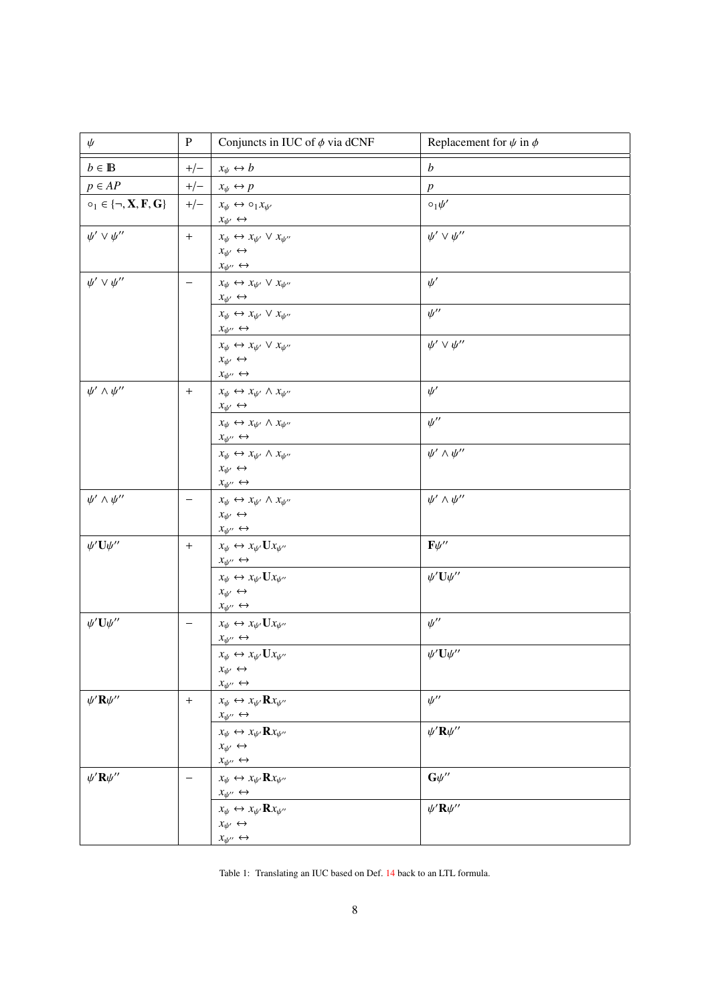| $\psi$                          | ${\bf P}$         | Conjuncts in IUC of $\phi$ via dCNF                                                                                                    | Replacement for $\psi$ in $\phi$ |
|---------------------------------|-------------------|----------------------------------------------------------------------------------------------------------------------------------------|----------------------------------|
| $b \in \mathbb{B}$              | $+/-$             | $x_{\psi} \leftrightarrow b$                                                                                                           | $\boldsymbol{b}$                 |
| $p \in AP$                      | $+/-$             | $x_{\psi} \leftrightarrow p$                                                                                                           | $\boldsymbol{p}$                 |
| $\circ_1 \in \{\neg, X, F, G\}$ | $+/-$             | $x_{\psi} \leftrightarrow \circ_1 x_{\psi'}$<br>$x_{\psi'} \leftrightarrow$                                                            | $\circ_1\psi'$                   |
| $\psi' \vee \psi''$             | $+$               | $x_{\psi} \leftrightarrow x_{\psi'} \vee x_{\psi''}$<br>$x_{\psi'} \leftrightarrow$                                                    | $\psi' \vee \psi''$              |
| $\psi' \vee \psi''$             |                   | $x_{\psi^{\prime\prime}} \leftrightarrow$<br>$x_{\psi} \leftrightarrow x_{\psi'} \vee x_{\psi''}$<br>$x_{\psi'} \leftrightarrow$       | $\psi'$                          |
|                                 |                   | $x_{\psi} \leftrightarrow x_{\psi'} \vee x_{\psi''}$<br>$x_{\psi^{\prime\prime}}\leftrightarrow$                                       | $\psi^{\prime\prime}$            |
|                                 |                   | $x_{\psi} \leftrightarrow x_{\psi'} \vee x_{\psi''}$<br>$x_{\psi'} \leftrightarrow$<br>$x_{\psi^{\prime\prime}} \leftrightarrow$       | $\psi' \vee \psi''$              |
| $\psi' \wedge \psi''$           | $^{+}$            | $x_{\psi} \leftrightarrow x_{\psi'} \wedge x_{\psi''}$<br>$x_{\psi'} \leftrightarrow$                                                  | $\psi'$                          |
|                                 |                   | $x_{\psi} \leftrightarrow x_{\psi'} \wedge x_{\psi''}$<br>$x_{\psi^{\prime\prime}} \leftrightarrow$                                    | $\psi^{\prime\prime}$            |
|                                 |                   | $x_{\psi} \leftrightarrow x_{\psi'} \wedge x_{\psi''}$<br>$x_{\psi'} \leftrightarrow$<br>$x_{\psi^{\prime\prime}} \leftrightarrow$     | $\psi'\wedge\psi''$              |
| $\psi' \wedge \psi''$           | $\qquad \qquad -$ | $x_{\psi} \leftrightarrow x_{\psi'} \wedge x_{\psi''}$<br>$x_{\psi'} \leftrightarrow$<br>$x_{\psi^{\prime\prime}} \leftrightarrow$     | $\psi' \wedge \psi''$            |
| $\psi' U \psi''$                | $+$               | $x_{\psi} \leftrightarrow x_{\psi'} \mathbf{U} x_{\psi''}$<br>$x_{\psi^{\prime\prime}} \leftrightarrow$                                | $F\psi''$                        |
|                                 |                   | $x_{\psi} \leftrightarrow x_{\psi'} \mathbf{U} x_{\psi''}$<br>$x_{\psi'} \leftrightarrow$<br>$x_{\psi^{\prime\prime}} \leftrightarrow$ | $\psi' U \psi''$                 |
| $\psi' U \psi''$                |                   | $x_{\psi} \leftrightarrow x_{\psi'} \mathbf{U} x_{\psi''}$<br>$x_{\psi^{\prime\prime}} \leftrightarrow$                                | $\psi^{\prime\prime}$            |
|                                 |                   | $x_{\psi} \leftrightarrow x_{\psi'} \mathbf{U} x_{\psi''}$<br>$x_{\psi'} \leftrightarrow$<br>$x_{\psi^{\prime\prime}} \leftrightarrow$ | $\psi' U \psi''$                 |
| $\psi'\mathbf{R}\psi''$         | $\pm$             | $x_{\psi} \leftrightarrow x_{\psi'} \mathbf{R} x_{\psi''}$<br>$x_{\psi^{\prime\prime}} \leftrightarrow$                                | $\psi^{\prime\prime}$            |
|                                 |                   | $x_{\psi} \leftrightarrow x_{\psi'} \mathbf{R} x_{\psi''}$<br>$x_{\psi'} \leftrightarrow$<br>$x_{\psi^{\prime\prime}} \leftrightarrow$ | $\psi' \mathbf{R} \psi''$        |
| $\psi'\mathbf{R}\psi''$         |                   | $x_{\psi} \leftrightarrow x_{\psi'} \mathbf{R} x_{\psi''}$<br>$x_{\psi^{\prime\prime}} \leftrightarrow$                                | $G\psi''$                        |
|                                 |                   | $x_{\psi} \leftrightarrow x_{\psi'} \mathbf{R} x_{\psi''}$<br>$x_{\psi'} \leftrightarrow$<br>$x_{\psi^{\prime\prime}} \leftrightarrow$ | $\psi' \mathbf{R} \psi''$        |

<span id="page-7-0"></span>Table 1: Translating an IUC based on Def. [14](#page-5-1) back to an LTL formula.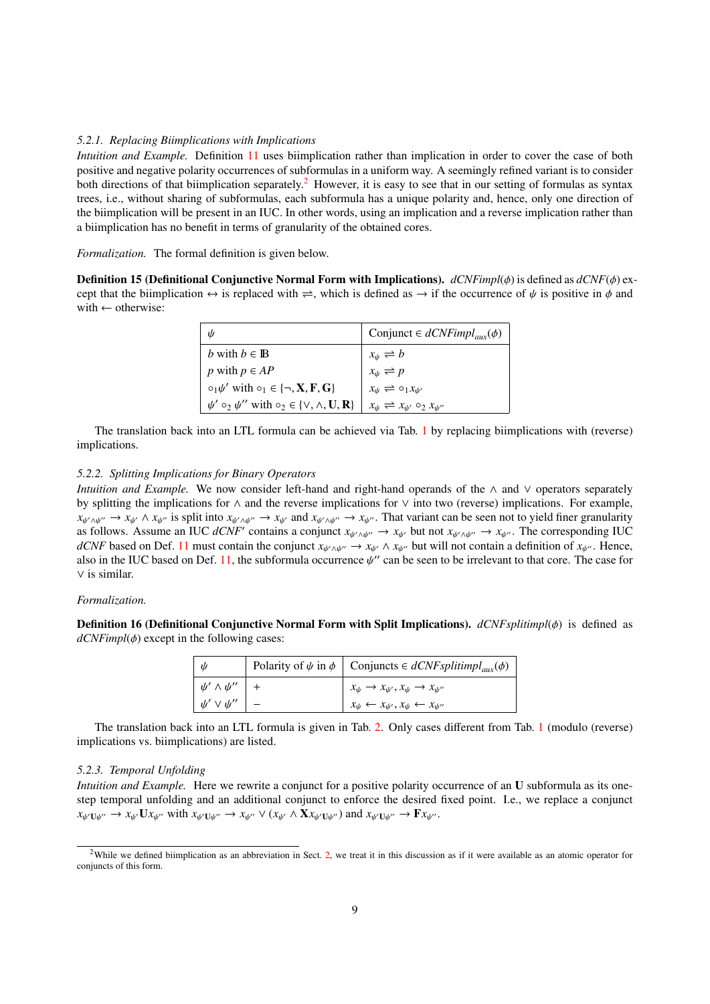# *5.2.1. Replacing Biimplications with Implications*

*Intuition and Example.* Definition [11](#page-5-0) uses biimplication rather than implication in order to cover the case of both positive and negative polarity occurrences of subformulas in a uniform way. A seemingly refined variant is to consider both directions of that biimplication separately.<sup>[2](#page-8-0)</sup> However, it is easy to see that in our setting of formulas as syntax trees, i.e., without sharing of subformulas, each subformula has a unique polarity and, hence, only one direction of the biimplication will be present in an IUC. In other words, using an implication and a reverse implication rather than a biimplication has no benefit in terms of granularity of the obtained cores.

*Formalization.* The formal definition is given below.

Definition 15 (Definitional Conjunctive Normal Form with Implications). *dCNFimpl*(φ) is defined as *dCNF*(φ) except that the biimplication  $\leftrightarrow$  is replaced with  $\rightleftharpoons$ , which is defined as  $\rightarrow$  if the occurrence of  $\psi$  is positive in  $\phi$  and with  $\leftarrow$  otherwise: with ← otherwise:

| Conjunct $\in dCNFimpl_{aux}(\phi)$                                |
|--------------------------------------------------------------------|
|                                                                    |
| $x_{\psi} \rightleftharpoons b$<br>$x_{\psi} \rightleftharpoons p$ |
| $x_{\psi} \rightleftharpoons \circ_1 x_{\psi'}$                    |
| $x_{\psi} \rightleftharpoons x_{\psi'} \circ_2 x_{\psi''}$         |
|                                                                    |

The translation back into an LTL formula can be achieved via Tab. [1](#page-7-0) by replacing biimplications with (reverse) implications.

#### *5.2.2. Splitting Implications for Binary Operators*

*Intuition and Example.* We now consider left-hand and right-hand operands of the ∧ and ∨ operators separately by splitting the implications for ∧ and the reverse implications for ∨ into two (reverse) implications. For example,  $x_{\psi' \land \psi''} \to x_{\psi'} \land x_{\psi''}$  is split into  $x_{\psi' \land \psi''} \to x_{\psi'}$  and  $x_{\psi' \land \psi''} \to x_{\psi''}$ . That variant can be seen not to yield finer granularity as follows. Assume an IUC *dCNF'* contains a conjunct  $x_{\psi' \wedge \psi''} \to x_{\psi'}$  but not  $x_{\psi' \wedge \psi''} \to x_{\psi''}$ . The corresponding IUC *dCNF* based on Def. [11](#page-5-0) must contain the conjunct  $x_{\psi' \wedge \psi''} \to x_{\psi'} \wedge x_{\psi''}$  but will not contain a definition of  $x_{\psi''}$ . Hence, also in the IUC based on Def. [11,](#page-5-0) the subformula occurrence  $\psi''$  can be seen to be irrelevant to that core. The case for  $\vee$  is similar ∨ is similar.

# <span id="page-8-1"></span>*Formalization.*

Definition 16 (Definitional Conjunctive Normal Form with Split Implications). *dCNFsplitimpl*(φ) is defined as *dCNFimpl*( $φ$ ) except in the following cases:

| Ŵ                             | Polarity of $\psi$ in $\phi$   Conjuncts $\in dCNFsplitimpl_{\text{aux}}(\phi)$ |
|-------------------------------|---------------------------------------------------------------------------------|
| $\psi' \wedge \psi''$         | $x_\psi \to x_{\psi'}, x_\psi \to x_{\psi''}$                                   |
| $\psi' \vee \psi''$ $\Big]$ - | $x_{\psi} \leftarrow x_{\psi}, x_{\psi} \leftarrow x_{\psi}$                    |
|                               |                                                                                 |

The translation back into an LTL formula is given in Tab. [2.](#page-9-0) Only cases different from Tab. [1](#page-7-0) (modulo (reverse) implications vs. biimplications) are listed.

# *5.2.3. Temporal Unfolding*

*Intuition and Example.* Here we rewrite a conjunct for a positive polarity occurrence of an U subformula as its onestep temporal unfolding and an additional conjunct to enforce the desired fixed point. I.e., we replace a conjunct  $x_{\psi'U\psi''} \to x_{\psi'}Ux_{\psi''}$  with  $x_{\psi'U\psi''} \to x_{\psi''} \vee (x_{\psi'} \wedge \mathbf{X}x_{\psi'U\psi''})$  and  $x_{\psi'U\psi''} \to \mathbf{F}x_{\psi''}$ .

<span id="page-8-0"></span><sup>&</sup>lt;sup>2</sup>While we defined biimplication as an abbreviation in Sect. [2,](#page-1-0) we treat it in this discussion as if it were available as an atomic operator for conjuncts of this form.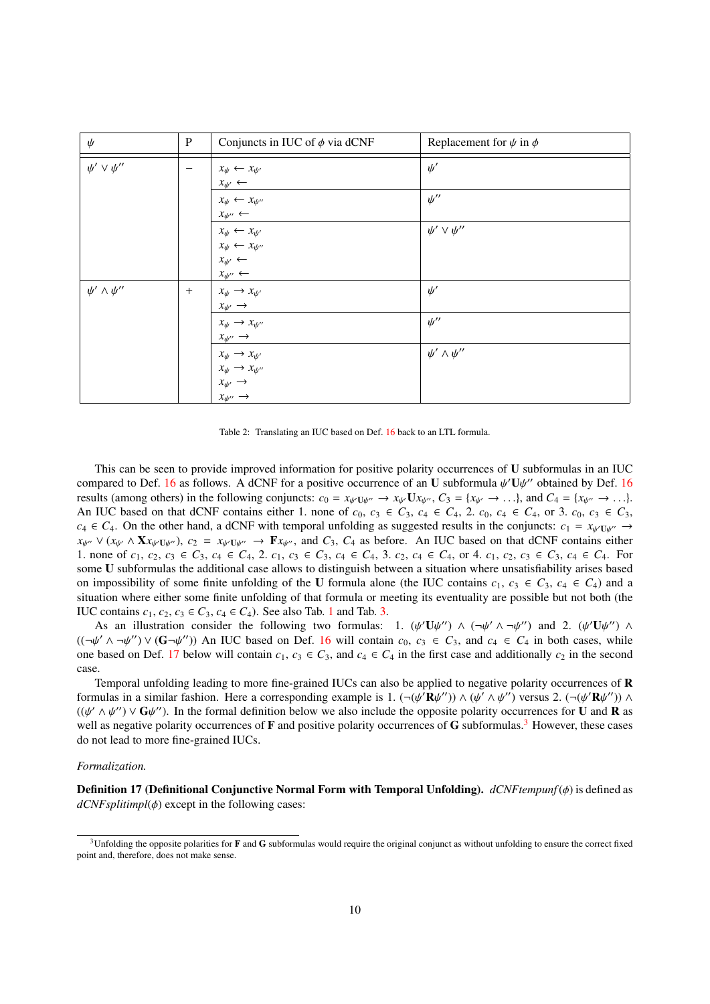| $\psi$              | $\mathbf{P}$ | Conjuncts in IUC of $\phi$ via dCNF                                    | Replacement for $\psi$ in $\phi$ |
|---------------------|--------------|------------------------------------------------------------------------|----------------------------------|
| $\psi' \vee \psi''$ |              | $x_{\psi} \leftarrow x_{\psi'}$<br>$x_{\psi'} \leftarrow$              | $\psi'$                          |
|                     |              | $x_{\psi} \leftarrow x_{\psi}$<br>$x_{\psi^{\prime\prime}} \leftarrow$ | $\psi''$                         |
|                     |              | $x_{\psi} \leftarrow x_{\psi'}$<br>$x_{\psi} \leftarrow x_{\psi}$      | $\psi' \vee \psi''$              |
|                     |              | $x_{\psi'} \leftarrow$<br>$x_{\psi^{\prime\prime}} \leftarrow$         |                                  |
| $\psi'\wedge\psi''$ | $+$          | $x_{\psi} \rightarrow x_{\psi'}$<br>$x_{\psi'} \rightarrow$            | $\psi'$                          |
|                     |              | $x_\psi \to x_{\psi''}$<br>$x_{\psi^{\prime\prime}} \rightarrow$       | $\psi''$                         |
|                     |              | $x_{\psi} \rightarrow x_{\psi'}$<br>$x_\psi \to x_{\psi''}$            | $\psi' \wedge \psi''$            |
|                     |              | $x_{\psi'} \to$<br>$x_{\psi^{\prime\prime}} \rightarrow$               |                                  |

Table 2: Translating an IUC based on Def. [16](#page-8-1) back to an LTL formula.

<span id="page-9-0"></span>This can be seen to provide improved information for positive polarity occurrences of U subformulas in an IUC compared to Def. [16](#page-8-1) as follows. A dCNF for a positive occurrence of an U subformula  $\psi' U \psi''$  obtained by Def. 16<br>results (among others) in the following conjuncts:  $c_0 = x_{\text{UUM}} \rightarrow x_{\text{U}} \text{U} x_{\text{U}}$ ,  $C_2 = x_{\text{UUM}} \rightarrow x_{\text$ results (among others) in the following conjuncts:  $c_0 = x_{\psi'U\psi''} \to x_{\psi'}Ux_{\psi''}, C_3 = \{x_{\psi'} \to \ldots\}$ , and  $C_4 = \{x_{\psi''} \to \ldots\}$ . An IUC based on that dCNF contains either 1. none of  $c_0$ ,  $c_3 \in C_3$ ,  $c_4 \in C_4$ , 2.  $c_0$ ,  $c_4 \in C_4$ , or 3.  $c_0$ ,  $c_3 \in C_3$ ,  $c_4 \in C_4$ . On the other hand, a dCNF with temporal unfolding as suggested results in the conjuncts:  $c_1 = x_{\psi' \cup \psi''} \rightarrow$  $x_{\psi}$ <sup> $\vee$ </sup>  $(x_{\psi} \wedge \mathbf{X} x_{\psi} \mathbf{U}_{\psi})$ ,  $c_2 = x_{\psi} \mathbf{U}_{\psi}$   $\rightarrow$   $\mathbf{F} x_{\psi}$ , and  $C_3$ ,  $C_4$  as before. An IUC based on that dCNF contains either 1. none of  $c_1, c_2, c_3 \in C_3$ ,  $c_4 \in C_4$ , 2.  $c_1, c_3 \in C_3$ ,  $c_4 \in C_4$ , 3.  $c_2, c_4 \in C_4$ , or 4.  $c_1, c_2, c_3 \in C_3$ ,  $c_4 \in C_4$ . For some U subformulas the additional case allows to distinguish between a situation where unsatisfiability arises based on impossibility of some finite unfolding of the U formula alone (the IUC contains  $c_1, c_3 \in C_3$ ,  $c_4 \in C_4$ ) and a situation where either some finite unfolding of that formula or meeting its eventuality are possible but not both (the IUC contains  $c_1, c_2, c_3 \in C_3$  $c_1, c_2, c_3 \in C_3$  $c_1, c_2, c_3 \in C_3$ ,  $c_4 \in C_4$ ). See also Tab. 1 and Tab. [3.](#page-11-0)

As an illustration consider the following two formulas: 1.  $(\psi' \mathbf{U} \psi'') \wedge (\neg \psi' \wedge \neg \psi'')$  and 2.  $(\psi' \mathbf{U} \psi'') \wedge (\psi' \wedge \neg \psi'')$  and 2.  $(\psi' \mathbf{U} \psi'') \wedge (\psi' \wedge \neg \psi'')$  and  $(\psi' \wedge \psi' \wedge \psi'')$  $((\neg \psi' \land \neg \psi'') \lor (G \neg \psi''))$  An IUC based on Def. [16](#page-8-1) will contain  $c_0$ ,  $c_3 \in C_3$ , and  $c_4 \in C_4$  in both cases, while one based on Def. [17](#page-9-1) below will contain  $c_1$ ,  $c_3 \in C_3$ , and  $c_4 \in C_4$  in the first case and additionally  $c_2$  in the second case.

Temporal unfolding leading to more fine-grained IUCs can also be applied to negative polarity occurrences of R formulas in a similar fashion. Here a corresponding example is  $1$ . (¬( $\psi$ '**R** $\psi$ '))  $\land$  ( $\psi' \land \psi'$ ') versus 2. (¬( $\psi$ '**R** $\psi''$ ))  $\land$  ( $\psi' \land \psi''$ )  $\lor$   $\Box \psi''$ ). In the formal definition below we also include the op  $((\psi' \land \psi'') \lor G\psi'')$ . In the formal definition below we also include the opposite polarity occurrences for U and R as well as negative polarity occurrences of E and positive polarity occurrences of G subformulas <sup>3</sup> Howeve well as negative polarity occurrences of  $\bf{F}$  and positive polarity occurrences of  $\bf{G}$  subformulas.<sup>[3](#page-9-2)</sup> However, these cases do not lead to more fine-grained IUCs.

# <span id="page-9-1"></span>*Formalization.*

Definition 17 (Definitional Conjunctive Normal Form with Temporal Unfolding). *dCNFtempunf*(φ) is defined as  $dCNFsplitimpl(\phi)$  except in the following cases:

<span id="page-9-2"></span> $3$ Unfolding the opposite polarities for  **and**  $**G**$  **subformulas would require the original conjunct as without unfolding to ensure the correct fixed** point and, therefore, does not make sense.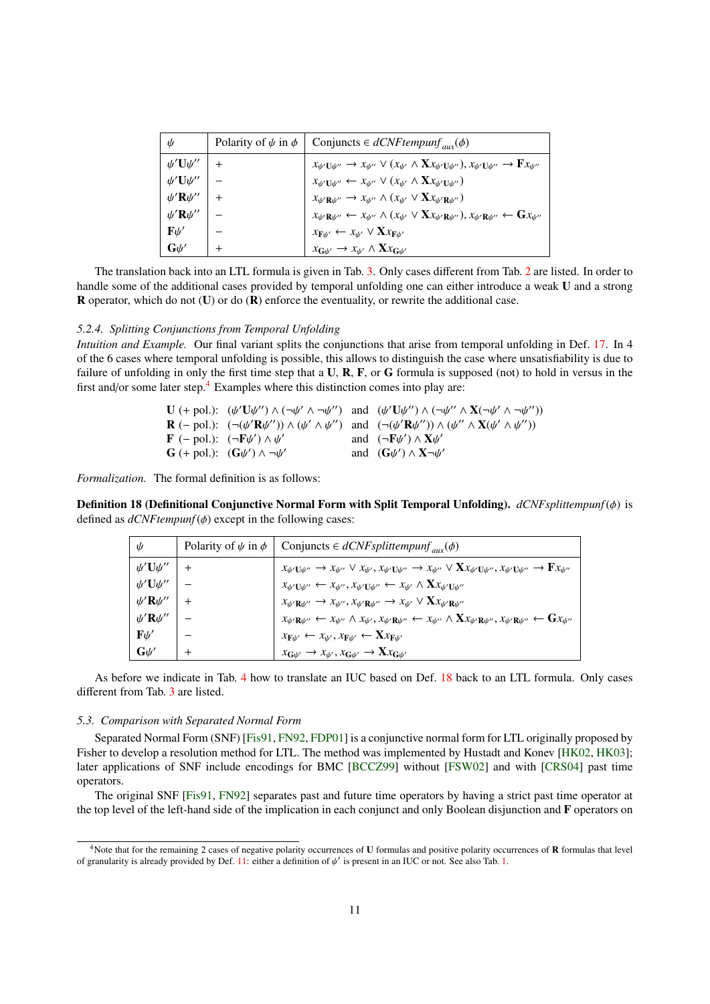<span id="page-10-2"></span>

| ψ                         | Polarity of $\psi$ in $\phi$ | Conjuncts $\in dCNF$ tempunf <sub>aux</sub> $(\phi)$                                                                                                                                 |
|---------------------------|------------------------------|--------------------------------------------------------------------------------------------------------------------------------------------------------------------------------------|
| $\psi' U \psi''$          |                              | $x_{\psi' \mathbf{U} \psi''} \to x_{\psi''} \vee (x_{\psi'} \wedge \mathbf{X} x_{\psi' \mathbf{U} \psi''}), x_{\psi' \mathbf{U} \psi''} \to \mathbf{F} x_{\psi''}$                   |
| $\psi' \mathbf{U} \psi''$ |                              | $x_{\psi' \mathbf{U} \psi''} \leftarrow x_{\psi''} \vee (x_{\psi'} \wedge \mathbf{X} x_{\psi' \mathbf{U} \psi'})$                                                                    |
| $\psi'$ <b>R</b> $\psi''$ | $^+$                         | $x_{\psi'\mathbf{R}\psi''} \to x_{\psi''} \wedge (x_{\psi'} \vee \mathbf{X}x_{\psi'\mathbf{R}\psi''})$                                                                               |
| $\psi' \mathbf{R} \psi''$ |                              | $x_{\psi}\mathbf{R}_{\psi''} \leftarrow x_{\psi''} \wedge (x_{\psi'} \vee \mathbf{X} x_{\psi' \mathbf{R}_{\psi''}}), x_{\psi' \mathbf{R}_{\psi''}} \leftarrow \mathbf{G} x_{\psi''}$ |
| $\mathbf{F}\psi'$         |                              | $x_{\mathbf{F}\psi'} \leftarrow x_{\psi'} \vee \mathbf{X} x_{\mathbf{F}\psi'}$                                                                                                       |
| $G\psi'$                  |                              | $x_{\mathbf{G} \psi'} \rightarrow x_{\psi'} \wedge \mathbf{X} x_{\mathbf{G} \psi'}$                                                                                                  |

The translation back into an LTL formula is given in Tab. [3.](#page-11-0) Only cases different from Tab. [2](#page-9-0) are listed. In order to handle some of the additional cases provided by temporal unfolding one can either introduce a weak U and a strong R operator, which do not (U) or do (R) enforce the eventuality, or rewrite the additional case.

# *5.2.4. Splitting Conjunctions from Temporal Unfolding*

*Intuition and Example.* Our final variant splits the conjunctions that arise from temporal unfolding in Def. [17.](#page-9-1) In 4 of the 6 cases where temporal unfolding is possible, this allows to distinguish the case where unsatisfiability is due to failure of unfolding in only the first time step that a  $U, R, F$ , or G formula is supposed (not) to hold in versus in the first and/or some later step. $4$  Examples where this distinction comes into play are:

|                                                               | $\mathbf{U}$ (+ pol.): $(\psi' \mathbf{U} \psi'') \wedge (\neg \psi' \wedge \neg \psi'')$ and $(\psi' \mathbf{U} \psi'') \wedge (\neg \psi'' \wedge \mathbf{X} (\neg \psi' \wedge \neg \psi''))$ |
|---------------------------------------------------------------|--------------------------------------------------------------------------------------------------------------------------------------------------------------------------------------------------|
|                                                               | $\mathbf{R}$ (- pol.): $(\neg(\psi'\mathbf{R}\psi'')) \land (\psi' \land \psi'')$ and $(\neg(\psi'\mathbf{R}\psi'')) \land (\psi'' \land \mathbf{X}(\psi' \land \psi''))$                        |
| $\mathbf{F}$ (- pol.): $(\neg \mathbf{F} \psi') \wedge \psi'$ | and $(\neg \mathbf{F} \psi') \wedge \mathbf{X} \psi'$                                                                                                                                            |
| $G$ (+ pol.): $(G\psi') \wedge \neg \psi'$                    | and $(\mathbf{G}\psi') \wedge \mathbf{X} \neg \psi'$                                                                                                                                             |
|                                                               |                                                                                                                                                                                                  |

<span id="page-10-1"></span>*Formalization.* The formal definition is as follows:

Definition 18 (Definitional Conjunctive Normal Form with Split Temporal Unfolding). *dCNFsplittempunf*(φ) is defined as *dCNFtempunf*(φ) except in the following cases:

| $\psi$                    | Polarity of $\psi$ in $\phi$ | Conjuncts $\in dCNFsplittempunf_{aux}(\phi)$                                                                                                                                                                                           |
|---------------------------|------------------------------|----------------------------------------------------------------------------------------------------------------------------------------------------------------------------------------------------------------------------------------|
| $\psi' U \psi''$          |                              | $x_{\psi' \mathbf{U} \psi''} \to x_{\psi''} \vee x_{\psi'}, x_{\psi' \mathbf{U} \psi''} \to x_{\psi''} \vee \mathbf{X} x_{\psi' \mathbf{U} \psi''}, x_{\psi' \mathbf{U} \psi''} \to \mathbf{F} x_{\psi''}$                             |
| $\psi' U \psi''$          |                              | $x_{\psi' \mathbf{U} \psi''} \leftarrow x_{\psi''}, x_{\psi' \mathbf{U} \psi''} \leftarrow x_{\psi'} \wedge \mathbf{X} x_{\psi' \mathbf{U} \psi''}$                                                                                    |
| $\psi'$ <b>R</b> $\psi''$ | $^+$                         | $x_{\psi'\mathbf{R}\psi''} \to x_{\psi''}, x_{\psi'\mathbf{R}\psi''} \to x_{\psi'} \vee \mathbf{X} x_{\psi'\mathbf{R}\psi''}$                                                                                                          |
| $\psi'$ <b>R</b> $\psi''$ |                              | $x_{\psi}\mathbf{R}_{\psi''} \leftarrow x_{\psi''} \wedge x_{\psi'}, x_{\psi'}\mathbf{R}_{\psi''} \leftarrow x_{\psi''} \wedge \mathbf{X} x_{\psi'}\mathbf{R}_{\psi''}, x_{\psi'}\mathbf{R}_{\psi''} \leftarrow \mathbf{G} x_{\psi''}$ |
| ${\bf F} \psi'$           |                              | $x_{\mathbf{F}\psi'} \leftarrow x_{\psi'}, x_{\mathbf{F}\psi'} \leftarrow \mathbf{X} x_{\mathbf{F}\psi'}$                                                                                                                              |
| $G\psi'$                  | $^{\mathrm{+}}$              | $x_{G\psi'} \rightarrow x_{\psi'}, x_{G\psi'} \rightarrow x_{x_{G\psi'}}$                                                                                                                                                              |

As before we indicate in Tab. [4](#page-12-0) how to translate an IUC based on Def. [18](#page-10-1) back to an LTL formula. Only cases different from Tab. [3](#page-11-0) are listed.

# *5.3. Comparison with Separated Normal Form*

Separated Normal Form (SNF) [\[Fis91,](#page-37-10) [FN92,](#page-37-11) [FDP01\]](#page-37-12) is a conjunctive normal form for LTL originally proposed by Fisher to develop a resolution method for LTL. The method was implemented by Hustadt and Konev [\[HK02,](#page-37-13) [HK03\]](#page-37-14); later applications of SNF include encodings for BMC [\[BCCZ99\]](#page-35-4) without [\[FSW02\]](#page-37-15) and with [\[CRS04\]](#page-36-16) past time operators.

The original SNF [\[Fis91,](#page-37-10) [FN92\]](#page-37-11) separates past and future time operators by having a strict past time operator at the top level of the left-hand side of the implication in each conjunct and only Boolean disjunction and F operators on

<span id="page-10-0"></span><sup>&</sup>lt;sup>4</sup>Note that for the remaining 2 cases of negative polarity occurrences of U formulas and positive polarity occurrences of R formulas that level of granularity is already provided by Def. [11:](#page-5-0) either a definition of  $\psi'$  is present in an IUC or not. See also Tab. [1.](#page-7-0)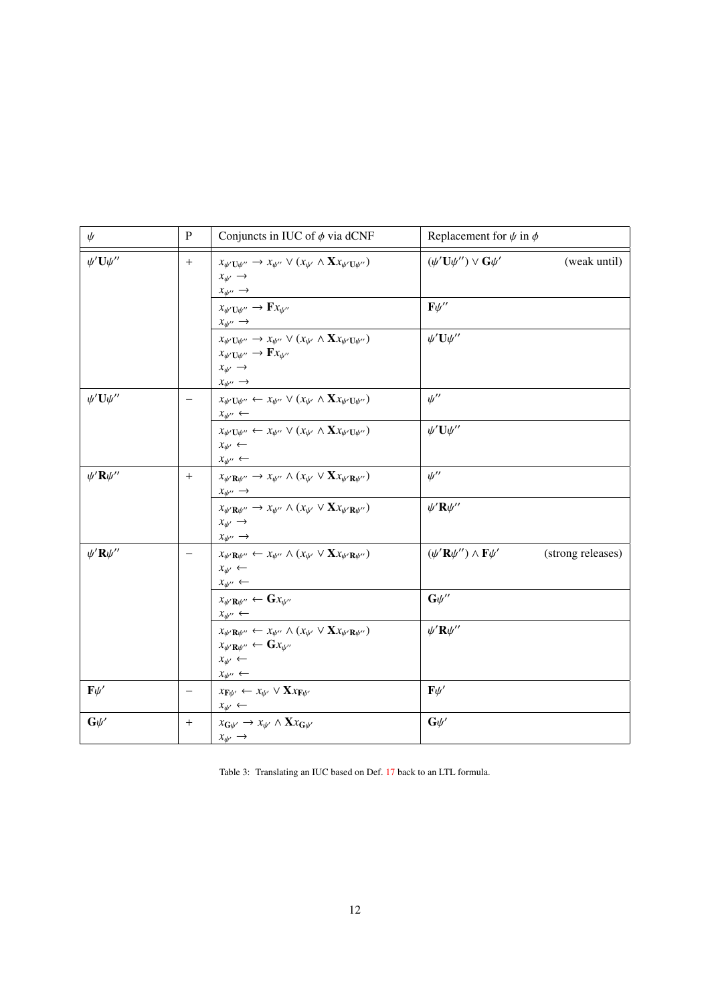| $\psi$                    | $\, {\bf P}$      | Conjuncts in IUC of $\phi$ via dCNF                                                                                                                                                                                                                     | Replacement for $\psi$ in $\phi$                                         |
|---------------------------|-------------------|---------------------------------------------------------------------------------------------------------------------------------------------------------------------------------------------------------------------------------------------------------|--------------------------------------------------------------------------|
| $\psi' U \psi''$          | $+$               | $x_{\psi'} \psi_{\psi''} \to x_{\psi''} \vee (x_{\psi'} \wedge \mathbf{X} x_{\psi'} \psi_{\psi''})$<br>$x_{\psi'} \rightarrow$<br>$x_{\psi^{\prime\prime}} \rightarrow$                                                                                 | (weak until)<br>$(\psi' U \psi'') \vee G \psi'$                          |
|                           |                   | $x_{\psi' \mathbf{U} \psi''} \to \mathbf{F} x_{\psi''}$<br>$x_{\psi^{\prime\prime}} \rightarrow$                                                                                                                                                        | $F\nu''$                                                                 |
|                           |                   | $x_{\psi' \mathbf{U} \psi''} \rightarrow x_{\psi''} \vee (x_{\psi'} \wedge \mathbf{X} x_{\psi' \mathbf{U} \psi''})$<br>$x_{\psi' \mathbf{U} \psi''} \to \mathbf{F} x_{\psi''}$<br>$x_{u'}$ $\rightarrow$<br>$x_{\psi^{\prime\prime}} \rightarrow$       | $\psi' U \psi''$                                                         |
| $\psi' U \psi''$          |                   | $x_{\psi' \mathbf{U} \psi''} \leftarrow x_{\psi''} \vee (x_{\psi'} \wedge \mathbf{X} x_{\psi' \mathbf{U} \psi''})$<br>$x_{\psi^{\prime\prime}} \leftarrow$                                                                                              | $\psi^{\prime\prime}$                                                    |
|                           |                   | $x_{\psi'}$ <sub>U<math>\psi''</math></sub> $\leftarrow$ $x_{\psi''}$ $\vee$ $(x_{\psi'} \wedge \mathbf{X} x_{\psi'}$ <sub>U<math>\psi''</math></sub> )<br>$x_{\psi'} \leftarrow$<br>$x_{u''} \leftarrow$                                               | $\psi' U \psi''$                                                         |
| $\psi' \mathbf{R} \psi''$ | $+$               | $x_{\psi\mathbf{R}\psi\mathbf{W}} \rightarrow x_{\psi\mathbf{W}} \wedge (x_{\psi\mathbf{W}} \vee \mathbf{X} x_{\psi\mathbf{R}\psi\mathbf{W}})$<br>$x_{\psi^{\prime\prime}} \rightarrow$                                                                 | $\psi^{\prime\prime}$                                                    |
|                           |                   | $x_{\psi\text{'}\mathbf{R}\psi\text{''}} \rightarrow x_{\psi\text{''}} \wedge (x_{\psi\text{'} } \vee \mathbf{X} x_{\psi\text{'}\mathbf{R}\psi\text{''}})$<br>$x_{\psi'} \rightarrow$<br>$x_{\psi^{\prime\prime}} \rightarrow$                          | $\psi'\mathbf{R}\psi''$                                                  |
| $\psi' \mathbf{R} \psi''$ |                   | $x_{\psi\text{'}\mathbf{R}\psi\text{''}} \leftarrow x_{\psi\text{''}} \wedge (x_{\psi\text{'}\text{}} \vee \mathbf{X}x_{\psi\text{'}\mathbf{R}\psi\text{''}})$<br>$x_{\psi'} \leftarrow$<br>$x_{\psi^{\prime\prime}} \leftarrow$                        | $(\psi' \mathbf{R} \psi'') \wedge \mathbf{F} \psi'$<br>(strong releases) |
|                           |                   | $x_{\psi'\mathbf{R}\psi''} \leftarrow \mathbf{G}x_{\psi''}$<br>$x_{\psi^{\prime\prime}} \leftarrow$                                                                                                                                                     | $G\psi''$                                                                |
|                           |                   | $x_{\psi\text{'}\mathbf{R}\psi\text{''}} \leftarrow x_{\psi\text{''}} \wedge (x_{\psi\text{'}\text{}} \vee \mathbf{X}x_{\psi\text{'}\mathbf{R}\psi\text{''}})$<br>$x_{\psi'\mathbf{R}\psi''} \leftarrow \mathbf{G}x_{\psi''}$<br>$x_{\psi'} \leftarrow$ | $\psi' \mathbf{R} \psi''$                                                |
| $F\psi'$                  | $\qquad \qquad -$ | $x_{\psi^{\prime\prime}} \leftarrow$<br>$x_{\mathbf{F}\psi'} \leftarrow x_{\psi'} \vee \mathbf{X} x_{\mathbf{F}\psi'}$                                                                                                                                  | $F\nu'$                                                                  |
| $G\nu'$                   | $\ddot{}$         | $x_{\psi'} \leftarrow$<br>$x_{\mathbf{G} \psi'} \to x_{\psi'} \wedge \mathbf{X} x_{\mathbf{G} \psi'}$<br>$x_{\psi'} \rightarrow$                                                                                                                        | $G\psi'$                                                                 |

<span id="page-11-0"></span>Table 3: Translating an IUC based on Def. [17](#page-9-1) back to an LTL formula.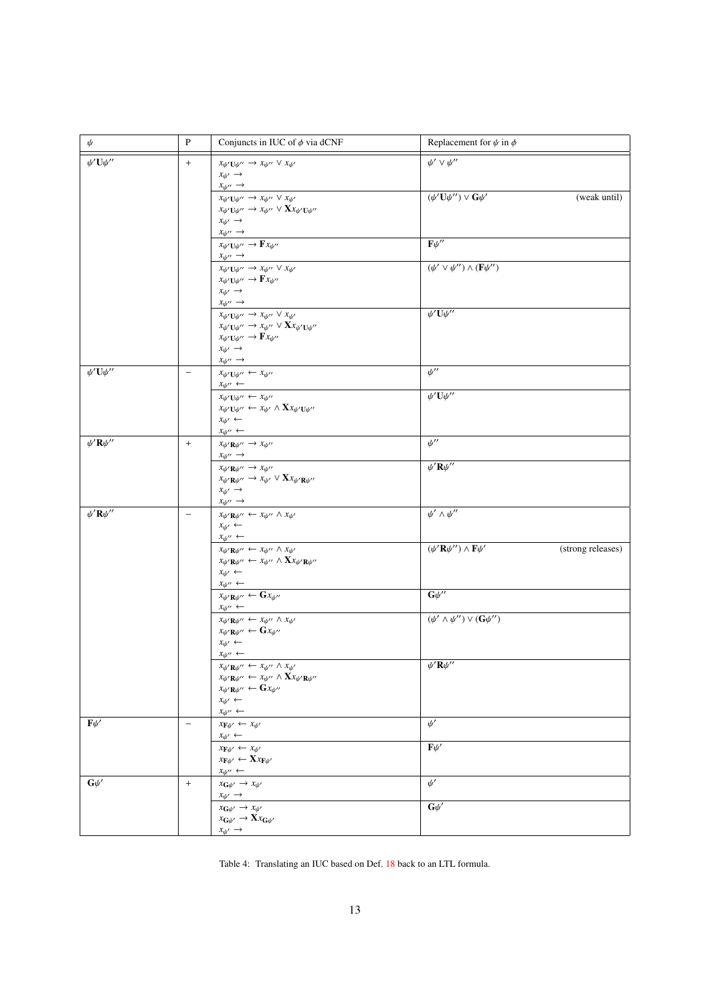| $\psi$                    | $\, {\bf P}$                     | Conjuncts in IUC of $\phi$ via dCNF                                                                                                                                                                                                                                                                                                                                    | Replacement for $\psi$ in $\phi$                                         |
|---------------------------|----------------------------------|------------------------------------------------------------------------------------------------------------------------------------------------------------------------------------------------------------------------------------------------------------------------------------------------------------------------------------------------------------------------|--------------------------------------------------------------------------|
| $\psi' \mathbf{U} \psi''$ | $\begin{array}{c} + \end{array}$ | $x_{\psi'} \mathbf{U}{}_{\psi''} \to x_{\psi''} \vee x_{\psi'}$<br>$x_{\psi'} \rightarrow$                                                                                                                                                                                                                                                                             | $\psi' \vee \psi''$                                                      |
|                           |                                  | $x_{\psi^{\prime\prime}} \rightarrow$<br>$x_{\psi'} {\mathbf U} _{\psi''}\to x_{\psi''}\vee x_{\psi'}$<br>$x_{\psi'} \psi_{\psi''} \rightarrow x_{\psi''} \vee \mathbf{X} x_{\psi'} \psi_{\psi''}$<br>$x_{\psi'} \rightarrow$<br>$x_{\psi^{\prime\prime}} \rightarrow$                                                                                                 | $(\psi' U \psi'') \vee G \psi'$<br>(weak until)                          |
|                           |                                  | $x_{\psi' \mathbf{U} \psi''} \to \mathbf{F} x_{\psi''}$<br>$x_{\psi^{\prime\prime}} \rightarrow$                                                                                                                                                                                                                                                                       | $\mathbf{F}\psi^{\prime\prime}$                                          |
|                           |                                  | $x_{\psi'} {\mathbf U} _{\psi''}\to x_{\psi''}\vee x_{\psi'}$<br>$x_{\psi^\prime {\mathbf{U}} \psi^{\prime\prime}} \to {\mathbf{F}} x_{\psi^{\prime\prime}}$<br>$x_{\psi'} \rightarrow$<br>$x_{\psi^{\prime\prime}} \rightarrow$                                                                                                                                       | $(\psi'\vee\psi'')\wedge ({\bf F}\psi'')$                                |
|                           |                                  | $x_{\psi'} {\mathbf U} \psi'' \, \longrightarrow \, x_{\psi''} \, \vee \, x_{\psi'}$<br>$x_{\psi^\prime}{\mathbf U}{}_{\psi^{\prime\prime}}\to x_{\psi^{\prime\prime}}\vee {\mathbf X} x_{\psi^\prime}{\mathbf U}_{\psi^{\prime\prime}}$<br>$x_{\psi' \mathbf{U} \psi''} \to \mathbf{F} x_{\psi''}$<br>$x_{\psi'} \rightarrow$<br>$x_{\psi^{\prime\prime}}\rightarrow$ | $\psi' U \psi''$                                                         |
| $\psi' U \psi''$          | $\overline{\phantom{m}}$         | $x_{\psi'} \mathbf{U}_{\psi''} \leftarrow x_{\psi''}$<br>$x_{\psi^{\prime\prime}} \leftarrow$                                                                                                                                                                                                                                                                          | $\psi''$                                                                 |
|                           |                                  | $x_{\psi'} {\mathbf U} \psi'' \hspace{0.1 cm} \leftarrow \hspace{0.1 cm} x_{\psi''}$<br>$x_{\psi' \mathbf{U} \psi''} \leftarrow x_{\psi'} \wedge \mathbf{X} x_{\psi' \mathbf{U} \psi''}$<br>$x_{\psi'} \leftarrow$<br>$x_{\psi^{\prime\prime}} \leftarrow$                                                                                                             | $\psi' \mathbf{U} \psi''$                                                |
| $\psi' \mathbf{R} \psi''$ | $\, +$                           | $x_{\psi'}{\mathbf R} _{\psi''}\to x_{\psi''}$<br>$x_{\psi^{\prime\prime}} \rightarrow$                                                                                                                                                                                                                                                                                | $\psi''$                                                                 |
|                           |                                  | $x_{\psi^\prime}\mathbf{R} \psi^{\prime\prime} \rightarrow x_{\psi^{\prime\prime}}$<br>$x_{\psi'\mathbf{R}\psi''} \to x_{\psi'} \vee \mathbf{X} x_{\psi'\mathbf{R}\psi''}$<br>$x_{\psi'} \rightarrow$<br>$x_{\psi^{\prime\prime}} \rightarrow$                                                                                                                         | $\psi' \mathbf{R} \psi''$                                                |
| $\psi'\mathbf{R}\psi''$   |                                  | $x_{\psi'} \mathbf{R} \psi'' \leftarrow x_{\psi''} \wedge x_{\psi'}$<br>$x_{\psi'} \leftarrow$<br>$x_{\psi^{\prime\prime}} \leftarrow$                                                                                                                                                                                                                                 | $\psi'\wedge\psi''$                                                      |
|                           |                                  | $x_{\psi}$ ' <b>R</b> $\psi$ '' $\leftarrow$ $x_{\psi}$ '' $\wedge$ $x_{\psi}$ '<br>$x_{\psi}$ 'R $\psi$ '' $\leftarrow$ $x_{\psi}$ '' $\wedge$ $\mathbf{X}$ $x_{\psi}$ 'R $\psi$ ''<br>$x_{\psi'} \leftarrow$<br>$x_{\psi^{\prime\prime}} \leftarrow$                                                                                                                 | $(\psi' \mathbf{R} \psi'') \wedge \mathbf{F} \psi'$<br>(strong releases) |
|                           |                                  | $x_{\psi'\mathbf{R}\psi''}\leftarrow \mathbf{G}x_{\psi''}$<br>$x_{\psi^{\prime\prime}} \leftarrow$                                                                                                                                                                                                                                                                     | $G\psi''$                                                                |
|                           |                                  | $x_{\psi'}$ <b>R</b> $_{\psi''}$ $\leftarrow$ $x_{\psi''}$ $\wedge$ $x_{\psi'}$<br>$x_{\psi'\mathbf{R}\psi''} \leftarrow \mathbf{G}x_{\psi''}$<br>$x_{\psi'} \leftarrow$<br>$x_{\psi^{\prime\prime}} \leftarrow$                                                                                                                                                       | $(\psi' \wedge \psi'') \vee (\mathsf{G} \psi'')$                         |
|                           |                                  | $x_{\psi'} \mathbf{R} \psi'' \leftarrow x_{\psi''} \wedge x_{\psi'}$<br>$x_{\psi'} \mathbf{R} \psi'' \leftarrow x_{\psi''} \wedge \mathbf{X} x_{\psi'} \mathbf{R} \psi''$<br>$x_{\psi^\prime}\mathbf{R}{}_{\psi^{\prime\prime}}\leftarrow \mathbf{G}{}_{x_{\psi^{\prime\prime}}}$<br>$x_{\psi'} \leftarrow$<br>$x_{\psi^{\prime\prime}} \leftarrow$                    | $\psi'\mathbf{R}\psi''$                                                  |
| $F\psi'$                  | $\overline{\phantom{m}}$         | $x_{\mathbf{F}\psi'} \leftarrow x_{\psi'}$<br>$x_{\psi'} \leftarrow$                                                                                                                                                                                                                                                                                                   | $\psi'$                                                                  |
|                           |                                  | $x_{\mathbf{F}\psi'} \leftarrow x_{\psi'}$<br>$x_{\mathbf{F}\psi'} \leftarrow \mathbf{X} x_{\mathbf{F}\psi'}$<br>$x_{\psi^{\prime\prime}} \leftarrow$                                                                                                                                                                                                                  | $\mathbf{F}\psi'$                                                        |
| $G\psi'$                  | $+$                              | $x_{\mathbf{G} \psi'} \rightarrow x_{\psi'}$<br>$x_{\psi'} \rightarrow$                                                                                                                                                                                                                                                                                                | $\psi'$                                                                  |
|                           |                                  | $x_{\mathbf{G} \psi'} \rightarrow x_{\psi'}$<br>$x_{\mathbf{G} \psi'} \rightarrow \mathbf{X} x_{\mathbf{G} \psi'}$<br>$x_{\psi'} \rightarrow$                                                                                                                                                                                                                          | $G\psi'$                                                                 |

<span id="page-12-0"></span>Table 4: Translating an IUC based on Def. [18](#page-10-1) back to an LTL formula.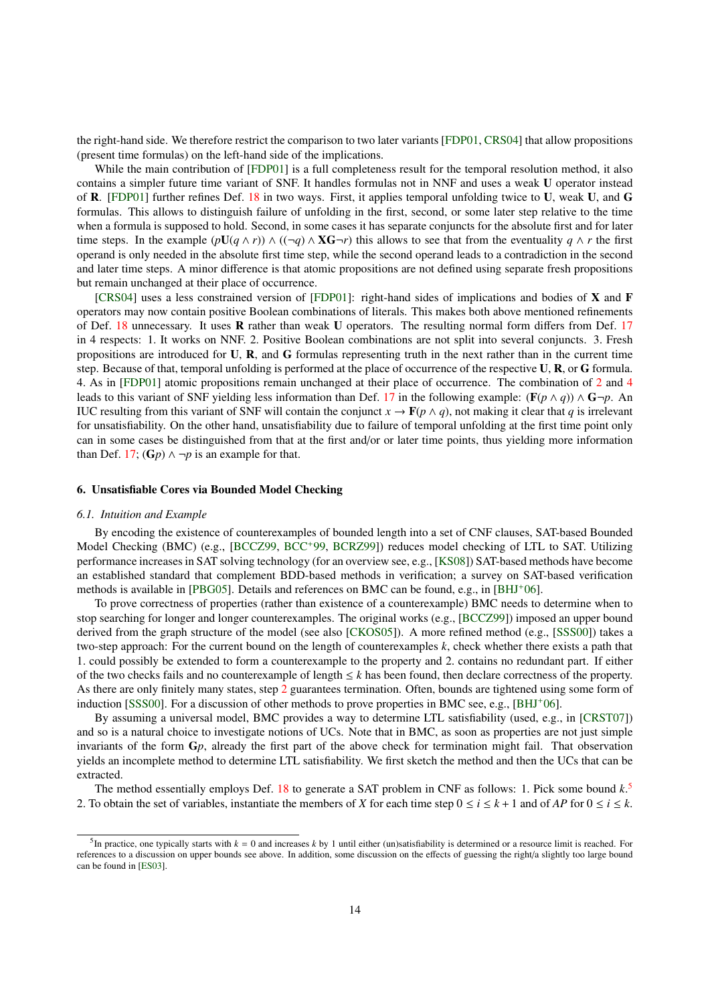<span id="page-13-5"></span>the right-hand side. We therefore restrict the comparison to two later variants [\[FDP01,](#page-37-12) [CRS04\]](#page-36-16) that allow propositions (present time formulas) on the left-hand side of the implications.

While the main contribution of [\[FDP01\]](#page-37-12) is a full completeness result for the temporal resolution method, it also contains a simpler future time variant of SNF. It handles formulas not in NNF and uses a weak U operator instead of R. [\[FDP01\]](#page-37-12) further refines Def. [18](#page-10-1) in two ways. First, it applies temporal unfolding twice to U, weak U, and G formulas. This allows to distinguish failure of unfolding in the first, second, or some later step relative to the time when a formula is supposed to hold. Second, in some cases it has separate conjuncts for the absolute first and for later time steps. In the example  $(pU(q \wedge r)) \wedge ((\neg q) \wedge \mathbf{X} \mathbf{G} \neg r)$  this allows to see that from the eventuality  $q \wedge r$  the first operand is only needed in the absolute first time step, while the second operand leads to a contradiction in the second and later time steps. A minor difference is that atomic propositions are not defined using separate fresh propositions but remain unchanged at their place of occurrence.

<span id="page-13-2"></span><span id="page-13-1"></span>[\[CRS04\]](#page-36-16) uses a less constrained version of [\[FDP01\]](#page-37-12): right-hand sides of implications and bodies of X and F operators may now contain positive Boolean combinations of literals. This makes both above mentioned refinements of Def. [18](#page-10-1) unnecessary. It uses R rather than weak U operators. The resulting normal form differs from Def. [17](#page-9-1) in 4 respects: 1. It works on NNF. 2. Positive Boolean combinations are not split into several conjuncts. 3. Fresh propositions are introduced for  $U$ ,  $R$ , and  $G$  formulas representing truth in the next rather than in the current time step. Because of that, temporal unfolding is performed at the place of occurrence of the respective U, R, or G formula. 4. As in [\[FDP01\]](#page-37-12) atomic propositions remain unchanged at their place of occurrence. The combination of [2](#page-13-1) and [4](#page-13-2) leads to this variant of SNF yielding less information than Def. [17](#page-9-1) in the following example: ( $\mathbf{F}(p \wedge q)$ )  $\wedge$  G $\neg p$ . An IUC resulting from this variant of SNF will contain the conjunct  $x \to \mathbf{F}(p \land q)$ , not making it clear that *q* is irrelevant for unsatisfiability. On the other hand, unsatisfiability due to failure of temporal unfolding at the first time point only can in some cases be distinguished from that at the first and/or or later time points, thus yielding more information than Def. [17;](#page-9-1)  $(Gp) \wedge \neg p$  is an example for that.

# <span id="page-13-0"></span>6. Unsatisfiable Cores via Bounded Model Checking

# *6.1. Intuition and Example*

By encoding the existence of counterexamples of bounded length into a set of CNF clauses, SAT-based Bounded Model Checking (BMC) (e.g., [\[BCCZ99,](#page-35-4) [BCC](#page-35-6)+99, [BCRZ99\]](#page-35-7)) reduces model checking of LTL to SAT. Utilizing performance increases in SAT solving technology (for an overview see, e.g., [\[KS08\]](#page-37-16)) SAT-based methods have become an established standard that complement BDD-based methods in verification; a survey on SAT-based verification methods is available in [\[PBG05\]](#page-38-16). Details and references on BMC can be found, e.g., in [\[BHJ](#page-36-17)+06].

<span id="page-13-3"></span>To prove correctness of properties (rather than existence of a counterexample) BMC needs to determine when to stop searching for longer and longer counterexamples. The original works (e.g., [\[BCCZ99\]](#page-35-4)) imposed an upper bound derived from the graph structure of the model (see also [\[CKOS05\]](#page-36-18)). A more refined method (e.g., [\[SSS00\]](#page-38-17)) takes a two-step approach: For the current bound on the length of counterexamples *k*, check whether there exists a path that 1. could possibly be extended to form a counterexample to the property and 2. contains no redundant part. If either of the two checks fails and no counterexample of length ≤ *k* has been found, then declare correctness of the property. As there are only finitely many states, step [2](#page-13-3) guarantees termination. Often, bounds are tightened using some form of induction [\[SSS00\]](#page-38-17). For a discussion of other methods to prove properties in BMC see, e.g., [\[BHJ](#page-36-17)+06].

By assuming a universal model, BMC provides a way to determine LTL satisfiability (used, e.g., in [\[CRST07\]](#page-36-11)) and so is a natural choice to investigate notions of UCs. Note that in BMC, as soon as properties are not just simple invariants of the form G*p*, already the first part of the above check for termination might fail. That observation yields an incomplete method to determine LTL satisfiability. We first sketch the method and then the UCs that can be extracted.

The method essentially employs Def. [18](#page-10-1) to generate a SAT problem in CNF as follows: 1. Pick some bound *k*. [5](#page-13-4) 2. To obtain the set of variables, instantiate the members of *X* for each time step  $0 \le i \le k+1$  and of *AP* for  $0 \le i \le k$ .

<span id="page-13-4"></span><sup>&</sup>lt;sup>5</sup>In practice, one typically starts with  $k = 0$  and increases k by 1 until either (un)satisfiability is determined or a resource limit is reached. For references to a discussion on upper bounds see above. In addition, some discussion on the effects of guessing the right/a slightly too large bound can be found in [\[ES03\]](#page-37-17).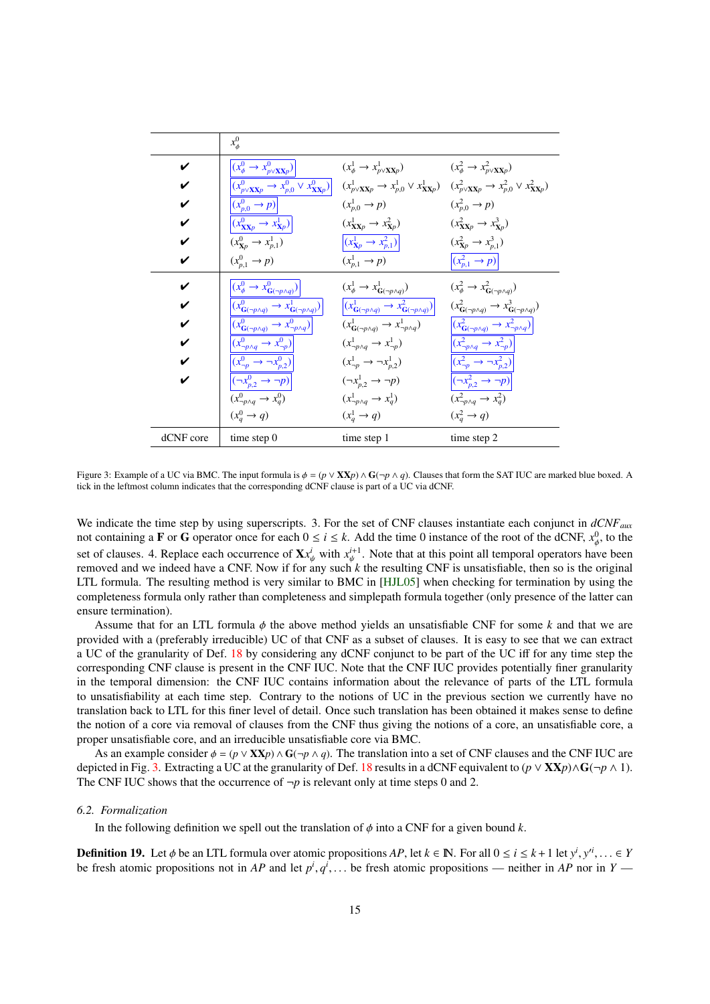<span id="page-14-1"></span>

| $x^0_\phi$                                                            |                                                                                                                                                                                               |                                                                                                         |
|-----------------------------------------------------------------------|-----------------------------------------------------------------------------------------------------------------------------------------------------------------------------------------------|---------------------------------------------------------------------------------------------------------|
| $(x^0_{\phi} \rightarrow x^0_{p \vee xx_p})$                          | $(x^1_\phi \rightarrow x^1_{p \vee \mathbf{XX} p})$                                                                                                                                           | $(x^2_{\phi} \rightarrow x^2_{p \vee \mathbf{X} \mathbf{X} p})$                                         |
|                                                                       | $(x^1_{p\vee \mathbf{X}\mathbf{X}p} \rightarrow x^1_{p,0} \vee x^1_{\mathbf{X}\mathbf{X}p}) \quad (x^2_{p\vee \mathbf{X}\mathbf{X}p} \rightarrow x^2_{p,0} \vee x^2_{\mathbf{X}\mathbf{X}p})$ |                                                                                                         |
| $(x_{p,0}^0 \rightarrow p)$                                           | $(x_{p,0}^1 \to p)$                                                                                                                                                                           | $(x_{n0}^2 \rightarrow p)$                                                                              |
| $(x^0_{\mathbf{XX}p} \rightarrow x^1_{\mathbf{X}p})$                  | $(x^1_{\mathbf{XX}p} \rightarrow x^2_{\mathbf{X}p})$                                                                                                                                          | $(x^2_{\mathbf{X}\mathbf{X}^n} \rightarrow x^3_{\mathbf{X}^n})$                                         |
| $(x_{\mathbf{X}_p}^0 \to x_{p,1}^1)$                                  | $\left  \overline{(x_{\mathbf{X}p}^1 \rightarrow x_{p,1}^2)} \right $                                                                                                                         | $(x_{\mathbf{X}p}^2 \rightarrow x_{n,1}^3)$                                                             |
| $(x_{n-1}^0 \rightarrow p)$                                           | $(x_{n,1}^1 \rightarrow p)$                                                                                                                                                                   | $\left  \overline{(x_{p,1}^2 \rightarrow p)} \right $                                                   |
|                                                                       | $(x^1_{\phi} \rightarrow x^1_{\mathbf{G}(\neg p \wedge q)})$                                                                                                                                  | $(x^2_{\phi} \rightarrow x^2_{\mathbf{G}(\neg p \wedge q)})$                                            |
|                                                                       | $ (x^1_{\mathbf{G}(\neg p \land q)} \to x^2_{\mathbf{G}(\neg p \land q)}) $                                                                                                                   | $(x_{\mathbf{G}(\neg p \land q)}^2 \rightarrow x_{\mathbf{G}(\neg p \land q)}^3)$                       |
| $(x_{\mathbf{G}(\neg p \land q)}^0 \rightarrow x_{\neg p \land q}^0)$ | $(x_{\mathbf{G}(\neg p \land q)}^1 \rightarrow x_{\neg p \land q}^1)$                                                                                                                         | $\left  (x_{\mathbf{G}(\neg p \land q)}^2 \rightarrow x_{\neg p \land q}^2) \right $                    |
| $(x_{\neg p \land q}^0 \rightarrow x_{\neg p}^0)$                     | $(x_{\neg p \wedge q}^1 \rightarrow x_{\neg p}^1)$                                                                                                                                            | $(x_{\neg p \wedge a}^2 \rightarrow x_{\neg p}^2)$                                                      |
| $\overline{(x_{\neg p}^0 \rightarrow \neg x_{p,2}^0)}$                | $(x_{\neg p}^1 \rightarrow \neg x_{n}^1)$                                                                                                                                                     | $(x_{\neg p}^2 \rightarrow \neg x_{p,2}^2)$                                                             |
| $\left  \left( \neg x_{p,2}^{0} \rightarrow \neg p \right) \right $   | $(\neg x^1_{n,2} \rightarrow \neg p)$                                                                                                                                                         | $\left  \sqrt{-x_{p,2}^2 \rightarrow \neg p} \right $                                                   |
| $(x_{\neg p \wedge q}^0 \rightarrow x_q^0)$                           | $(x_{\neg p \land q}^1 \rightarrow x_q^1)$                                                                                                                                                    | $(x_{\neg p \land q}^2 \rightarrow x_q^2)$                                                              |
| $(x_a^0 \rightarrow q)$                                               | $(x_a^1 \rightarrow q)$                                                                                                                                                                       | $(x_a^2 \rightarrow q)$                                                                                 |
| time step $0$                                                         | time step 1                                                                                                                                                                                   | time step 2                                                                                             |
|                                                                       | $\sqrt{(x_{\phi}^0 \rightarrow x_{\mathbf{G}(\neg p \land q)}^0)}$<br>$(x_{\mathbf{G}(\neg p \land q)}^0 \rightarrow x_{\mathbf{G}(\neg p \land q)}^1)$                                       | $\overline{(x_{p\vee \mathbf{X}\mathbf{X}p}^0 \rightarrow x_{p,0}^0 \vee x_{\mathbf{X}\mathbf{X}p}^0)}$ |

<span id="page-14-0"></span>Figure 3: Example of a UC via BMC. The input formula is  $\phi = (p \vee \mathbf{XX}p) \wedge \mathbf{G}(\neg p \wedge q)$ . Clauses that form the SAT IUC are marked blue boxed. A tick in the leftmost column indicates that the corresponding dCNF clause is part of a UC via dCNF.

We indicate the time step by using superscripts. 3. For the set of CNF clauses instantiate each conjunct in *dCNFaux* not containing a **F** or **G** operator once for each  $0 \le i \le k$ . Add the time 0 instance of the root of the dCNF,  $x^0_{\phi}$ , to the set of clauses. 4. Replace each occurrence of  $Xx^i_{\psi}$  with  $x^{i+1}_{\psi}$ . Note that at this point all temporal operators have been<br>removed and we indeed have a CNE Now if for any such k the resulting CNE is unsatisfiable removed and we indeed have a CNF. Now if for any such  $k$  the resulting CNF is unsatisfiable, then so is the original LTL formula. The resulting method is very similar to BMC in [\[HJL05\]](#page-37-18) when checking for termination by using the completeness formula only rather than completeness and simplepath formula together (only presence of the latter can ensure termination).

Assume that for an LTL formula φ the above method yields an unsatisfiable CNF for some *<sup>k</sup>* and that we are provided with a (preferably irreducible) UC of that CNF as a subset of clauses. It is easy to see that we can extract a UC of the granularity of Def. [18](#page-10-1) by considering any dCNF conjunct to be part of the UC iff for any time step the corresponding CNF clause is present in the CNF IUC. Note that the CNF IUC provides potentially finer granularity in the temporal dimension: the CNF IUC contains information about the relevance of parts of the LTL formula to unsatisfiability at each time step. Contrary to the notions of UC in the previous section we currently have no translation back to LTL for this finer level of detail. Once such translation has been obtained it makes sense to define the notion of a core via removal of clauses from the CNF thus giving the notions of a core, an unsatisfiable core, a proper unsatisfiable core, and an irreducible unsatisfiable core via BMC.

As an example consider  $\phi = (p \vee \mathbf{X} \mathbf{X} p) \wedge \mathbf{G}(\neg p \wedge q)$ . The translation into a set of CNF clauses and the CNF IUC are depicted in Fig. [3.](#page-14-0) Extracting a UC at the granularity of Def. [18](#page-10-1) results in a dCNF equivalent to  $(p \vee$ **XX** $p$ ) $\wedge$ **G**( $\neg$  $p \wedge$ 1). The CNF IUC shows that the occurrence of  $\neg p$  is relevant only at time steps 0 and 2.

# *6.2. Formalization*

In the following definition we spell out the translation of  $\phi$  into a CNF for a given bound *k*.

**Definition 19.** Let  $\phi$  be an LTL formula over atomic propositions *AP*, let  $k \in \mathbb{N}$ . For all  $0 \le i \le k+1$  let  $y^i, y'^i, \dots \in Y$  be fresh atomic propositions  $\rightarrow$  perither in *AP* and in *Y*  $\rightarrow$ be fresh atomic propositions not in *AP* and let  $p^i, q^i, \ldots$  be fresh atomic propositions — neither in *AP* nor in *Y* —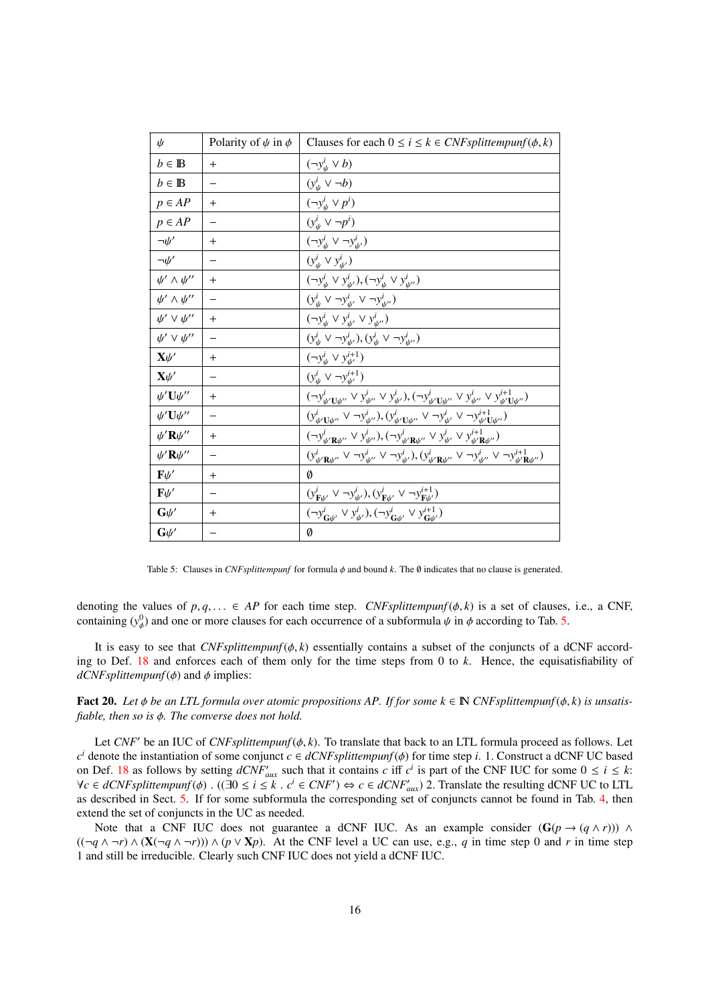| $\psi$                    | Polarity of $\psi$ in $\phi$     | Clauses for each $0 \le i \le k \in CNF$ splittempunf( $\phi$ , k)                                                                                                                 |
|---------------------------|----------------------------------|------------------------------------------------------------------------------------------------------------------------------------------------------------------------------------|
| $b \in \mathbb{B}$        | $^{+}$                           | $(\neg y_{\psi}^{\iota} \vee b)$                                                                                                                                                   |
| $b \in \mathbb{B}$        |                                  | $(y^i_{\psi} \vee \neg b)$                                                                                                                                                         |
| $p \in AP$                | $+$                              | $(\neg y_{\psi}^i \vee p^i)$                                                                                                                                                       |
| $p \in AP$                | $\overbrace{\phantom{12322111}}$ | $(y_{ik}^i \vee \neg p^i)$                                                                                                                                                         |
| $\neg \psi'$              | $+$                              | $(\neg y_{ik}^i \lor \neg y_{ik'}^i)$                                                                                                                                              |
| $\neg\psi'$               |                                  | $(y_{ik}^{i} \vee y_{ik'}^{i})$                                                                                                                                                    |
| $\psi'\wedge\psi''$       | $^{+}$                           | $(\neg y_{\psi}^i \lor y_{\psi'}^i), (\neg y_{\psi}^i \lor y_{\psi''}^i)$                                                                                                          |
| $\psi'\wedge\psi''$       | $\overline{\phantom{0}}$         | $(y^i_{\psi} \vee \neg y^i_{\psi'} \vee \neg y^i_{\psi''})$                                                                                                                        |
| $\psi' \vee \psi''$       | $+$                              | $(\neg y^i_{\psi} \lor y^i_{\psi'} \lor y^i_{\psi''})$                                                                                                                             |
| $\psi' \vee \psi''$       |                                  | $(y_{ik}^i \vee \neg y_{ik'}^i), (y_{ik}^i \vee \neg y_{ik'}^i)$                                                                                                                   |
| ${\bf X}\psi'$            | $+$                              | $(\neg y_{\psi}^{i} \lor y_{\psi'}^{i+1})$                                                                                                                                         |
| ${\bf X}\psi'$            | $\qquad \qquad -$                | $(y_{ik}^i \vee \neg y_{ik'}^{i+1})$                                                                                                                                               |
| $\psi' U \psi''$          | $+$                              | $(\neg y^i_{\psi' \mathbf{U} \psi''} \vee y^i_{\psi''} \vee y^i_{\psi'}), (\neg y^i_{\psi' \mathbf{U} \psi''} \vee y^i_{\psi''} \vee y^{i+1}_{\psi' \mathbf{U} \psi''})$           |
| $\psi' U \psi''$          |                                  | $(y^i_{\psi' \mathbf{U} \psi''} \vee \neg y^i_{\psi''}), (y^i_{\psi' \mathbf{U} \psi''} \vee \neg y^i_{\psi'} \vee \neg y^{i+1}_{\psi' \mathbf{U} \psi''})$                        |
| $\psi' \mathbf{R} \psi''$ | $+$                              | $(\neg y^i_{\psi' \mathbf{R} \psi''} \lor y^i_{\psi''}), (\neg y^i_{\psi' \mathbf{R} \psi''} \lor y^i_{\psi'} \lor y^{i+1}_{\psi' \mathbf{R} \psi''})$                             |
| $\psi' \mathbf{R} \psi''$ | $\overline{\phantom{0}}$         | $(y^i_{\psi' \mathbf{R} \psi''} \vee \neg y^i_{\psi''} \vee \neg y^i_{\psi'}), (y^i_{\psi' \mathbf{R} \psi''} \vee \neg y^i_{\psi''} \vee \neg y^{i+1}_{\psi' \mathbf{R} \psi''})$ |
| ${\bf F} \psi'$           | $+$                              | Ø                                                                                                                                                                                  |
| ${\bf F} \psi'$           |                                  | $(y_{\mathbf{F}\psi'}^i \lor \neg y_{\psi'}^i), (y_{\mathbf{F}\psi'}^i \lor \neg y_{\mathbf{F}\psi'}^{i+1})$                                                                       |
| $G\psi'$                  | $+$                              | $(\neg y_{{\bf G} \psi'}^{i} \vee y_{\psi'}^{i}), (\neg y_{{\bf G} \psi'}^{i} \vee y_{{\bf G} \psi'}^{i+1})$                                                                       |
| $G\psi'$                  |                                  | Ø                                                                                                                                                                                  |

Table 5: Clauses in *CNFsplittempunf* for formula φ and bound *<sup>k</sup>*. The <sup>∅</sup> indicates that no clause is generated.

<span id="page-15-0"></span>denoting the values of  $p, q, \ldots \in AP$  for each time step. *CNFsplittempunf*( $\phi$ , *k*) is a set of clauses, i.e., a CNF, containing  $(y^0_d)$  $\phi$ ) and one or more clauses for each occurrence of a subformula  $\psi$  in  $\phi$  according to Tab. [5.](#page-15-0)

It is easy to see that *CNFsplittempunf*(φ, *<sup>k</sup>*) essentially contains a subset of the conjuncts of a dCNF according to Def. [18](#page-10-1) and enforces each of them only for the time steps from 0 to *k*. Hence, the equisatisfiability of  $dCNFsplittempunf(\phi)$  and  $\phi$  implies:

Fact 20. Let  $\phi$  be an LTL formula over atomic propositions AP. If for some  $k \in \mathbb{N}$  CNFsplittempunf $(\phi, k)$  is unsatis*fiable, then so is* φ*. The converse does not hold.*

Let *CNF'* be an IUC of *CNFsplittempunf*( $\phi$ , *k*). To translate that back to an LTL formula proceed as follows. Let *c*<sup>*i*</sup> denote the instantiation of some conjunct *c* ∈ *dCNFsplittempunf*( $\phi$ ) for time step *i*. 1. Construct a dCNF UC based on Def 18 as follows by setting *dCNF'* such that it contains *c* iff  $c^i$  is part of the on Def. [18](#page-10-1) as follows by setting  $dCNF'_{aux}$  such that it contains *c* iff  $c^i$  is part of the CNF IUC for some  $0 \le i \le k$ : *∀c* ∈ *dCNFsplittempunf*( $\phi$ ). ((∃0 ≤ *i* ≤ *k* . *c*<sup>*i*</sup> ∈ *CNF'*) ⇔ *c* ∈ *dCNF'<sub>aux</sub>*) 2. Translate the resulting dCNF UC to LTL as described in Sect. 5. If for some subformula the corresponding set of conjuncts ca as described in Sect. [5.](#page-4-0) If for some subformula the corresponding set of conjuncts cannot be found in Tab. [4,](#page-12-0) then extend the set of conjuncts in the UC as needed.

Note that a CNF IUC does not guarantee a dCNF IUC. As an example consider  $(G(p \rightarrow (q \land r))) \land$  $((\neg q \land \neg r) \land (\mathbf{X}(\neg q \land \neg r))) \land (p \lor \mathbf{X}p)$ . At the CNF level a UC can use, e.g., *q* in time step 0 and *r* in time step 1 and still be irreducible. Clearly such CNF IUC does not yield a dCNF IUC.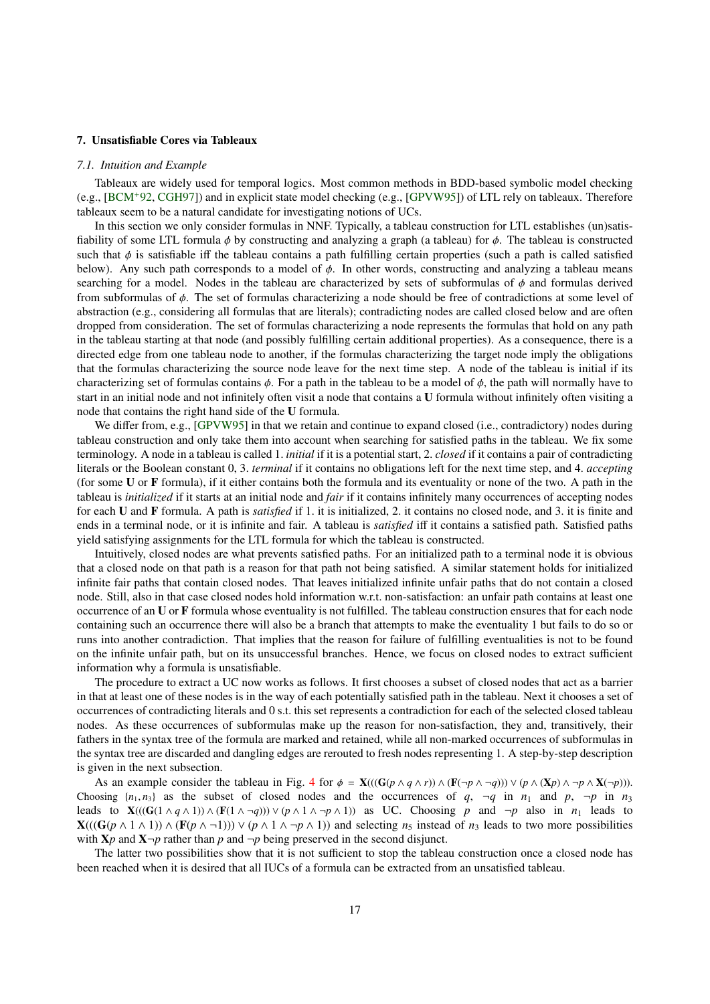# <span id="page-16-1"></span><span id="page-16-0"></span>7. Unsatisfiable Cores via Tableaux

#### *7.1. Intuition and Example*

Tableaux are widely used for temporal logics. Most common methods in BDD-based symbolic model checking (e.g., [\[BCM](#page-35-8)<sup>+</sup>92, [CGH97\]](#page-36-19)) and in explicit state model checking (e.g., [\[GPVW95\]](#page-37-5)) of LTL rely on tableaux. Therefore tableaux seem to be a natural candidate for investigating notions of UCs.

In this section we only consider formulas in NNF. Typically, a tableau construction for LTL establishes (un)satisfiability of some LTL formula  $\phi$  by constructing and analyzing a graph (a tableau) for  $\phi$ . The tableau is constructed such that  $\phi$  is satisfiable iff the tableau contains a path fulfilling certain properties (such a path is called satisfied below). Any such path corresponds to a model of  $\phi$ . In other words, constructing and analyzing a tableau means searching for a model. Nodes in the tableau are characterized by sets of subformulas of  $\phi$  and formulas derived from subformulas of φ. The set of formulas characterizing a node should be free of contradictions at some level of abstraction (e.g., considering all formulas that are literals); contradicting nodes are called closed below and are often dropped from consideration. The set of formulas characterizing a node represents the formulas that hold on any path in the tableau starting at that node (and possibly fulfilling certain additional properties). As a consequence, there is a directed edge from one tableau node to another, if the formulas characterizing the target node imply the obligations that the formulas characterizing the source node leave for the next time step. A node of the tableau is initial if its characterizing set of formulas contains  $\phi$ . For a path in the tableau to be a model of  $\phi$ , the path will normally have to start in an initial node and not infinitely often visit a node that contains a U formula without infinitely often visiting a node that contains the right hand side of the U formula.

We differ from, e.g., [\[GPVW95\]](#page-37-5) in that we retain and continue to expand closed (i.e., contradictory) nodes during tableau construction and only take them into account when searching for satisfied paths in the tableau. We fix some terminology. A node in a tableau is called 1. *initial* if it is a potential start, 2. *closed* if it contains a pair of contradicting literals or the Boolean constant 0, 3. *terminal* if it contains no obligations left for the next time step, and 4. *accepting* (for some U or F formula), if it either contains both the formula and its eventuality or none of the two. A path in the tableau is *initialized* if it starts at an initial node and *fair* if it contains infinitely many occurrences of accepting nodes for each U and F formula. A path is *satisfied* if 1. it is initialized, 2. it contains no closed node, and 3. it is finite and ends in a terminal node, or it is infinite and fair. A tableau is *satisfied* iff it contains a satisfied path. Satisfied paths yield satisfying assignments for the LTL formula for which the tableau is constructed.

Intuitively, closed nodes are what prevents satisfied paths. For an initialized path to a terminal node it is obvious that a closed node on that path is a reason for that path not being satisfied. A similar statement holds for initialized infinite fair paths that contain closed nodes. That leaves initialized infinite unfair paths that do not contain a closed node. Still, also in that case closed nodes hold information w.r.t. non-satisfaction: an unfair path contains at least one occurrence of an U or F formula whose eventuality is not fulfilled. The tableau construction ensures that for each node containing such an occurrence there will also be a branch that attempts to make the eventuality 1 but fails to do so or runs into another contradiction. That implies that the reason for failure of fulfilling eventualities is not to be found on the infinite unfair path, but on its unsuccessful branches. Hence, we focus on closed nodes to extract sufficient information why a formula is unsatisfiable.

The procedure to extract a UC now works as follows. It first chooses a subset of closed nodes that act as a barrier in that at least one of these nodes is in the way of each potentially satisfied path in the tableau. Next it chooses a set of occurrences of contradicting literals and 0 s.t. this set represents a contradiction for each of the selected closed tableau nodes. As these occurrences of subformulas make up the reason for non-satisfaction, they and, transitively, their fathers in the syntax tree of the formula are marked and retained, while all non-marked occurrences of subformulas in the syntax tree are discarded and dangling edges are rerouted to fresh nodes representing 1. A step-by-step description is given in the next subsection.

As an example consider the tableau in Fig. [4](#page-17-0) for  $\phi = \mathbf{X}(((\mathbf{G}(p \land q \land r)) \land (\mathbf{F}(\neg p \land \neg q))) \lor (p \land (\mathbf{X}p) \land \neg p \land \mathbf{X}(\neg p)))$ . Choosing  $\{n_1, n_3\}$  as the subset of closed nodes and the occurrences of *q*,  $\neg q$  in *n*<sub>1</sub> and *p*,  $\neg p$  in *n*<sub>3</sub> leads to  $\mathbf{X}(((\mathbf{G}(1 \wedge q \wedge 1)) \wedge (\mathbf{F}(1 \wedge \neg q))) \vee (p \wedge 1 \wedge \neg p \wedge 1))$  as UC. Choosing *p* and  $\neg p$  also in *n*<sub>1</sub> leads to  ${\bf X}(((G(p \land 1 \land 1)) \land ({\bf F}(p \land \neg 1))) \lor (p \land 1 \land \neg p \land 1))$  and selecting  $n_5$  instead of  $n_3$  leads to two more possibilities with  $X_p$  and  $X\neg p$  rather than p and  $\neg p$  being preserved in the second disjunct.

The latter two possibilities show that it is not sufficient to stop the tableau construction once a closed node has been reached when it is desired that all IUCs of a formula can be extracted from an unsatisfied tableau.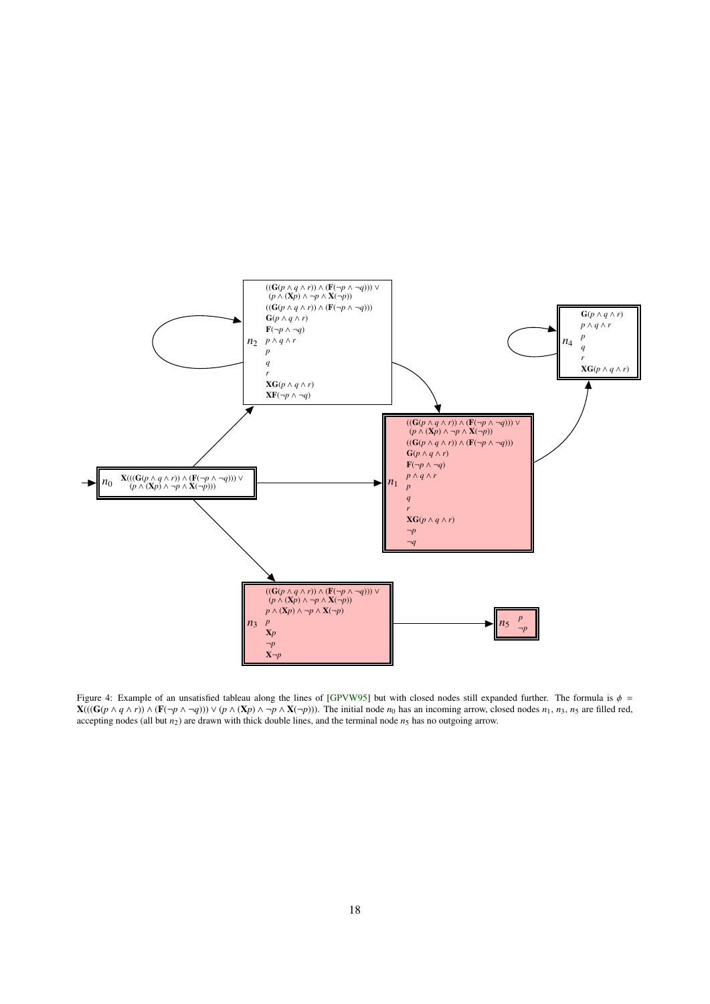<span id="page-17-1"></span>

<span id="page-17-0"></span>Figure 4: Example of an unsatisfied tableau along the lines of [\[GPVW95\]](#page-37-5) but with closed nodes still expanded further. The formula is  $\phi$  =  $\mathbf{X}(((\mathbf{G}(p \wedge q \wedge r)) \wedge (\mathbf{F}(\neg p \wedge \neg q))) \vee (p \wedge (\mathbf{X}p) \wedge \neg p \wedge \mathbf{X}(\neg p)))$ . The initial node  $n_0$  has an incoming arrow, closed nodes  $n_1, n_3, n_5$  are filled red, accepting nodes (all but  $n_2$ ) are drawn with thick double lines, and the terminal node  $n_5$  has no outgoing arrow.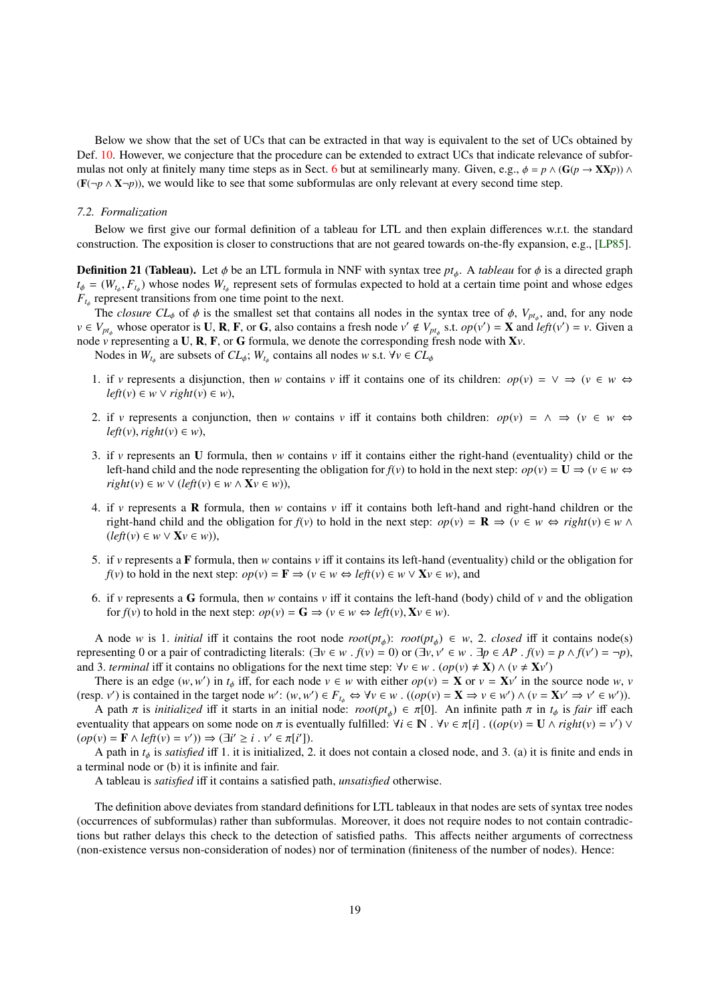<span id="page-18-2"></span>Below we show that the set of UCs that can be extracted in that way is equivalent to the set of UCs obtained by Def. [10.](#page-4-1) However, we conjecture that the procedure can be extended to extract UCs that indicate relevance of subfor-mulas not only at finitely many time steps as in Sect. [6](#page-13-0) but at semilinearly many. Given, e.g.,  $\phi = p \land (G(p \rightarrow XXp))$   $\land$ (F(¬*p* ∧ X¬*p*)), we would like to see that some subformulas are only relevant at every second time step.

#### *7.2. Formalization*

Below we first give our formal definition of a tableau for LTL and then explain differences w.r.t. the standard construction. The exposition is closer to constructions that are not geared towards on-the-fly expansion, e.g., [\[LP85\]](#page-37-19).

<span id="page-18-0"></span>**Definition 21 (Tableau).** Let  $\phi$  be an LTL formula in NNF with syntax tree  $pt_{\phi}$ . A *tableau* for  $\phi$  is a directed graph  $t_{\phi} = (W - F)$  whose nodes W represent sets of formulas expected to hold at a certain time poi  $t_{\phi} = (W_{t_{\phi}}, F_{t_{\phi}})$  whose nodes  $W_{t_{\phi}}$  represent sets of formulas expected to hold at a certain time point and whose edges  $F_{t_{\phi}}$  represent transitions from one time point to the next  $F_{t_{\phi}}$  represent transitions from one time point to the next.

The *closure CL<sub>φ</sub>* of  $\phi$  is the smallest set that contains all nodes in the syntax tree of  $\phi$ ,  $V_{pt_{\phi}}$ , and, for any node  $V$ , whose operator is **URF** or **G** also contains a fresh node  $v' \notin V$ , s.t. *on(v'*) = **X**  $v \in V_{pt_{\phi}}$  whose operator is **U, R, F,** or **G**, also contains a fresh node  $v' \notin V_{pt_{\phi}}$  s.t.  $op(v') = \mathbf{X}$  and *left*( $v'$ ) = *v*. Given a node *v* representing a U, **R**, **F**, or **G** formula, we denote the corresponding fresh node with **X***v*.

Nodes in  $W_{t_{\phi}}$  are subsets of  $CL_{\phi}$ ;  $W_{t_{\phi}}$  contains all nodes  $w$  s.t.  $\forall v \in CL_{\phi}$ 

- 1. if *v* represents a disjunction, then *w* contains *v* iff it contains one of its children:  $op(v) = \vee \Rightarrow (v \in w \Leftrightarrow v)$ *left*(*v*) ∈ *w* ∨ *right*(*v*) ∈ *w*),
- 2. if *v* represents a conjunction, then *w* contains *v* iff it contains both children:  $op(v) = \wedge \Rightarrow (v \in w \Leftrightarrow$  $left(v), right(v) \in w\right)$ ,
- 3. if *v* represents an U formula, then *w* contains *v* iff it contains either the right-hand (eventuality) child or the left-hand child and the node representing the obligation for  $f(v)$  to hold in the next step:  $op(v) = U \Rightarrow (v \in w \Leftrightarrow$ *right*(*v*) ∈ *w* ∨ (*left*(*v*) ∈ *w* ∧ **X***v* ∈ *w*)),
- 4. if *v* represents a R formula, then *w* contains *v* iff it contains both left-hand and right-hand children or the right-hand child and the obligation for  $f(v)$  to hold in the next step:  $op(v) = \mathbf{R} \Rightarrow (v \in w \Leftrightarrow right(v) \in w \wedge p)$  $(left(v) \in w \vee \mathbf{X} v \in w)),$
- 5. if *v* represents a F formula, then *w* contains *v* iff it contains its left-hand (eventuality) child or the obligation for *f*(*v*) to hold in the next step:  $op(v) = \mathbf{F} \Rightarrow (v \in w \Leftrightarrow left(v) \in w \lor \mathbf{X}v \in w)$ , and
- 6. if *v* represents a G formula, then *w* contains *v* iff it contains the left-hand (body) child of *v* and the obligation for  $f(v)$  to hold in the next step:  $op(v) = G \Rightarrow (v \in w \Leftrightarrow left(v), Xv \in w)$ .

A node *w* is 1. *initial* iff it contains the root node  $root(pt_{\phi})$ :  $root(pt_{\phi}) \in w$ , 2. *closed* iff it contains node(s)<br>recenting 0 or a pair of controdicting literals:  $(\exists w \in w, f(w) = 0)$  or  $(\exists w, y' \in w, \exists p \in AP, f(w) = p \land f(y') = -p)$ representing 0 or a pair of contradicting literals:  $(\exists v \in w \cdot f(v) = 0)$  or  $(\exists v, v' \in w \cdot \exists p \in AP \cdot f(v) = p \land f(v') = \neg p)$ ,<br>and 3 *terminal* iff it contains no obligations for the next time step:  $\forall v \in w \cdot (op(v) \neq X) \land (v \neq Xv')$ and 3. *terminal* iff it contains no obligations for the next time step:  $\forall v \in w$ .  $(op(v) \neq \mathbf{X}) \land (v \neq \mathbf{X}v')$ <br>There is an edge  $(w, w')$  in t, iff, for each node  $v \in w$  with either  $q_p(v) = \mathbf{X}$  or  $v = \mathbf{X}v'$  in the

There is an edge  $(w, w')$  in  $t_{\phi}$  iff, for each node  $v \in w$  with either  $op(v) = \mathbf{X}$  or  $v = \mathbf{X}v'$  in the source node  $w$ ,  $v = v'$  is contained in the target node  $w' \colon (w, w') \in E \iff w \in (Op(v) - \mathbf{X} \to v \in w') \land (v - \mathbf{X}v' \to v' \in w$ (resp. v') is contained in the target node w':  $(w, w') \in F_{t_{\phi}} \Leftrightarrow \forall v \in w$ .  $((op(v) = \mathbf{X} \Rightarrow v \in w') \wedge (v = \mathbf{X}v' \Rightarrow v' \in w'))$ .<br>A path  $\pi$  is *initialized* iff it starts in an initial node: root(pt)  $\in \pi[0]$ . An infinite path  $\$ 

A path  $\pi$  is *initialized* iff it starts in an initial node:  $root(pt_{\phi}) \in \pi[0]$ . An infinite path  $\pi$  in  $t_{\phi}$  is *fair* iff each triality that appears on some node on  $\pi$  is eventually fulfilled:  $\forall i \in \mathbb{N}$ ,  $\forall y \in$ eventuality that appears on some node on  $\pi$  is eventually fulfilled:  $\forall i \in \mathbb{N}$ .  $\forall v \in \pi[i]$ .  $((op(v) = \mathbf{U} \land right(v) = v') \lor (op(v) = \mathbf{E} \land left(v) = v')) \rightarrow (\exists i' \geq i \mid v' \in \pi[i'])$  $(op(v) = \mathbf{F} \land left(v) = v') \Rightarrow (\exists i' \ge i \cdot v' \in \pi[i'])$ .<br>A path in t, is satisfied iff 1 it is initialized 2

A path in *<sup>t</sup>*φ is *satisfied* <sup>i</sup>ff 1. it is initialized, 2. it does not contain a closed node, and 3. (a) it is finite and ends in a terminal node or (b) it is infinite and fair.

A tableau is *satisfied* iff it contains a satisfied path, *unsatisfied* otherwise.

<span id="page-18-1"></span>The definition above deviates from standard definitions for LTL tableaux in that nodes are sets of syntax tree nodes (occurrences of subformulas) rather than subformulas. Moreover, it does not require nodes to not contain contradictions but rather delays this check to the detection of satisfied paths. This affects neither arguments of correctness (non-existence versus non-consideration of nodes) nor of termination (finiteness of the number of nodes). Hence: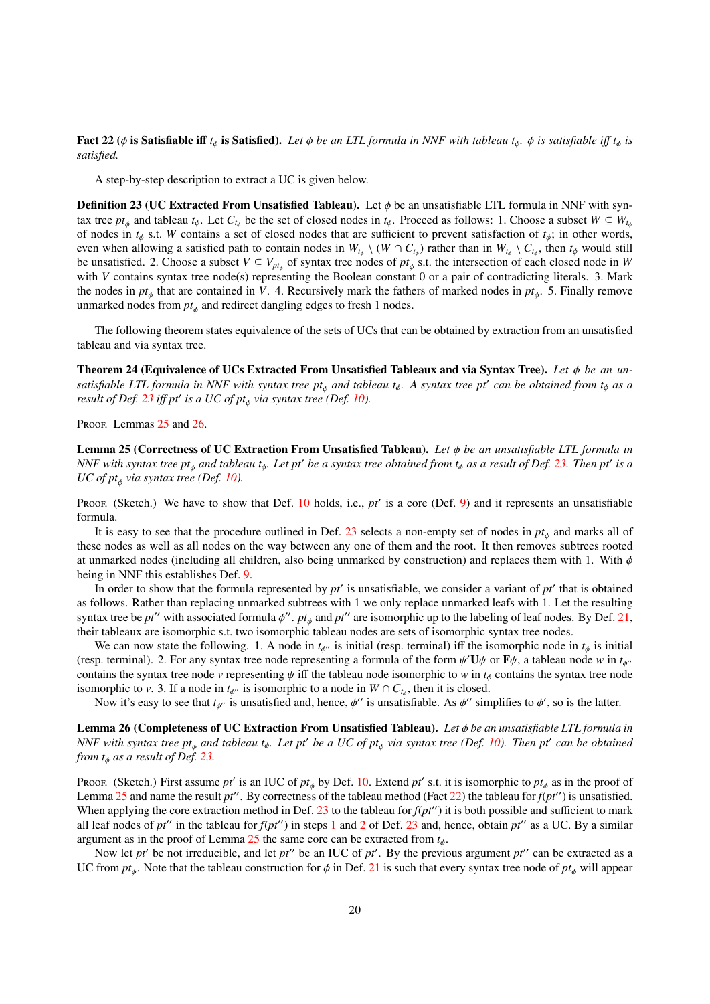Fact 22 ( $\phi$  is Satisfiable iff  $t_{\phi}$  is Satisfied). Let  $\phi$  be an LTL formula in NNF with tableau  $t_{\phi}$ .  $\phi$  is satisfiable iff  $t_{\phi}$  is *satisfied.*

A step-by-step description to extract a UC is given below.

<span id="page-19-3"></span>φ

<span id="page-19-4"></span><span id="page-19-0"></span>**Definition 23 (UC Extracted From Unsatisfied Tableau).** Let  $\phi$  be an unsatisfiable LTL formula in NNF with syntax tree *pt*<sub>φ</sub> and tableau  $t_{\phi}$ . Let  $C_{t_{\phi}}$  be the set of closed nodes in  $t_{\phi}$ . Proceed as follows: 1. Choose a subset  $W \subseteq W_{t_{\phi}}$  of nodes in  $t_{\phi}$  is the *W* contains a set of closed nodes that are suffici of nodes in  $t_{\phi}$  s.t. *W* contains a set of closed nodes that are sufficient to prevent satisfaction of  $t_{\phi}$ ; in other words, even when allowing a satisfied path to contain nodes in  $W_{t_{\phi}} \setminus (W \cap C_{t_{\phi}})$  rather than in  $W_{t_{\phi}} \setminus C_{t_{\phi}}$ , then  $t_{\phi}$  would still be unsatisfied. 2. Choose a subset  $V \subseteq V_{pt_{\phi}}$  of syntax tree nodes of  $pt_{\phi}$  s.t. the intersection of each closed node in *W*<br>with *V* contains syntax tree node(s) representing the Boolean constant 0 or a pair of contr with *V* contains syntax tree node(s) representing the Boolean constant 0 or a pair of contradicting literals. 3. Mark the nodes in  $pt_{\phi}$  that are contained in *V*. 4. Recursively mark the fathers of marked nodes in  $pt_{\phi}$ . 5. Finally remove unmarked nodes from  $pt_{\phi}$  and redirect dangling edges to fresh 1 nodes.

The following theorem states equivalence of the sets of UCs that can be obtained by extraction from an unsatisfied tableau and via syntax tree.

<span id="page-19-5"></span>Theorem 24 (Equivalence of UCs Extracted From Unsatisfied Tableaux and via Syntax Tree). *Let* φ *be an unsatisfiable LTL formula in NNF with syntax tree pt<sub>φ</sub> and tableau t<sub>φ</sub>. A syntax tree pt' can be obtained from t<sub>φ</sub> <i>as a*<br>result of Def 23 iff pt' is a UC of pt, via syntax tree (Def 10) *result of Def.* [23](#page-19-0) *iff pt' is a UC of pt*<sub>*ø</sub> via syntax tree* (*Def.* [10\)](#page-4-1)*.*</sub>

Proof. Lemmas [25](#page-19-1) and [26.](#page-19-2)

<span id="page-19-1"></span>Lemma 25 (Correctness of UC Extraction From Unsatisfied Tableau). *Let* φ *be an unsatisfiable LTL formula in NNF with syntax tree pt<sub>φ</sub> and tableau t<sub>φ</sub>. Let pt<sup>'</sup> be a syntax tree obtained from t<sub>φ</sub> as a result of Def. [23.](#page-19-0) Then pt' is a<br><i>UC* of pt, via syntax tree (Def. 10) *UC of pt*<sub> $\phi$ </sub> via syntax tree (Def. [10\)](#page-4-1). φ

Proof. (Sketch.) We have to show that Def. [10](#page-4-1) holds, i.e., pt' is a core (Def. [9\)](#page-4-2) and it represents an unsatisfiable formula.

It is easy to see that the procedure outlined in Def. [23](#page-19-0) selects a non-empty set of nodes in  $pt_{\phi}$  and marks all of these nodes as well as all nodes on the way between any one of them and the root. It then removes subtrees rooted at unmarked nodes (including all children, also being unmarked by construction) and replaces them with 1. With  $\phi$ being in NNF this establishes Def. [9.](#page-4-2)

In order to show that the formula represented by  $pt'$  is unsatisfiable, we consider a variant of  $pt'$  that is obtained as follows. Rather than replacing unmarked subtrees with 1 we only replace unmarked leafs with 1. Let the resulting syntax tree be *pt*<sup>*''*</sup> with associated formula  $\phi''$ .  $pt_{\phi}$  and  $pt''$  are isomorphic up to the labeling of leaf nodes. By Def. [21,](#page-18-0) their tableaux are isomorphic st two isomorphic tableau nodes are sets of isomorphic s their tableaux are isomorphic s.t. two isomorphic tableau nodes are sets of isomorphic syntax tree nodes.

We can now state the following. 1. A node in  $t_{\phi}$  is initial (resp. terminal) iff the isomorphic node in  $t_{\phi}$  is initial potential. (resp. terminal). 2. For any syntax tree node representing a formula of the form  $\psi'U\psi$  or  $\mathbf{F}\psi$ , a tableau node *w* in  $t_{\psi}$ <br>contains the syntax tree node *y* representing  $\psi$  iff the tableau node isomorphic to contains the syntax tree node *v* representing  $\psi$  iff the tableau node isomorphic to  $w$  in  $t_{\phi}$  contains the syntax tree node isomorphic to *v*. 3. If a node in  $t_{\phi}$  is isomorphic to a node in  $W \cap C_{t_{\phi}}$ , then it is closed.<br>Now it's goat to see that the is upsatisfied and hance the isomorphic had the simulation of the simulation of the simu

Now it's easy to see that  $t_{\phi}$  is unsatisfied and, hence,  $\phi''$  is unsatisfiable. As  $\phi''$  simplifies to  $\phi'$ , so is the latter.

<span id="page-19-2"></span>Lemma 26 (Completeness of UC Extraction From Unsatisfied Tableau). *Let* φ *be an unsatisfiable LTL formula in NNF with syntax tree pt<sub>φ</sub> and tableau t<sub>φ</sub>. Let pt' be a UC of pt<sub>φ</sub> via syntax tree (Def. [10\)](#page-4-1). Then pt' can be obtained*<br>from t, as a result of Def. 23 *from t*φ *as a result of Def. [23.](#page-19-0)*

Proof. (Sketch.) First assume *pt'* is an IUC of  $pt_{\phi}$  by Def. [10.](#page-4-1) Extend  $pt'$  s.t. it is isomorphic to  $pt_{\phi}$  as in the proof of I amma 25 and name the result  $pt''$ . By correctness of the tableau method (East 22) the t Lemma [25](#page-19-1) and name the result *pt*". By correctness of the tableau method (Fact [22\)](#page-18-1) the tableau for  $f(pt'')$  is unsatisfied. When applying the core extraction method in Def. [23](#page-19-0) to the tableau for  $f(pt'')$  it is both possible and sufficient to mark all leaf nodes of  $pt'$  in the tableau for  $f(pt'')$  in steps [1](#page-19-3) and [2](#page-19-4) of Def. [23](#page-19-0) and, hence, obtain  $pt''$  as a UC. By a similar argument as in the proof of Lemma [25](#page-19-1) the same core can be extracted from *<sup>t</sup>*φ.

Now let  $pt'$  be not irreducible, and let  $pt''$  be an IUC of  $pt'$ . By the previous argument  $pt''$  can be extracted as a UC from  $pt_{\phi}$ . Note that the tableau construction for  $\phi$  in Def. [21](#page-18-0) is such that every syntax tree node of  $pt_{\phi}$  will appear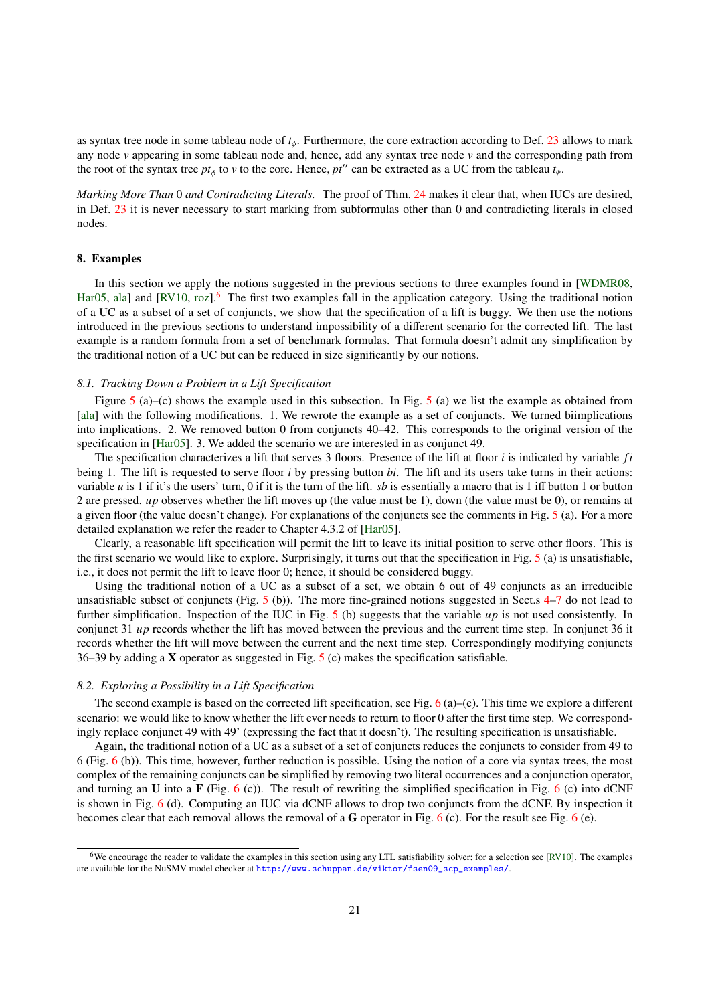<span id="page-20-2"></span>as syntax tree node in some tableau node of  $t<sub>φ</sub>$ . Furthermore, the core extraction according to Def. [23](#page-19-0) allows to mark any node *v* appearing in some tableau node and, hence, add any syntax tree node *v* and the corresponding path from the root of the syntax tree  $pt_{\phi}$  to *v* to the core. Hence,  $pt''$  can be extracted as a UC from the tableau  $t_{\phi}$ .

*Marking More Than* 0 *and Contradicting Literals.* The proof of Thm. [24](#page-19-5) makes it clear that, when IUCs are desired, in Def. [23](#page-19-0) it is never necessary to start marking from subformulas other than 0 and contradicting literals in closed nodes.

# <span id="page-20-0"></span>8. Examples

In this section we apply the notions suggested in the previous sections to three examples found in [\[WDMR08,](#page-38-12) [Har05,](#page-37-20) [ala\]](#page-35-9) and [\[RV10,](#page-38-11) [roz\]](#page-38-18).<sup>[6](#page-20-1)</sup> The first two examples fall in the application category. Using the traditional notion of a UC as a subset of a set of conjuncts, we show that the specification of a lift is buggy. We then use the notions introduced in the previous sections to understand impossibility of a different scenario for the corrected lift. The last example is a random formula from a set of benchmark formulas. That formula doesn't admit any simplification by the traditional notion of a UC but can be reduced in size significantly by our notions.

# *8.1. Tracking Down a Problem in a Lift Specification*

Figure  $5$  (a)–(c) shows the example used in this subsection. In Fig.  $5$  (a) we list the example as obtained from [\[ala\]](#page-35-9) with the following modifications. 1. We rewrote the example as a set of conjuncts. We turned biimplications into implications. 2. We removed button 0 from conjuncts 40–42. This corresponds to the original version of the specification in [\[Har05\]](#page-37-20). 3. We added the scenario we are interested in as conjunct 49.

The specification characterizes a lift that serves 3 floors. Presence of the lift at floor *i* is indicated by variable *f i* being 1. The lift is requested to serve floor *i* by pressing button *bi*. The lift and its users take turns in their actions: variable *u* is 1 if it's the users' turn, 0 if it is the turn of the lift. *sb* is essentially a macro that is 1 iff button 1 or button 2 are pressed. *up* observes whether the lift moves up (the value must be 1), down (the value must be 0), or remains at a given floor (the value doesn't change). For explanations of the conjuncts see the comments in Fig. [5](#page-21-0) (a). For a more detailed explanation we refer the reader to Chapter 4.3.2 of [\[Har05\]](#page-37-20).

Clearly, a reasonable lift specification will permit the lift to leave its initial position to serve other floors. This is the first scenario we would like to explore. Surprisingly, it turns out that the specification in Fig.  $5$  (a) is unsatisfiable, i.e., it does not permit the lift to leave floor 0; hence, it should be considered buggy.

Using the traditional notion of a UC as a subset of a set, we obtain 6 out of 49 conjuncts as an irreducible unsatisfiable subset of conjuncts (Fig.  $5$  (b)). The more fine-grained notions suggested in Sect.s  $4-7$  $4-7$  do not lead to further simplification. Inspection of the IUC in Fig. [5](#page-21-0) (b) suggests that the variable *up* is not used consistently. In conjunct 31 *up* records whether the lift has moved between the previous and the current time step. In conjunct 36 it records whether the lift will move between the current and the next time step. Correspondingly modifying conjuncts 36–39 by adding a X operator as suggested in Fig. [5](#page-21-0) (c) makes the specification satisfiable.

# *8.2. Exploring a Possibility in a Lift Specification*

The second example is based on the corrected lift specification, see Fig.  $6$  (a)–(e). This time we explore a different scenario: we would like to know whether the lift ever needs to return to floor 0 after the first time step. We correspondingly replace conjunct 49 with 49' (expressing the fact that it doesn't). The resulting specification is unsatisfiable.

Again, the traditional notion of a UC as a subset of a set of conjuncts reduces the conjuncts to consider from 49 to 6 (Fig. [6](#page-23-0) (b)). This time, however, further reduction is possible. Using the notion of a core via syntax trees, the most complex of the remaining conjuncts can be simplified by removing two literal occurrences and a conjunction operator, and turning an U into a F (Fig.  $6$  (c)). The result of rewriting the simplified specification in Fig.  $6$  (c) into dCNF is shown in Fig. [6](#page-23-0) (d). Computing an IUC via dCNF allows to drop two conjuncts from the dCNF. By inspection it becomes clear that each removal allows the removal of a G operator in Fig. [6](#page-23-0) (c). For the result see Fig. [6](#page-23-0) (e).

<span id="page-20-1"></span> $6W$ e encourage the reader to validate the examples in this section using any LTL satisfiability solver; for a selection see [\[RV10\]](#page-38-11). The examples are available for the NuSMV model checker at [http://www.schuppan.de/viktor/fsen09\\_scp\\_examples/](http://www.schuppan.de/viktor/fsen09_scp_examples/).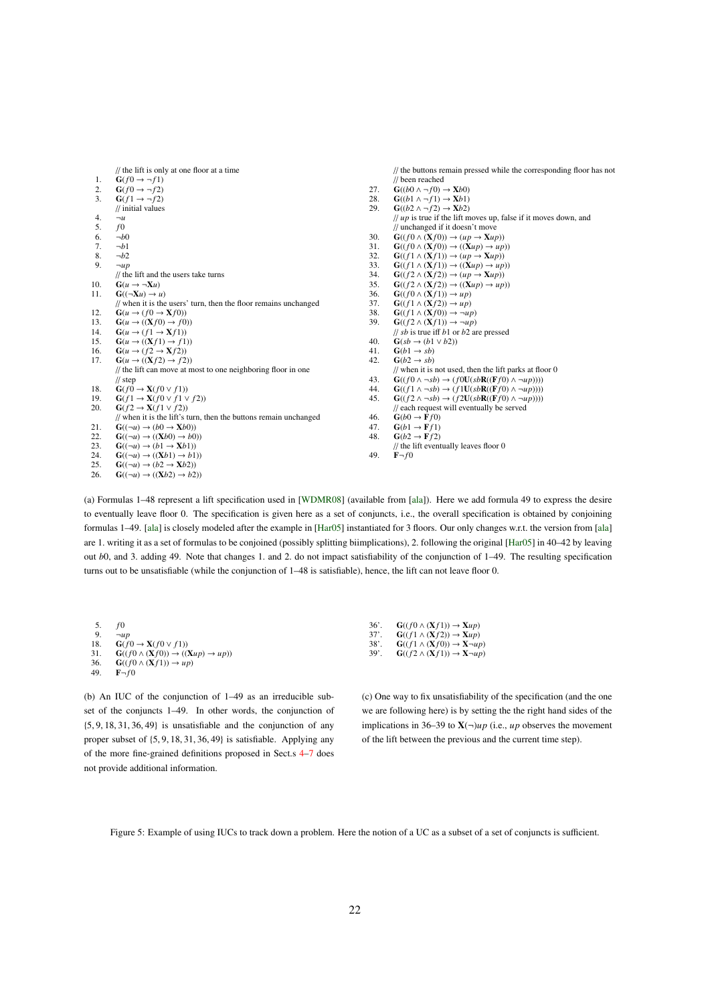<span id="page-21-1"></span>

|     | $\frac{1}{1}$ the lift is only at one floor at a time                      |     | $\frac{1}{2}$ the buttons remain pressed while the corresponding floor has not                            |
|-----|----------------------------------------------------------------------------|-----|-----------------------------------------------------------------------------------------------------------|
| 1.  | $G(f0 \rightarrow \neg f1)$                                                |     | // been reached                                                                                           |
| 2.  | $G(f0 \rightarrow \neg f2)$                                                | 27. | $G((b0 \land \neg f0) \rightarrow Xb0)$                                                                   |
| 3.  | $G(f1 \rightarrow \neg f2)$                                                | 28. | $G((b1 \wedge \neg f1) \rightarrow Xb1)$                                                                  |
|     | // initial values                                                          | 29. | $G((b2 \wedge \neg f2) \rightarrow \mathbf{X}b2)$                                                         |
| 4.  | $\neg u$                                                                   |     | // $up$ is true if the lift moves up, false if it moves down, and                                         |
| 5.  | $f_{0}$                                                                    |     | // unchanged if it doesn't move                                                                           |
| 6.  | $\neg b0$                                                                  | 30. | $G((f0 \wedge (Xf0)) \rightarrow (up \rightarrow Xup))$                                                   |
| 7.  | $\neg h1$                                                                  | 31. | $\mathbf{G}((f0 \wedge (\mathbf{X}f0)) \rightarrow ((\mathbf{X}up) \rightarrow up))$                      |
| 8.  | $\neg b2$                                                                  | 32. | $G((f1 \land (Xf1)) \rightarrow (up \rightarrow Xup))$                                                    |
| 9.  | $\neg up$                                                                  | 33. | $G((f1 \wedge (Xf1)) \rightarrow ((Xup) \rightarrow up))$                                                 |
|     | $\frac{1}{1}$ the lift and the users take turns                            | 34. | $G((f2 \wedge (Xf2)) \rightarrow (up \rightarrow Xup))$                                                   |
| 10. | $G(u \rightarrow \neg Xu)$                                                 | 35. | $G((f2 \wedge (Xf2)) \rightarrow ((Xup) \rightarrow up))$                                                 |
| 11. | $G((\neg Xu) \rightarrow u)$                                               | 36. | $G((f0 \wedge (Xf1)) \rightarrow up)$                                                                     |
|     | $\frac{1}{2}$ when it is the users' turn, then the floor remains unchanged | 37. | $G((f1 \wedge (Xf2)) \rightarrow up)$                                                                     |
| 12. | $G(u \rightarrow (f0 \rightarrow Xf0))$                                    | 38. | $\mathbf{G}((f1 \wedge (\mathbf{X}f0)) \rightarrow \neg up)$                                              |
| 13. | $G(u \rightarrow ((Xf0) \rightarrow f0))$                                  | 39. | $G((f2 \wedge (Xf1)) \rightarrow \neg up)$                                                                |
| 14. | $G(u \rightarrow (f1 \rightarrow Xf1))$                                    |     | // $sb$ is true iff $b1$ or $b2$ are pressed                                                              |
| 15. | $\mathbf{G}(u \to ((\mathbf{X}f1) \to f1))$                                | 40. | $\mathbf{G}(sb \rightarrow (b1 \vee b2))$                                                                 |
| 16. | $G(u \rightarrow (f2 \rightarrow Xf2))$                                    | 41. | $G(b1 \rightarrow sb)$                                                                                    |
| 17. | $G(u \rightarrow ((Xf2) \rightarrow f2))$                                  | 42. | $G(b2 \rightarrow sb)$                                                                                    |
|     | $\frac{1}{2}$ the lift can move at most to one neighboring floor in one    |     | // when it is not used, then the lift parks at floor $0$                                                  |
|     | $\frac{1}{\sqrt{2}}$ step                                                  | 43. | $\mathbf{G}((f0 \wedge \neg sb) \rightarrow (f0\mathbf{U}(sb\mathbf{R}((\mathbf{F}f0) \wedge \neg up))))$ |
| 18. | $\mathbf{G}(f0 \rightarrow \mathbf{X}(f0 \vee f1))$                        | 44. | $\mathbf{G}((f1 \wedge \neg sb) \rightarrow (f1\mathbf{U}(sb\mathbf{R}((\mathbf{F}f0) \wedge \neg up))))$ |
| 19. | $G(f1 \rightarrow X(f0 \vee f1 \vee f2))$                                  | 45. | $G((f2 \wedge \neg sb) \rightarrow (f2U(sbR((Ff0) \wedge \neg up))))$                                     |
| 20. | $G(f2 \rightarrow X(f1 \vee f2))$                                          |     | // each request will eventually be served                                                                 |
|     | // when it is the lift's turn, then the buttons remain unchanged           | 46. | $G(b0 \rightarrow Ff0)$                                                                                   |
| 21. | $G((\neg u) \rightarrow (b0 \rightarrow Xb0))$                             | 47. | $G(b1 \rightarrow Ff1)$                                                                                   |
| 22. | $G((\neg u) \rightarrow ((\mathbf{X}b0) \rightarrow b0))$                  | 48. | $G(b2 \rightarrow Ff2)$                                                                                   |
| 23. | $G((\neg u) \rightarrow (b1 \rightarrow Xb1))$                             |     | // the lift eventually leaves floor $0$                                                                   |
| 24. | $G((\neg u) \rightarrow ((Xb1) \rightarrow b1))$                           | 49. | $F\neg f0$                                                                                                |
| 25. | $G((\neg u) \rightarrow (b2 \rightarrow Xb2))$                             |     |                                                                                                           |
| 26. | $G((\neg u) \rightarrow ((Xb2) \rightarrow b2))$                           |     |                                                                                                           |

(a) Formulas 1–48 represent a lift specification used in [\[WDMR08\]](#page-38-12) (available from [\[ala\]](#page-35-9)). Here we add formula 49 to express the desire to eventually leave floor 0. The specification is given here as a set of conjuncts, i.e., the overall specification is obtained by conjoining formulas 1–49. [\[ala\]](#page-35-9) is closely modeled after the example in [\[Har05\]](#page-37-20) instantiated for 3 floors. Our only changes w.r.t. the version from [\[ala\]](#page-35-9) are 1. writing it as a set of formulas to be conjoined (possibly splitting biimplications), 2. following the original [\[Har05\]](#page-37-20) in 40–42 by leaving out *b*0, and 3. adding 49. Note that changes 1. and 2. do not impact satisfiability of the conjunction of 1–49. The resulting specification turns out to be unsatisfiable (while the conjunction of 1–48 is satisfiable), hence, the lift can not leave floor 0.

|     | f()                                                                | $36^\circ$ . | $\mathbf{G}((f\mathbf{0}\wedge(\mathbf{X}f\mathbf{1}))\rightarrow\mathbf{X}up)$      |
|-----|--------------------------------------------------------------------|--------------|--------------------------------------------------------------------------------------|
| 9.  | $\neg up$                                                          |              | $\mathbf{G}((f1 \wedge (\mathbf{X}f2)) \rightarrow \mathbf{X}up)$                    |
| 18. | $G(f0 \rightarrow X(f0 \vee f1))$                                  | $38^\circ$ . | $\mathbf{G}((f1 \wedge (\mathbf{X}f0)) \rightarrow \mathbf{X} \neg up)$              |
| 31. | $G((f0 \land (Xf0)) \rightarrow ((Xup) \rightarrow up))$           | $39^\circ$ . | $\mathbf{G}((f\mathbf{2}\wedge(\mathbf{X}f\mathbf{1}))\rightarrow\mathbf{X}\neg up)$ |
| 36. | $\mathbf{G}((f \mathbf{0} \wedge (\mathbf{X} f1)) \rightarrow up)$ |              |                                                                                      |
| 49. | $F-f0$                                                             |              |                                                                                      |

(b) An IUC of the conjunction of 1–49 as an irreducible subset of the conjuncts 1–49. In other words, the conjunction of {5, <sup>9</sup>, <sup>18</sup>, <sup>31</sup>, <sup>36</sup>, <sup>49</sup>} is unsatisfiable and the conjunction of any proper subset of {5, <sup>9</sup>, <sup>18</sup>, <sup>31</sup>, <sup>36</sup>, <sup>49</sup>} is satisfiable. Applying any of the more fine-grained definitions proposed in Sect.s [4](#page-3-0)[–7](#page-16-0) does not provide additional information.

<span id="page-21-0"></span>(c) One way to fix unsatisfiability of the specification (and the one we are following here) is by setting the the right hand sides of the implications in 36–39 to  $X(\neg)up$  (i.e., *up* observes the movement of the lift between the previous and the current time step).

Figure 5: Example of using IUCs to track down a problem. Here the notion of a UC as a subset of a set of conjuncts is sufficient.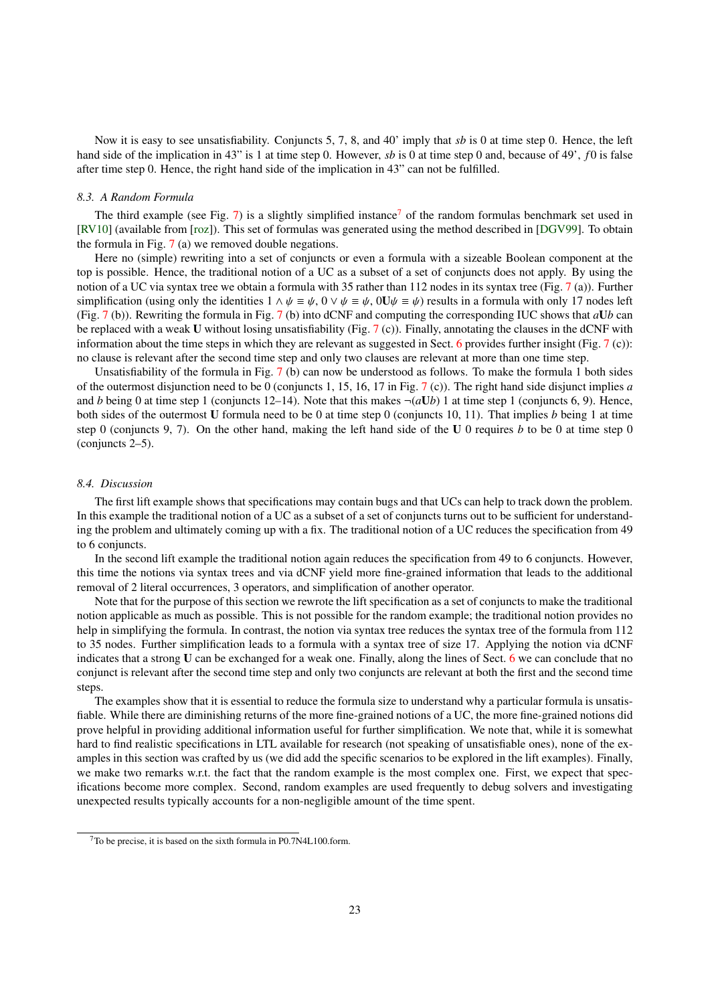<span id="page-22-1"></span>Now it is easy to see unsatisfiability. Conjuncts 5, 7, 8, and 40' imply that *sb* is 0 at time step 0. Hence, the left hand side of the implication in 43" is 1 at time step 0. However, *sb* is 0 at time step 0 and, because of 49', *f* 0 is false after time step 0. Hence, the right hand side of the implication in 43" can not be fulfilled.

# *8.3. A Random Formula*

The third example (see Fig. [7\)](#page-24-0) is a slightly simplified instance<sup>[7](#page-22-0)</sup> of the random formulas benchmark set used in [\[RV10\]](#page-38-11) (available from [\[roz\]](#page-38-18)). This set of formulas was generated using the method described in [\[DGV99\]](#page-36-20). To obtain the formula in Fig. [7](#page-24-0) (a) we removed double negations.

Here no (simple) rewriting into a set of conjuncts or even a formula with a sizeable Boolean component at the top is possible. Hence, the traditional notion of a UC as a subset of a set of conjuncts does not apply. By using the notion of a UC via syntax tree we obtain a formula with 35 rather than 112 nodes in its syntax tree (Fig. [7](#page-24-0) (a)). Further simplification (using only the identities  $1 \wedge \psi = \psi$ ,  $0 \vee \psi = \psi$ ,  $0 \vee \psi = \psi$ ) results in a formula with only 17 nodes left (Fig. [7](#page-24-0) (b)). Rewriting the formula in Fig. [7](#page-24-0) (b) into dCNF and computing the corresponding IUC shows that *a*U*b* can be replaced with a weak U without losing unsatisfiability (Fig.  $7$  (c)). Finally, annotating the clauses in the dCNF with information about the time steps in which they are relevant as suggested in Sect. [6](#page-13-0) provides further insight (Fig.  $7$  (c)): no clause is relevant after the second time step and only two clauses are relevant at more than one time step.

Unsatisfiability of the formula in Fig.  $7$  (b) can now be understood as follows. To make the formula 1 both sides of the outermost disjunction need to be 0 (conjuncts 1, 15, 16, 17 in Fig. [7](#page-24-0) (c)). The right hand side disjunct implies *a* and *b* being 0 at time step 1 (conjuncts 12–14). Note that this makes  $\neg(aUb)$  1 at time step 1 (conjuncts 6, 9). Hence, both sides of the outermost U formula need to be 0 at time step 0 (conjuncts 10, 11). That implies *b* being 1 at time step 0 (conjuncts 9, 7). On the other hand, making the left hand side of the U 0 requires *b* to be 0 at time step 0 (conjuncts 2–5).

#### *8.4. Discussion*

The first lift example shows that specifications may contain bugs and that UCs can help to track down the problem. In this example the traditional notion of a UC as a subset of a set of conjuncts turns out to be sufficient for understanding the problem and ultimately coming up with a fix. The traditional notion of a UC reduces the specification from 49 to 6 conjuncts.

In the second lift example the traditional notion again reduces the specification from 49 to 6 conjuncts. However, this time the notions via syntax trees and via dCNF yield more fine-grained information that leads to the additional removal of 2 literal occurrences, 3 operators, and simplification of another operator.

Note that for the purpose of this section we rewrote the lift specification as a set of conjuncts to make the traditional notion applicable as much as possible. This is not possible for the random example; the traditional notion provides no help in simplifying the formula. In contrast, the notion via syntax tree reduces the syntax tree of the formula from 112 to 35 nodes. Further simplification leads to a formula with a syntax tree of size 17. Applying the notion via dCNF indicates that a strong U can be exchanged for a weak one. Finally, along the lines of Sect. [6](#page-13-0) we can conclude that no conjunct is relevant after the second time step and only two conjuncts are relevant at both the first and the second time steps.

The examples show that it is essential to reduce the formula size to understand why a particular formula is unsatisfiable. While there are diminishing returns of the more fine-grained notions of a UC, the more fine-grained notions did prove helpful in providing additional information useful for further simplification. We note that, while it is somewhat hard to find realistic specifications in LTL available for research (not speaking of unsatisfiable ones), none of the examples in this section was crafted by us (we did add the specific scenarios to be explored in the lift examples). Finally, we make two remarks w.r.t. the fact that the random example is the most complex one. First, we expect that specifications become more complex. Second, random examples are used frequently to debug solvers and investigating unexpected results typically accounts for a non-negligible amount of the time spent.

<span id="page-22-0"></span> $7$ To be precise, it is based on the sixth formula in P0.7N4L100.form.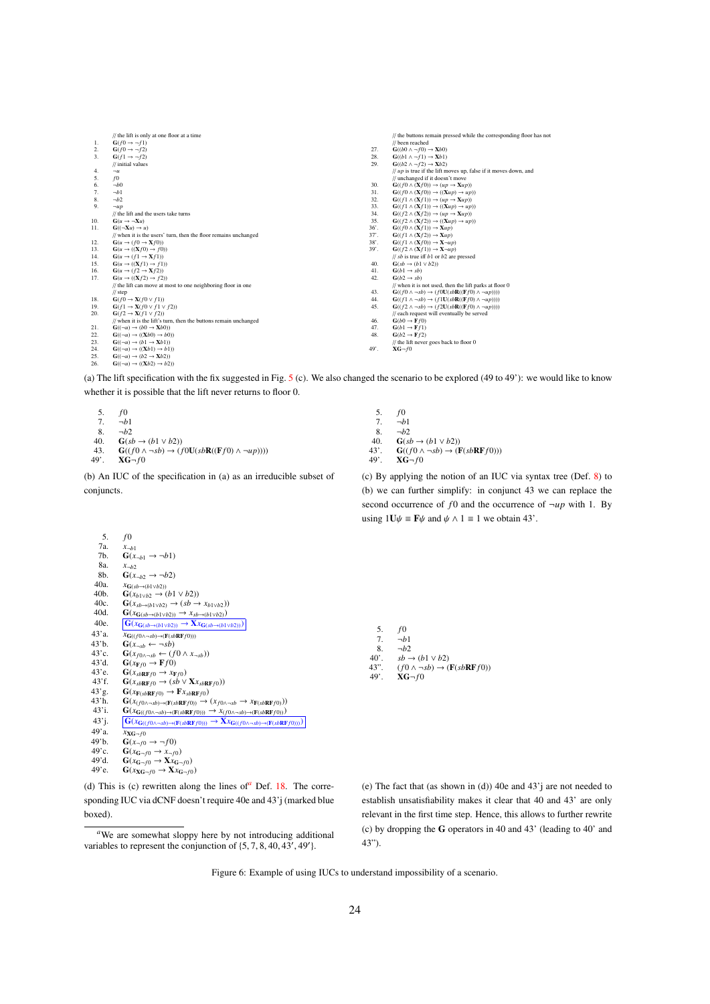|     | $\frac{1}{2}$ the lift is only at one floor at a time                      |              | // the buttons remain pressed while the corresponding floor has no    |
|-----|----------------------------------------------------------------------------|--------------|-----------------------------------------------------------------------|
| 1.  | $G(f0 \rightarrow \neg f1)$                                                |              | // been reached                                                       |
| 2.  | $G(f0 \rightarrow \neg f2)$                                                | 27.          | $G((b0 \land \neg f0) \rightarrow Xb0)$                               |
| 3.  | $G(f1 \rightarrow \neg f2)$                                                | 28.          | $G((b1 \land \neg f1) \rightarrow Xb1)$                               |
|     | // initial values                                                          | 29.          | $G((b2 \wedge \neg f2) \rightarrow \mathbf{X}b2)$                     |
| 4.  | $\neg u$                                                                   |              | // $up$ is true if the lift moves up, false if it moves down, and     |
| 5.  | f0                                                                         |              | // unchanged if it doesn't move                                       |
| 6.  | $\neg b0$                                                                  | 30.          | $G((f0 \land (Xf0)) \rightarrow (up \rightarrow Xup))$                |
| 7.  | $\neg h1$                                                                  | 31.          | $G((f0 \land (Xf0)) \rightarrow ((Xup) \rightarrow up))$              |
| 8.  | $-h2$                                                                      | 32.          | $G((f1 \wedge (Xf1)) \rightarrow (up \rightarrow Xup))$               |
| 9.  | $\neg up$                                                                  | 33.          | $G((f1 \land (Xf1)) \rightarrow ((Xup) \rightarrow up))$              |
|     | // the lift and the users take turns                                       | 34.          | $G((f2 \wedge (Xf2)) \rightarrow (up \rightarrow Xup))$               |
| 10. | $G(u \rightarrow \neg Xu)$                                                 | 35.          | $G((f2 \land (Xf2)) \rightarrow ((Xup) \rightarrow up))$              |
| 11. | $G((\neg Xu) \rightarrow u)$                                               | 36'.         | $G((f0 \wedge (Xf1)) \rightarrow Xup)$                                |
|     | $\frac{1}{2}$ when it is the users' turn, then the floor remains unchanged | 37'.         | $G((f1 \wedge (Xf2)) \rightarrow Xup)$                                |
| 12. | $G(u \rightarrow (f0 \rightarrow Xf0))$                                    | $38^\circ$ . | $G((f1 \wedge (Xf0)) \rightarrow X \neg up)$                          |
| 13. | $G(u \rightarrow ((Xf0) \rightarrow f0))$                                  | 39'.         | $G((f2 \wedge (Xf1)) \rightarrow X \neg up)$                          |
| 14. | $G(u \rightarrow (f1 \rightarrow Xf1))$                                    |              | // $sb$ is true iff $b1$ or $b2$ are pressed                          |
| 15. | $G(u \rightarrow ((Xf1) \rightarrow f1))$                                  | 40.          | $G(sb \rightarrow (b1 \vee b2))$                                      |
| 16. | $G(u \rightarrow (f2 \rightarrow Xf2))$                                    | 41.          | $G(b1 \rightarrow sb)$                                                |
| 17. | $G(u \rightarrow ((Xf2) \rightarrow f2))$                                  | 42.          | $G(b2 \rightarrow sb)$                                                |
|     | $\frac{1}{2}$ the lift can move at most to one neighboring floor in one    |              | $\frac{1}{2}$ when it is not used, then the lift parks at floor 0     |
|     | $\frac{1}{3}$ step                                                         | 43.          | $G((f0 \wedge \neg sb) \rightarrow (f0U(sbR((Ff0) \wedge \neg up))))$ |
| 18. | $G(f0 \rightarrow X(f0 \vee f1))$                                          | 44.          | $G((f1 \wedge \neg sb) \rightarrow (f1U(sbR((Ff0) \wedge \neg up))))$ |
| 19. | $G(f1 \rightarrow X(f0 \vee f1 \vee f2))$                                  | 45.          | $G((f2 \wedge \neg sb) \rightarrow (f2U(sbR((Ff0) \wedge \neg up))))$ |
| 20. | $G(f2 \rightarrow X(f1 \vee f2))$                                          |              | // each request will eventually be served                             |
|     | // when it is the lift's turn, then the buttons remain unchanged           | 46.          | $G(b0 \rightarrow Ff0)$                                               |
| 21. | $G((\neg u) \rightarrow (b0 \rightarrow Xb0))$                             | 47.          | $G(b1 \rightarrow Ff1)$                                               |
| 22. | $G((\neg u) \rightarrow ((Xb0) \rightarrow b0))$                           | 48.          | $G(b2 \rightarrow Ff2)$                                               |
| 23. | $G((\neg u) \rightarrow (b1 \rightarrow Xb1))$                             |              | // the lift never goes back to floor $0$                              |
| 24. | $G((\neg u) \rightarrow ((Xb1) \rightarrow b1))$                           | 49'.         | $XG\neg f0$                                                           |
| 25. | $G((\neg u) \rightarrow (b2 \rightarrow Xb2))$                             |              |                                                                       |
| 26. | $G((\neg u) \rightarrow ((\mathbf{X}b2) \rightarrow b2))$                  |              |                                                                       |

(a) The lift specification with the fix suggested in Fig. [5](#page-21-0) (c). We also changed the scenario to be explored (49 to 49'): we would like to know whether it is possible that the lift never returns to floor 0.

| 5.             |                                                                     |
|----------------|---------------------------------------------------------------------|
| 7 <sub>1</sub> | $\neg h1$                                                           |
| 8.             | $-h2$                                                               |
| 40.            | $\mathbf{G}(sb \rightarrow (b1 \vee b2))$                           |
| 43.            | $G((f0 \land \neg sb) \rightarrow (f0U(sbR((Ff0) \land \neg up))))$ |
|                | 49'. $XG-f0$                                                        |
|                | (b) An IUC of the specification in (a) as an irreducible subset of  |

5. *f* 0 7. ¬*b*1 8.  $\neg b2$ <br>40. **G**(s) 40.  $\mathbf{G}(sb \rightarrow (b1 \lor b2))$ <br>43'.  $\mathbf{G}((f0 \land \neg sb) \rightarrow (b))$ 43'.  $\mathbf{G}((f0 \land \neg sb) \rightarrow (\mathbf{F}(sb\mathbf{RF}f0)))$ <br>49'.  $\mathbf{X}\mathbf{G}\rightarrow f0$  $XG\neg f0$ 

5.  $f0$ <br>7.  $\neg b$ 7.  $\neg b1$ <br>8.  $\neg b2$ 8.  $\neg b2$ <br>40'.  $sb$ 40'.  $sb \rightarrow (b1 \vee b2)$ <br>43"  $(f0 \wedge \neg sb) \rightarrow ($ 43".  $(f0 \land \neg sb) \rightarrow (F(sbRFf0))$ <br>49'  $XG\neg f0$  $XG\neg f0$ 

<span id="page-23-0"></span>(c) By applying the notion of an IUC via syntax tree (Def. [8\)](#page-4-3) to (b) we can further simplify: in conjunct 43 we can replace the second occurrence of  $f0$  and the occurrence of  $\neg up$  with 1. By using  $1U\psi \equiv F\psi$  and  $\psi \wedge 1 \equiv 1$  we obtain 43'.

- 8b.  $\mathbf{G}(x_{-b2} \rightarrow -b2)$ <br>40a  $\mathbf{G}(x_{-b+1})$ 40a. *x*<sub>G(sb→(b1∨b2))</sub><br>40b. **G**( $x_{b1\lor b2}$  → (b1 ∨ b2)) 40c.  $G(x_{sb\to(b1\vee b2)} \to (sb \to x_{b1\vee b2}))$ <br>40d.  $G(x_{G(sb\to(b1\vee b2))} \to x_{sb\to(b1\vee b2)})$ 40d. **G**( $x_{\mathbf{G}(sb\to(b1\vee b2))} \to x_{sb\to(b1\vee b2)}$ ) 40e.  $\mathbf{G}(x_{\mathbf{G}(sb\rightarrow(b1\vee b2))}\rightarrow \mathbf{X}x_{\mathbf{G}(sb\rightarrow(b1\vee b2))})$
- 43'a.  $x_{G((f0 \wedge \neg sb) \rightarrow (F(sbRFf0)))}$ <br>43'b.  $G(x_{\neg sb} \leftarrow \neg sb)$ <br>43'c.  $G(x_{f0 \wedge \neg sb} \leftarrow (f0 \wedge x_{\neg sb}))$ <br>43'd.  $G(x_{Ff0} \rightarrow Ff0)$
- 
- 43'e.  $G(x_{sbRFf0} \rightarrow x_{Ff0})$ <br>43'f.  $G(x_{sbRFf0} \rightarrow (sb \vee Xx_{sbRFf0}))$
- 
- 43'g.  $G(x_{F(sbRFf0)} \rightarrow Fx_{sbRFf0})$ <br>43'h.  $G(x_{(f0a-rb) \rightarrow (F(sbRFf0))} \rightarrow$ 43'h.  $G(x_{(f0\wedge\neg sb)\rightarrow(F(sbRFf0))}) \rightarrow (x_{f0\wedge\neg sb} \rightarrow x_{F(sbRFf0)}))$ <br>43'i.  $G(x_{G(f0\wedge\neg sb)\rightarrow(F(sbBFf0)))} \rightarrow x_{(f0\wedge\neg sb)\rightarrow(F(sbBFf0)))}$
- $\mathbf{G}(x_{\mathbf{G}((f0 \wedge \neg sb) \rightarrow (\mathbf{F}(sb\mathbf{RF}f0)))} \rightarrow x_{(f0 \wedge \neg sb) \rightarrow (\mathbf{F}(sb\mathbf{RF}f0))})$
- 43'j. G(*x*G((*<sup>f</sup>* <sup>0</sup>∧¬*sb*)→(F(*sb*RF*<sup>f</sup>* 0))) → X*x*G((*<sup>f</sup>* <sup>0</sup>∧¬*sb*)→(F(*sb*RF*<sup>f</sup>* 0))))
- 49'a.  $\frac{x_{\text{KG}-f0}}{G(x_{-f0})}$

conjuncts.

5.  $f0$ <br>7a.  $x=k$ 7a.  $x_{\neg b1}$ <br>7b. **G**(*x* 7b.  $G(x_{-b1} \to -b1)$ <br>8a.  $x_{-b2}$ 8a.  $x_{-b2}$ <br>8b. **G**(*x*.

- 
- 49'b. **G**(*x*<sub>-*f*</sub>0 → *-f* 0)<br>
49'c. **G**(*x*<sub>G-*f*</sub>0 → *X<sub><i>x*G-*f*0</sub>)<br>
49'e. **G**(*x*<sub>XG-*f*</sub>0 → *X<sub><i>x*G-*f*0</sub>)
- 

(d) This is (c) rewritten along the lines of*[a](#page-23-1)* Def. [18.](#page-10-1) The corresponding IUC via dCNF doesn't require 40e and 43'j (marked blue boxed).

(e) The fact that (as shown in (d)) 40e and 43'j are not needed to establish unsatisfiability makes it clear that 40 and 43' are only relevant in the first time step. Hence, this allows to further rewrite (c) by dropping the G operators in 40 and 43' (leading to 40' and 43").

Figure 6: Example of using IUCs to understand impossibility of a scenario.

<span id="page-23-1"></span>*<sup>a</sup>*We are somewhat sloppy here by not introducing additional variables to represent the conjunction of  $\{5, 7, 8, 40, 43', 49'\}$ .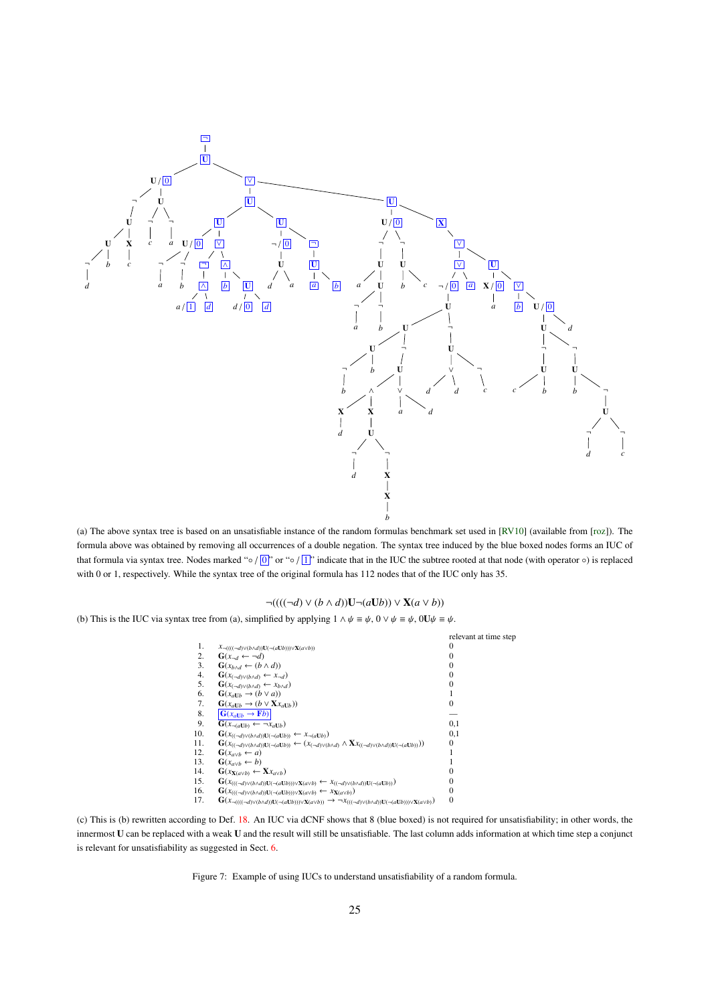<span id="page-24-1"></span>

(a) The above syntax tree is based on an unsatisfiable instance of the random formulas benchmark set used in [\[RV10\]](#page-38-11) (available from [\[roz\]](#page-38-18)). The formula above was obtained by removing all occurrences of a double negation. The syntax tree induced by the blue boxed nodes forms an IUC of that formula via syntax tree. Nodes marked "∘ /  $[0]$ " or "∘ /  $[1]$ " indicate that in the IUC the subtree rooted at that node (with operator ∘) is replaced with 0 or 1, respectively. While the syntax tree of the original formula has 112 nodes that of the IUC only has 35.

### $\neg (((\neg d) \vee (b \wedge d))\mathbf{U}\neg(a\mathbf{U}b)) \vee \mathbf{X}(a \vee b))$

step

(b) This is the IUC via syntax tree from (a), simplified by applying  $1 \wedge \psi \equiv \psi$ ,  $0 \vee \psi \equiv \psi$ ,  $0 \vee \psi \equiv \psi$ .

|     |                                                                                                                                                                                                                                             | TUR VAIIU AU UIIIR |
|-----|---------------------------------------------------------------------------------------------------------------------------------------------------------------------------------------------------------------------------------------------|--------------------|
| 1.  | $X_{\neg (((\neg d) \vee (b \wedge d)) \mathbf{U}(\neg (a \mathbf{U} b))) \vee \mathbf{X}(a \vee b))$                                                                                                                                       |                    |
| 2.  | $\mathbf{G}(x_{\neg d} \leftarrow \neg d)$                                                                                                                                                                                                  |                    |
| 3.  | $\mathbf{G}(x_{b \wedge d} \leftarrow (b \wedge d))$                                                                                                                                                                                        |                    |
| 4.  | $\mathbf{G}(x_{(\neg d) \lor (b \land d)} \leftarrow x_{\neg d})$                                                                                                                                                                           |                    |
| 5.  | $\mathbf{G}(x_{(\neg d)\lor (b\land d)} \leftarrow x_{b\land d})$                                                                                                                                                                           |                    |
| 6.  | $G(x_{aUb} \rightarrow (b \lor a))$                                                                                                                                                                                                         |                    |
| 7.  | $\mathbf{G}(x_{a\mathbf{U}b} \rightarrow (b \vee \mathbf{X}x_{a\mathbf{U}b}))$                                                                                                                                                              |                    |
| 8.  | $ G(x_{aUb} \rightarrow Fb) $                                                                                                                                                                                                               |                    |
| 9.  | $\mathbf{G}(x_{\neg(a\mathbf{U}b)} \leftarrow \neg x_{a\mathbf{U}b})$                                                                                                                                                                       | 0.1                |
| 10. | $\mathbf{G}(x_{((\neg d)\lor (b\land d))U(\neg (aUb))} \leftarrow x_{\neg (aUb)})$                                                                                                                                                          | 0.1                |
| 11. | $\mathbf{G}(x_{((\neg d)\lor(b\land d))U(\neg (aUb))}\leftarrow (x_{(\neg d)\lor(b\land d)} \land \mathbf{X}x_{((\neg d)\lor(b\land d))U(\neg (aUb))})$                                                                                     |                    |
| 12. | $\mathbf{G}(x_{a\vee b} \leftarrow a)$                                                                                                                                                                                                      |                    |
| 13. | $\mathbf{G}(x_{a\vee b} \leftarrow b)$                                                                                                                                                                                                      |                    |
| 14. | $\mathbf{G}(x_{\mathbf{X}(a \vee b)} \leftarrow \mathbf{X}x_{a \vee b})$                                                                                                                                                                    |                    |
| 15. | $\mathbf{G}(\mathbf{X}((\neg d)\vee(b\wedge d))\mathbf{U}(\neg(a\mathbf{U}b)))\vee\mathbf{X}(a\vee b)\leftarrow \mathbf{X}((\neg d)\vee(b\wedge d))\mathbf{U}(\neg(a\mathbf{U}b))$                                                          |                    |
| 16. | $\mathbf{G}(x_{((\neg d)\lor(b\land d))U(\neg (aUb)))\lor X(a\lor b)} \leftarrow x_{X(a\lor b)}$                                                                                                                                            |                    |
| 17. | $\mathbf{G}(\mathbf{X}_{\neg (((\neg d) \vee (b \wedge d))\mathbf{U}(\neg (a\mathbf{U}b))) \vee \mathbf{X}(a \vee b)) \rightarrow \neg \mathbf{X}_{((\neg d) \vee (b \wedge d))\mathbf{U}(\neg (a\mathbf{U}b))) \vee \mathbf{X}(a \vee b)}$ | $\Omega$           |
|     |                                                                                                                                                                                                                                             |                    |

<span id="page-24-0"></span>(c) This is (b) rewritten according to Def. [18.](#page-10-1) An IUC via dCNF shows that 8 (blue boxed) is not required for unsatisfiability; in other words, the innermost U can be replaced with a weak U and the result will still be unsatisfiable. The last column adds information at which time step a conjunct is relevant for unsatisfiability as suggested in Sect. [6.](#page-13-0)

Figure 7: Example of using IUCs to understand unsatisfiability of a random formula.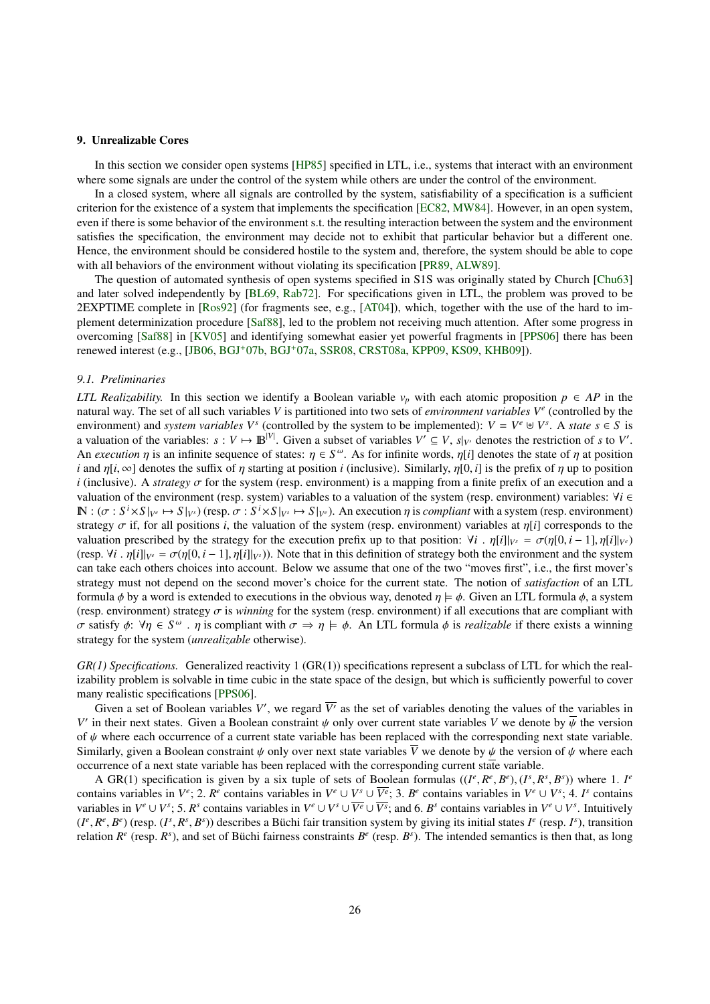#### <span id="page-25-2"></span><span id="page-25-0"></span>9. Unrealizable Cores

In this section we consider open systems [\[HP85\]](#page-37-21) specified in LTL, i.e., systems that interact with an environment where some signals are under the control of the system while others are under the control of the environment.

In a closed system, where all signals are controlled by the system, satisfiability of a specification is a sufficient criterion for the existence of a system that implements the specification [\[EC82,](#page-36-21) [MW84\]](#page-37-22). However, in an open system, even if there is some behavior of the environment s.t. the resulting interaction between the system and the environment satisfies the specification, the environment may decide not to exhibit that particular behavior but a different one. Hence, the environment should be considered hostile to the system and, therefore, the system should be able to cope with all behaviors of the environment without violating its specification [\[PR89,](#page-38-4) [ALW89\]](#page-35-1).

The question of automated synthesis of open systems specified in S1S was originally stated by Church [\[Chu63\]](#page-36-22) and later solved independently by [\[BL69,](#page-36-23) [Rab72\]](#page-38-19). For specifications given in LTL, the problem was proved to be 2EXPTIME complete in [\[Ros92\]](#page-38-20) (for fragments see, e.g., [\[AT04\]](#page-35-10)), which, together with the use of the hard to implement determinization procedure [\[Saf88\]](#page-38-21), led to the problem not receiving much attention. After some progress in overcoming [\[Saf88\]](#page-38-21) in [\[KV05\]](#page-37-23) and identifying somewhat easier yet powerful fragments in [\[PPS06\]](#page-38-9) there has been renewed interest (e.g., [\[JB06,](#page-37-24) [BGJ](#page-36-24)<sup>+</sup>07b, [BGJ](#page-35-11)<sup>+</sup>07a, [SSR08,](#page-38-22) [CRST08a,](#page-36-12) [KPP09,](#page-37-25) [KS09,](#page-37-26) [KHB09\]](#page-37-4)).

#### <span id="page-25-1"></span>*9.1. Preliminaries*

*LTL Realizability.* In this section we identify a Boolean variable  $v_p$  with each atomic proposition  $p \in AP$  in the natural way. The set of all such variables *V* is partitioned into two sets of *environment variables V<sup>e</sup>* (controlled by the environment) and *system variables*  $V^s$  (controlled by the system to be implemented):  $V = V^e \oplus V^s$ . A *state*  $s \in S$  is a valuation of the variables:  $s: V \mapsto \mathbb{B}^{|V|}$ . Given a subset of variables  $V' \subseteq V$ ,  $s|_{V'}$  denotes the restriction of *s* to *V'*. An *execution*  $\eta$  is an infinite sequence of states:  $\eta \in S^{\omega}$ . As for infinite words,  $\eta[i]$  denotes the state of  $\eta$  at position *i* and  $p[i]$  or  $j$  denotes the suffix of  $n$  starting at position *i* (inclusive). *i* and  $n[i, \infty]$  denotes the suffix of *n* starting at position *i* (inclusive). Similarly,  $n[0, i]$  is the prefix of *n* up to position *<sup>i</sup>* (inclusive). A *strategy* σ for the system (resp. environment) is a mapping from a finite prefix of an execution and a valuation of the environment (resp. system) variables to a valuation of the system (resp. environment) variables: ∀*i* ∈  $\mathbb{N}: (\sigma : S^i \times S|_{V^e} \mapsto S|_{V^s})$  (resp.  $\sigma : S^i \times S|_{V^s} \mapsto S|_{V^e}$ ). An execution  $\eta$  is compliant with a system (resp. environment)<br>strategy  $\sigma$  if for all positions *i* the valuation of the system (resp. environment strategy  $\sigma$  if, for all positions *i*, the valuation of the system (resp. environment) variables at  $\eta[i]$  corresponds to the valuation prescribed by the strategy for the execution prefix up to that position:  $\forall i$  .  $\eta[i]|_{V^s} = \sigma(\eta[0, i-1], \eta[i]|_{V^e})$ (resp.  $\forall i$  .  $\eta[i]|_{V^e} = \sigma(\eta[0, i-1], \eta[i]|_{V^s})$ ). Note that in this definition of strategy both the environment and the system can take each others choices into account. Below we assume that one of the two "moves first", i.e., the first mover's strategy must not depend on the second mover's choice for the current state. The notion of *satisfaction* of an LTL formula φ by a word is extended to executions in the obvious way, denoted  $\eta \models \phi$ . Given an LTL formula  $\phi$ , a system (resp. environment) strategy  $\sigma$  is *winning* for the system (resp. environment) if all executions that are compliant with *σ* satisfy *φ*:  $\forall \eta \in S^{\omega}$ . *η* is compliant with *σ* ⇒ *η*  $\models$  *φ*. An LTL formula *φ* is *realizable* if there exists a winning strategy for the system (*unreglizable* otherwise) strategy for the system (*unrealizable* otherwise).

*GR(1) Specifications.* Generalized reactivity 1 (GR(1)) specifications represent a subclass of LTL for which the realizability problem is solvable in time cubic in the state space of the design, but which is sufficiently powerful to cover many realistic specifications [\[PPS06\]](#page-38-9).

Given a set of Boolean variables V', we regard  $\overline{V'}$  as the set of variables denoting the values of the variables in *V*' in their next states. Given a Boolean constraint  $\psi$  only over current state variables *V* we denote by  $\overline{\psi}$  the version of  $\psi$  where each occurrence of a current state variable has been replaced with the corre of  $\psi$  where each occurrence of a current state variable has been replaced with the corresponding next state variable. Similarly, given a Boolean constraint  $\psi$  only over next state variables  $\overline{V}$  we denote by  $\psi$  the version of  $\psi$  where each occurrence of a next state variable has been replaced with the corresponding current state variable.

A GR(1) specification is given by a six tuple of sets of Boolean formulas  $((l^e, R^e, B^e), (I^s, R^s, B^s))$  where 1. It also variables in  $V^e \cdot 2 \cdot R^e$  contains variables in  $V^e \cdot 2 \cdot R^e$  contains variables in  $V^e \cdot 2 \cdot R^e$ contains variables in  $V^e$ ; 2.  $R^e$  contains variables in  $V^e \cup V^s \cup \overline{V^e}$ ; 3.  $B^e$  contains variables in  $V^e \cup V^s$ ; 4.  $I^s$  contains variables in  $V^e \cup V^s$ ; 5.  $R^s$  contains variables in  $V^e \cup V^s \cup \overline{V^e} \cup \overline{V^s}$ ; and 6.  $B^s$  contains variables in  $V^e \cup V^s$ . Intuitively  $(I^e, R^e, B^e)$  (resp.  $(I^s, R^s, B^s)$ ) describes a Büchi fair transition system by giving its initial states  $I^e$  (resp.  $I^s$ ), transition relation  $R^e$  (resp.  $R^s$ ) and set of Büchi fairness constraints  $R^e$  (resp. relation  $R^e$  (resp.  $R^s$ ), and set of Büchi fairness constraints  $B^e$  (resp.  $B^s$ ). The intended semantics is then that, as long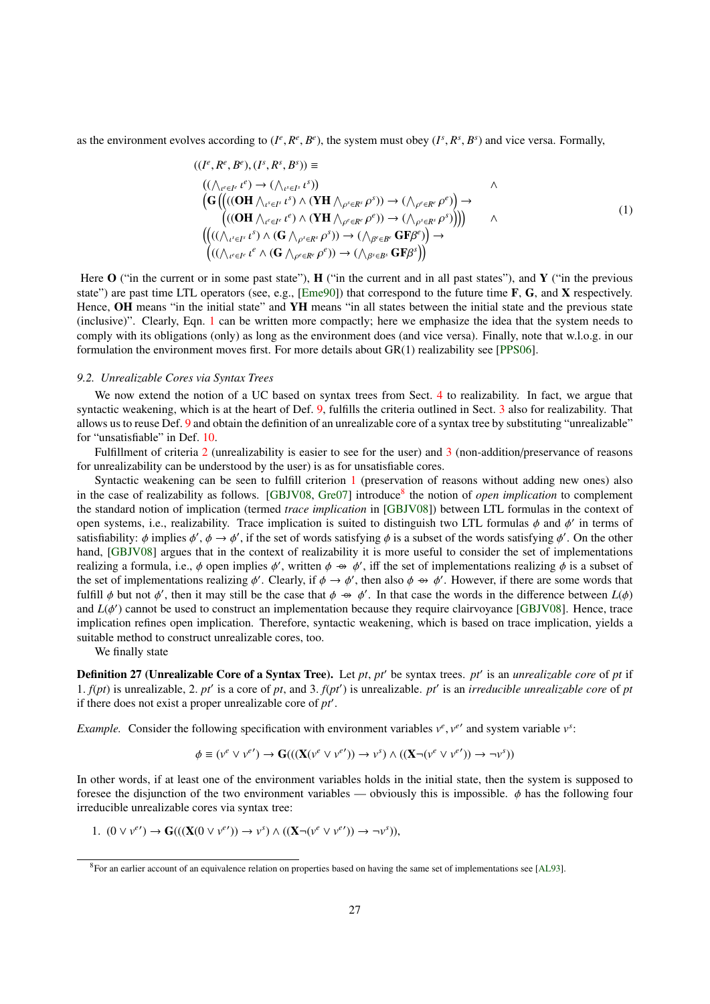<span id="page-26-3"></span>as the environment evolves according to  $(I^e, R^e, B^e)$ , the system must obey  $(I^s, R^s, B^s)$  and vice versa. Formally,

<span id="page-26-0"></span>
$$
((I^e, R^e, B^e), (I^s, R^s, B^s)) \equiv
$$
  
\n
$$
((\wedge_{\iota^e \in I^e} \iota^e) \to (\wedge_{\iota^s \in I^s} \iota^s))
$$
  
\n
$$
(\mathbf{G}(((\mathbf{OH} \wedge_{\iota^s \in I^s} \iota^s) \wedge (\mathbf{YH} \wedge_{\rho^s \in R^s} \rho^s)) \to (\wedge_{\rho^e \in R^e} \rho^e)) \to
$$
  
\n
$$
(((\mathbf{OH} \wedge_{\iota^e \in I^e} \iota^e) \wedge (\mathbf{YH} \wedge_{\rho^e \in R^e} \rho^e)) \to (\wedge_{\rho^s \in R^s} \rho^s)))
$$
  
\n
$$
(((\wedge_{\iota^e \in I^e} \iota^e) \wedge (\mathbf{G} \wedge_{\rho^s \in R^e} \rho^e)) \to (\wedge_{\beta^s \in B^s} \mathbf{G} \mathbf{F} \beta^e)) \to
$$
  
\n
$$
(((\wedge_{\iota^e \in I^e} \iota^e \wedge (\mathbf{G} \wedge_{\rho^e \in R^e} \rho^e)) \to (\wedge_{\beta^s \in B^s} \mathbf{G} \mathbf{F} \beta^s))
$$
  
\n(1)

Here  $O$  ("in the current or in some past state"),  $H$  ("in the current and in all past states"), and  $Y$  ("in the previous state") are past time LTL operators (see, e.g., [\[Eme90\]](#page-37-0)) that correspond to the future time F, G, and X respectively. Hence, OH means "in the initial state" and YH means "in all states between the initial state and the previous state (inclusive)". Clearly, Eqn. [1](#page-26-0) can be written more compactly; here we emphasize the idea that the system needs to comply with its obligations (only) as long as the environment does (and vice versa). Finally, note that w.l.o.g. in our formulation the environment moves first. For more details about GR(1) realizability see [\[PPS06\]](#page-38-9).

# *9.2. Unrealizable Cores via Syntax Trees*

We now extend the notion of a UC based on syntax trees from Sect. [4](#page-3-0) to realizability. In fact, we argue that syntactic weakening, which is at the heart of Def. [9,](#page-4-2) fulfills the criteria outlined in Sect. [3](#page-2-0) also for realizability. That allows us to reuse Def. [9](#page-4-2) and obtain the definition of an unrealizable core of a syntax tree by substituting "unrealizable" for "unsatisfiable" in Def. [10.](#page-4-1)

Fulfillment of criteria [2](#page-3-3) (unrealizability is easier to see for the user) and [3](#page-3-4) (non-addition/preservance of reasons for unrealizability can be understood by the user) is as for unsatisfiable cores.

Syntactic weakening can be seen to fulfill criterion [1](#page-3-1) (preservation of reasons without adding new ones) also in the case of realizability as follows. [\[GBJV08,](#page-37-27) [Gre07\]](#page-37-28) introduce<sup>[8](#page-26-1)</sup> the notion of *open implication* to complement the standard notion of implication (termed *trace implication* in [\[GBJV08\]](#page-37-27)) between LTL formulas in the context of open systems, i.e., realizability. Trace implication is suited to distinguish two LTL formulas  $\phi$  and  $\phi'$  in terms of satisfiability:  $\phi$  implies  $\phi'$   $\phi \rightarrow \phi'$  if the set of words satisfying  $\phi$  is a subset of the satisfiability:  $\phi$  implies  $\phi', \phi \rightarrow \phi'$ , if the set of words satisfying  $\phi$  is a subset of the words satisfying  $\phi'$ . On the other hand, [\[GBJV08\]](#page-37-27) argues that in the context of realizability it is more useful to consider the set of implementations realizing a formula, i.e.,  $\phi$  open implies  $\phi'$ , written  $\phi \rightarrow \phi'$ , iff the set of implementations realizing  $\phi$  is a subset of the set of implementations realizing  $\phi'$ . Clearly if  $\phi \rightarrow \phi'$  then also  $\phi \rightarrow \phi'$ . How the set of implementations realizing  $\phi'$ . Clearly, if  $\phi \to \phi'$ , then also  $\phi \to \phi'$ . However, if there are some words that fulfill  $\phi$  but not  $\phi'$  then it may still be the case that  $\phi \to \phi'$ . In that case the words fulfill  $\phi$  but not  $\phi'$ , then it may still be the case that  $\phi \rightarrow \phi'$ . In that case the words in the difference between  $L(\phi)$ <br>and  $L(\phi')$  cannot be used to construct an implementation because they require clairyovance and  $L(\phi')$  cannot be used to construct an implementation because they require clairvoyance [\[GBJV08\]](#page-37-27). Hence, trace implication refines open implication. Therefore, syntectic weakening, which is based on trace implication, implication refines open implication. Therefore, syntactic weakening, which is based on trace implication, yields a suitable method to construct unrealizable cores, too.

<span id="page-26-2"></span>We finally state

Definition 27 (Unrealizable Core of a Syntax Tree). Let pt, pt' be syntax trees. pt' is an *unrealizable core* of pt if 1.  $f(pt)$  is unrealizable, 2.  $pt'$  is a core of  $pt$ , and 3.  $f(pt')$  is unrealizable.  $pt'$  is an *irreducible unrealizable core* of  $pt$ if there does not exist a proper unrealizable core of pt'.

*Example.* Consider the following specification with environment variables  $v^e$ ,  $v^{e'}$  and system variable  $v^s$ .

$$
\phi \equiv (\nu^e \lor \nu^{e'}) \to \mathbf{G}(((\mathbf{X}(\nu^e \lor \nu^{e'})) \to \nu^s) \land ((\mathbf{X} \neg (\nu^e \lor \nu^{e'})) \to \neg \nu^s))
$$

In other words, if at least one of the environment variables holds in the initial state, then the system is supposed to foresee the disjunction of the two environment variables — obviously this is impossible.  $\phi$  has the following four irreducible unrealizable cores via syntax tree:

1. 
$$
(0 \vee v^{e}) \rightarrow G(((\mathbf{X}(0 \vee v^{e'})) \rightarrow v^{s}) \wedge ((\mathbf{X} \neg(v^{e} \vee v^{e'})) \rightarrow \neg v^{s})),
$$

<span id="page-26-1"></span><sup>&</sup>lt;sup>8</sup>For an earlier account of an equivalence relation on properties based on having the same set of implementations see [\[AL93\]](#page-35-12).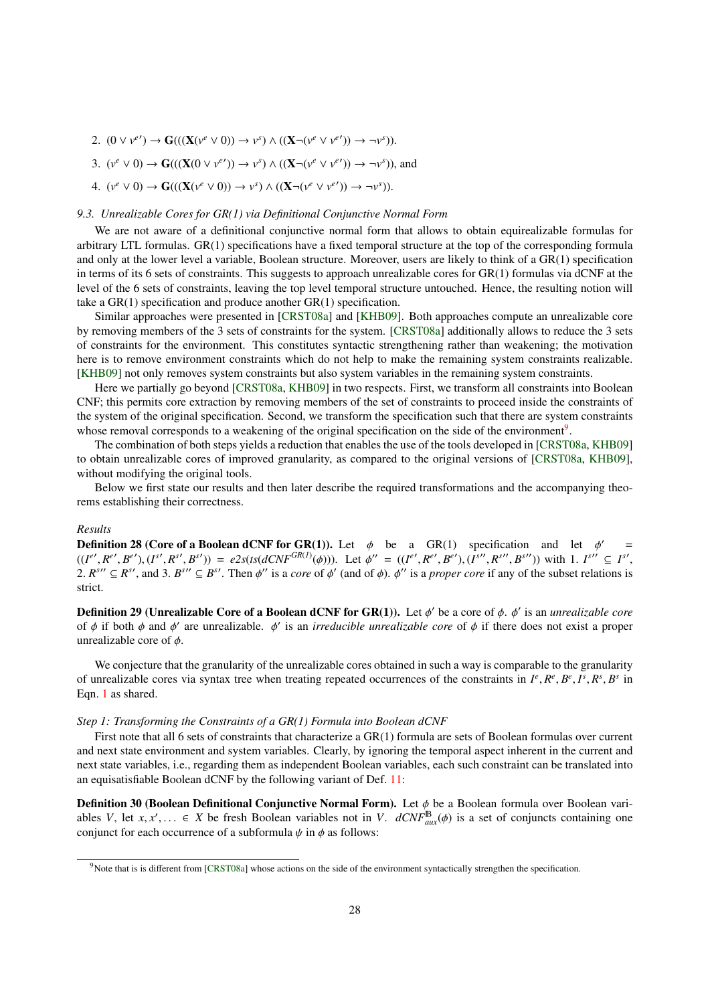<span id="page-27-1"></span>2.  $(0 \vee v^{e}) \rightarrow \mathbf{G}(((\mathbf{X}(v^{e} \vee 0)) \rightarrow v^{s}) \wedge ((\mathbf{X} \neg (v^{e} \vee v^{e'})) \rightarrow \neg v^{s})).$ 

3. 
$$
(v^e \vee 0) \rightarrow \mathbf{G}(((\mathbf{X}(0 \vee v^{e'})) \rightarrow v^s) \wedge ((\mathbf{X} \neg (v^e \vee v^{e'})) \rightarrow \neg v^s)),
$$
 and

4.  $(v^e \vee 0) \rightarrow \mathbf{G}(((\mathbf{X}(v^e \vee 0)) \rightarrow v^s) \wedge ((\mathbf{X} \neg (v^e \vee v^{e'})) \rightarrow \neg v^s)).$ 

# *9.3. Unrealizable Cores for GR(1) via Definitional Conjunctive Normal Form*

We are not aware of a definitional conjunctive normal form that allows to obtain equirealizable formulas for arbitrary LTL formulas. GR(1) specifications have a fixed temporal structure at the top of the corresponding formula and only at the lower level a variable, Boolean structure. Moreover, users are likely to think of a GR(1) specification in terms of its 6 sets of constraints. This suggests to approach unrealizable cores for GR(1) formulas via dCNF at the level of the 6 sets of constraints, leaving the top level temporal structure untouched. Hence, the resulting notion will take a  $GR(1)$  specification and produce another  $GR(1)$  specification.

Similar approaches were presented in [\[CRST08a\]](#page-36-12) and [\[KHB09\]](#page-37-4). Both approaches compute an unrealizable core by removing members of the 3 sets of constraints for the system. [\[CRST08a\]](#page-36-12) additionally allows to reduce the 3 sets of constraints for the environment. This constitutes syntactic strengthening rather than weakening; the motivation here is to remove environment constraints which do not help to make the remaining system constraints realizable. [\[KHB09\]](#page-37-4) not only removes system constraints but also system variables in the remaining system constraints.

Here we partially go beyond [\[CRST08a,](#page-36-12) [KHB09\]](#page-37-4) in two respects. First, we transform all constraints into Boolean CNF; this permits core extraction by removing members of the set of constraints to proceed inside the constraints of the system of the original specification. Second, we transform the specification such that there are system constraints whose removal corresponds to a weakening of the original specification on the side of the environment<sup>[9](#page-27-0)</sup>.

The combination of both steps yields a reduction that enables the use of the tools developed in [\[CRST08a,](#page-36-12) [KHB09\]](#page-37-4) to obtain unrealizable cores of improved granularity, as compared to the original versions of [\[CRST08a,](#page-36-12) [KHB09\]](#page-37-4), without modifying the original tools.

Below we first state our results and then later describe the required transformations and the accompanying theorems establishing their correctness.

#### *Results*

**Definition 28 (Core of a Boolean dCNF for GR(1)).** Let  $\phi$  be a GR(1) specification and let  $\phi' =$ <br>((I<sup>e</sup>' R<sup>e'</sup>) (I<sup>s'</sup> R<sup>s'</sup>)  $(S^{\prime}$  R<sup>s'</sup>)) – e2s(ts(dCNF<sup>GR(1</sup>)(d))). Let  $\phi'' = (I^{e} \circ R^{e})$  (Is'' R<sup>s''</sup> R<sup>s''</sup>) with  $((I^e', R^{e'}, B^{e'}), (I^{s'}, R^{s'}, B^{s'})) = e^{2s(ts(dCNF^{GR(I)}(\phi)))}$ . Let  $\phi'' = ((I^{e'}, R^{e'}, B^{e'}), (I^{s''}, R^{s''}, B^{s''}))$  with 1.  $I^{s''} \subseteq I^{s'}$ ,<br>2.  $R^{s''} \subseteq R^{s'}$  and 3.  $R^{s''} \subseteq R^{s'}$ . Then  $\phi''$  is a core of  $\phi'$  (and of  $\phi$ ),  $\phi''$  is a proper core 2.  $R^{s} \subseteq R^{s}$ , and 3.  $B^{s} \subseteq B^{s}$ . Then  $\phi''$  is a *core* of  $\phi'$  (and of  $\phi$ ).  $\phi''$  is a *proper core* if any of the subset relations is strict strict.

**Definition 29 (Unrealizable Core of a Boolean dCNF for GR(1)).** Let  $\phi'$  be a core of  $\phi$ ,  $\phi'$  is an *unrealizable core* of  $\phi$  is an *unrealizable core* of  $\phi$  is there does not exist a proper of  $\phi$  if both  $\phi$  and  $\phi'$  are unrealizable.  $\phi'$  is an *irreducible unrealizable core* of  $\phi$  if there does not exist a proper unrealizable core of  $\phi$ .

We conjecture that the granularity of the unrealizable cores obtained in such a way is comparable to the granularity of unrealizable cores via syntax tree when treating repeated occurrences of the constraints in  $I^e, R^e, B^e, I^s, R^s, B^s$  in<br>Fon 1 as shared Eqn. [1](#page-26-0) as shared.

#### *Step 1: Transforming the Constraints of a GR(1) Formula into Boolean dCNF*

First note that all 6 sets of constraints that characterize a GR(1) formula are sets of Boolean formulas over current and next state environment and system variables. Clearly, by ignoring the temporal aspect inherent in the current and next state variables, i.e., regarding them as independent Boolean variables, each such constraint can be translated into an equisatisfiable Boolean dCNF by the following variant of Def. [11:](#page-5-0)

Definition 30 (Boolean Definitional Conjunctive Normal Form). Let  $\phi$  be a Boolean formula over Boolean variables *V*, let *x*, *x'*,...  $\in X$  be fresh Boolean variables not in *V*.  $dCNF_{aux}^{B}(\phi)$  is a set of conjuncts containing one conjunct for each occurrence of a subformula  $\psi$  in  $\phi$  as follows: conjunct for each occurrence of a subformula  $\psi$  in  $\phi$  as follows:

<span id="page-27-0"></span><sup>9</sup>Note that is is different from [\[CRST08a\]](#page-36-12) whose actions on the side of the environment syntactically strengthen the specification.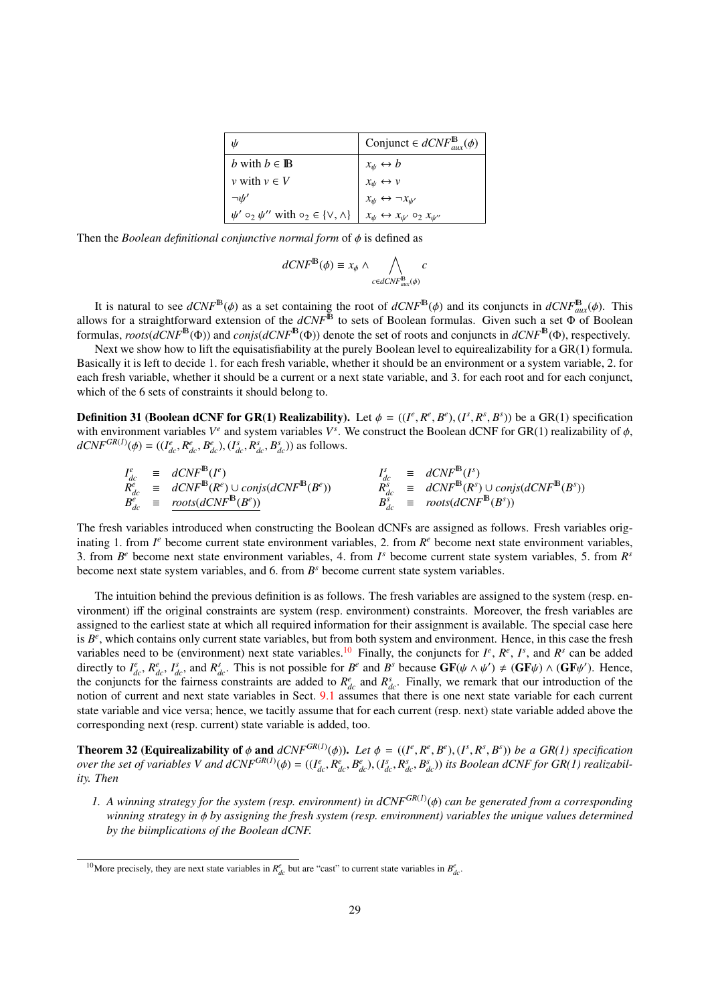| ιlι                                                        | Conjunct $\in dCNF_{aux}^{\mathbb{B}}(\phi)$                                                       |
|------------------------------------------------------------|----------------------------------------------------------------------------------------------------|
| <i>b</i> with $b \in \mathbb{B}$                           | $x_{\psi} \leftrightarrow b$                                                                       |
| $v$ with $v \in V$                                         |                                                                                                    |
| $\neg\psi'$                                                | $\begin{aligned} x_\psi &\leftrightarrow v\\ x_\psi &\leftrightarrow \neg x_{\psi'} \end{aligned}$ |
| $\psi' \circ_2 \psi''$ with $\circ_2 \in \{\vee, \wedge\}$ | $x_{\psi} \leftrightarrow x_{\psi'} \circ_2 x_{\psi''}$                                            |

Then the *Boolean definitional conjunctive normal form* of *φ* is defined as

$$
dCNF^{\mathbb{B}}(\phi) \equiv x_{\phi} \wedge \bigwedge_{c \in dCNF_{aux}^{\mathbb{B}}(\phi)} c
$$

It is natural to see  $dCNF^B(\phi)$  as a set containing the root of  $dCNF^B(\phi)$  and its conjuncts in  $dCNF^B_{aux}(\phi)$ . This allows for a straightforward extension of the  $dCNF^B$  to sets of Boolean formulas. Given such a set  $\Phi$  formulas,  $roots(dCNF^{\mathbb{B}}(\Phi))$  and  $cons(dCNF^{\mathbb{B}}(\Phi))$  denote the set of roots and conjuncts in  $dCNF^{\mathbb{B}}(\Phi)$ , respectively.

Next we show how to lift the equisatisfiability at the purely Boolean level to equirealizability for a GR(1) formula. Basically it is left to decide 1. for each fresh variable, whether it should be an environment or a system variable, 2. for each fresh variable, whether it should be a current or a next state variable, and 3. for each root and for each conjunct, which of the 6 sets of constraints it should belong to.

**Definition 31 (Boolean dCNF for GR(1) Realizability).** Let  $\phi = ((l^e, R^e, B^e), (I^s, R^s, B^s))$  be a GR(1) specification with environment variables  $V^e$  and system variables  $V^s$ . We construct the Boolean dCNE for GR(1) rea with environment variables  $V^e$  and system variables  $V^s$ . We construct the Boolean dCNF for GR(1) realizability of  $\phi$ ,<br> $dCNF^{GR(I)}(\phi) = ((I^e - R^e - R^e) - (I^s - R^s - R^s))$  as follows  $dCNF^{GR(I)}(\phi) = ((I_{dc}^e, R_{dc}^e, B_{dc}^e), (I_{dc}^s, R_{dc}^s, B_{dc}^s))$  as follows.

$$
\begin{array}{rcl}\nI_{dc}^e & \equiv & dCNF^{\mathbb{B}}(I^e) \\
R_{dc}^e & \equiv & dCNF^{\mathbb{B}}(R^e) \cup \text{conjs}(dCNF^{\mathbb{B}}(B^e)) \\
B_{dc}^e & \equiv & \text{roots}(dCNF^{\mathbb{B}}(B^e)) \\
B_{dc}^e & \equiv & \text{roots}(dCNF^{\mathbb{B}}(B^e)) \\
\end{array}\n\qquad\n\begin{array}{rcl}\nI_{dc}^s & \equiv & dCNF^{\mathbb{B}}(I^s) \\
R_{dc}^s & \equiv & dCNF^{\mathbb{B}}(R^s) \cup \text{conjs}(dCNF^{\mathbb{B}}(B^s)) \\
B_{dc}^s & \equiv & \text{roots}(dCNF^{\mathbb{B}}(B^s))\n\end{array}
$$

The fresh variables introduced when constructing the Boolean dCNFs are assigned as follows. Fresh variables originating 1. from *I<sup>e</sup>* become current state environment variables, 2. from  $R^e$  become next state environment variables, 3. from  $B^e$  become next state environment variables, 4. from  $I^s$  become current state system variables, 5. from  $R^s$ become next state system variables, and 6. from *B <sup>s</sup>* become current state system variables.

The intuition behind the previous definition is as follows. The fresh variables are assigned to the system (resp. environment) iff the original constraints are system (resp. environment) constraints. Moreover, the fresh variables are assigned to the earliest state at which all required information for their assignment is available. The special case here is  $B^e$ , which contains only current state variables, but from both system and environment. Hence, in this case the fresh variables need to be (environment) next state variables.<sup>[10](#page-28-0)</sup> Finally, the conjuncts for  $I^e$ ,  $R^e$ ,  $I^s$ , and  $R^s$  can be added directly to  $I_{ac}^e$ ,  $R_{dc}^e$ ,  $I_{ac}^s$ , and  $R_{dc}^s$ . This is not possible for  $B^e$  and  $B^s$  because  $GF(\psi \wedge \psi') \neq (GF(\psi) \wedge (GF(\psi'))$ . Hence, the conjuncts for the fairness constraints are added to  $R_{dc}^e$  and  $R_{dc}^s$ . Finally, we remark that our introduction of the notion of current and next state variables in Sect. [9.1](#page-25-1) assumes that there is one next state variable for each current state variable and vice versa; hence, we tacitly assume that for each current (resp. next) state variable added above the corresponding next (resp. current) state variable is added, too.

<span id="page-28-2"></span>**Theorem 32 (Equirealizability of**  $\phi$  **and**  $dCNF^{GR(I)}(\phi)$ **).** Let  $\phi = ((I^e, R^e, B^e), (I^s, R^s, B^s))$  be a GR(1) specification over the set of variables V and  $dCNF^{GR(I)}(\phi) - ((I^e - R^e - R^e) - (I^s - R^s - R^s))$  its Boolean  $dCNF$  for GR(1) over the set of variables V and  $dCNF^{GR(I)}(\phi) = ((I_{dc}^e, R_{dc}^e, B_{dc}^e), (I_{dc}^s, R_{dc}^s, B_{dc}^s))$  its Boolean dCNF for GR(1) realizabil-<br>ity Then *ity. Then*

<span id="page-28-1"></span>*i. A winning strategy for the system (resp. environment) in*  $dCNF^{GR(I)}(\phi)$  *can be generated from a corresponding winning strategy in*  $\phi$  *by assigning the fresh system (resp. environment) variables the unique values dete winning strategy in* φ *by assigning the fresh system (resp. environment) variables the unique values determined by the biimplications of the Boolean dCNF.*

<span id="page-28-0"></span><sup>&</sup>lt;sup>10</sup>More precisely, they are next state variables in  $R_{dc}^e$  but are "cast" to current state variables in  $B_{dc}^e$ .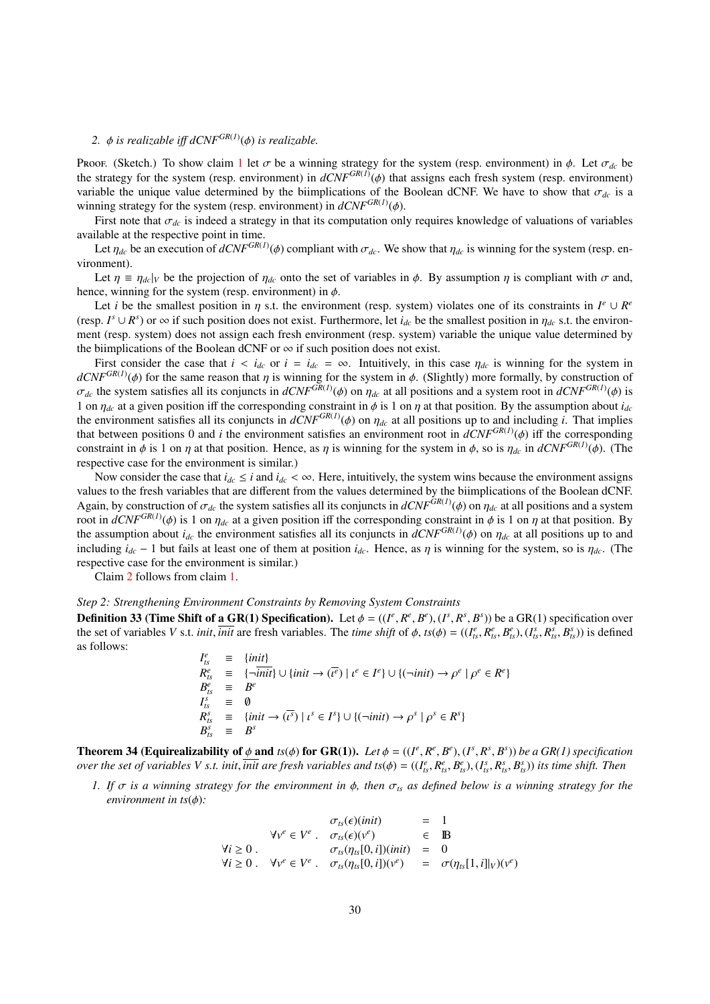# <span id="page-29-0"></span>*2.* φ *is realizable i*ff *dCNFGR*(*1*) (φ) *is realizable.*

Proof. (Sketch.) To show claim [1](#page-28-1) let  $\sigma$  be a winning strategy for the system (resp. environment) in  $\phi$ . Let  $\sigma_{dc}$  be the strategy for the system (resp. environment) in  $dCNF^{GR(I)}(\phi)$  that assigns each fresh system (resp. environment) variable the unique value determined by the bijmplications of the Boolean dCNF. We have to show that  $\sigma_1$ variable the unique value determined by the biimplications of the Boolean dCNF. We have to show that  $\sigma_{dc}$  is a winning strategy for the system (resp. environment) in  $dCNF^{GR(I)}(\phi)$ .<br>First note that  $\sigma_{i,j}$  is indeed a strategy in that its computation only

First note that  $\sigma_{dc}$  is indeed a strategy in that its computation only requires knowledge of valuations of variables available at the respective point in time.

Let  $\eta_{dc}$  be an execution of  $dCNF^{GR(I)}(\phi)$  compliant with  $\sigma_{dc}$ . We show that  $\eta_{dc}$  is winning for the system (resp. environment).

Let  $\eta = \eta_{dc}|_V$  be the projection of  $\eta_{dc}$  onto the set of variables in  $\phi$ . By assumption  $\eta$  is compliant with  $\sigma$  and, hence, winning for the system (resp. environment) in  $\phi$ .

Let *i* be the smallest position in  $\eta$  s.t. the environment (resp. system) violates one of its constraints in  $I^e \cup R^e$ <br>**p.**  $I^s \cup R^s$ ) or  $\infty$  if such position does not exist. Furthermore, let *i*, be the smallest p (resp.  $I^s \cup R^s$ ) or  $\infty$  if such position does not exist. Furthermore, let  $i_{dc}$  be the smallest position in  $\eta_{dc}$  s.t. the environ-<br>ment (resp. system) does not assign each fresh environment (resp. system) variable ment (resp. system) does not assign each fresh environment (resp. system) variable the unique value determined by the biimplications of the Boolean dCNF or  $\infty$  if such position does not exist.

First consider the case that  $i < i_{dc}$  or  $i = i_{dc} = \infty$ . Intuitively, in this case  $\eta_{dc}$  is winning for the system in  $dCNF^{GR(I)}(\phi)$  for the same reason that  $\eta$  is winning for the system in  $\phi$ . (Slightly) more formally, by construction of  $\sigma$ , the system satisfies all its conjuncts in  $dCNF^{GR(I)}(\phi)$  on  $n_{I}$ , at all positions and a sys  $\sigma_{dc}$  the system satisfies all its conjuncts in  $dCNF^{GR(I)}(\phi)$  on  $\eta_{dc}$  at all positions and a system root in  $dCNF^{GR(I)}(\phi)$  is 1 on  $n_t$ , at a given position iff the corresponding constraint in  $\phi$  is 1 on  $n$  at that p 1 on  $\eta_{dc}$  at a given position iff the corresponding constraint in  $\phi$  is 1 on  $\eta$  at that position. By the assumption about  $i_{dc}$ the environment satisfies all its conjuncts in  $dCNF^{GR(I)}(\phi)$  on  $\eta_{dc}$  at all positions up to and including *i*. That implies that between positions 0 and *i* the environment satisfies an environment root in  $dCNF^{GR(I)}(\phi)$  that between positions 0 and *i* the environment satisfies an environment root in  $dCNF^{GR(I)}(\phi)$  iff the corresponding constraint in  $\phi$  is 1 on *n* at that position. Hence, as *n* is winning for the system in  $\phi$ , so is constraint in  $\phi$  is 1 on  $\eta$  at that position. Hence, as  $\eta$  is winning for the system in  $\phi$ , so is  $\eta_{dc}$  in  $dCNF^{GR(I)}(\phi)$ . (The respective case for the environment is similar.)

Now consider the case that  $i_{dc} \le i$  and  $i_{dc} < \infty$ . Here, intuitively, the system wins because the environment assigns values to the fresh variables that are different from the values determined by the biimplications of the Boolean dCNF. Again, by construction of  $\sigma_{dc}$  the system satisfies all its conjuncts in  $dCNF^{GR(I)}(\phi)$  on  $\eta_{dc}$  at all positions and a system root in  $dCNF^{GR(I)}(\phi)$  is 1 on  $n_{c}$ , at a given position iff the corresponding constraint i root in  $dCNF^{GR(I)}(\phi)$  is 1 on  $\eta_{dc}$  at a given position iff the corresponding constraint in φ is 1 on  $\eta$  at that position. By the assumption about  $i_{dc}$  the environment satisfies all its conjuncts in  $dCNF^{GR(I)}(\phi)$  on  $\eta_{dc}$  at all positions up to and including  $i_{bc} = 1$  but fails at least one of them at position  $i_{bc}$ . Hence, as *n* is winning including  $i_{dc}$  − 1 but fails at least one of them at position  $i_{dc}$ . Hence, as  $\eta$  is winning for the system, so is  $\eta_{dc}$ . (The respective case for the environment is similar.)

Claim [2](#page-29-0) follows from claim [1.](#page-28-1)

#### *Step 2: Strengthening Environment Constraints by Removing System Constraints*

**Definition 33 (Time Shift of a GR(1) Specification).** Let  $\phi = ((l^e, R^e, B^e), (l^s, R^s, B^s))$  be a GR(1) specification over<br>the set of variables *V* s.t. *init* are fresh variables. The *time shift* of  $\phi$ ,  $t s(\phi) = ((l^e, R^e,$ the set of variables V s.t. *init*, *init* are fresh variables. The *time shift* of  $\phi$ ,  $ts(\phi) = ((I_{ts}^e, R_{ts}^e, B_{ts}^e), (I_{ts}^s, R_{ts}^s, B_{ts}^s))$  is defined as follows: as follows:

 $I_{ts}^e \equiv \{init\}$  $R_{ts}^e \equiv \{\overline{-i n i t}\} \cup \{init \rightarrow (\overline{t^e}) \mid t^e \in I^e\} \cup \{(\overline{-i n i t}) \rightarrow \rho^e \mid \rho^e \in R^e\}$  $B_{ts}^e \equiv B^e$  $I_{ts}^s = \emptyset$  $R_{ts}^s \equiv \{ \text{init} \to (\overline{\iota^s}) \mid \iota^s \in I^s \} \cup \{ (\neg \text{init}) \to \rho^s \mid \rho^s \in R^s \}$  $B_{ts}^s \equiv B^s$ 

**Theorem 34 (Equirealizability of**  $\phi$  **and ts(** $\phi$ **) for GR(1)).** Let  $\phi = ((l^e, R^e, B^e), (l^s, R^s, B^s))$  be a GR(1) specification<br>over the set of variables V s t, init, init are fresh variables and ts( $\phi$ ) – (( $l^e$ ,  $R^e$ , over the set of variables V s.t. init,  $\overline{init}$  are fresh variables and ts( $\phi$ ) = (( $I_{ts}^e$ ,  $R_{ts}^e$ ,  $B_{ts}^e$ ), ( $I_{ts}^s$ ,  $R_{ts}^s$ ,  $B_{ts}^s$ )) its time shift. Then

<span id="page-29-1"></span>*1.* If  $\sigma$  is a winning strategy for the environment in φ, then  $\sigma$ <sub>ts</sub> as defined below is a winning strategy for the *environment in ts*(φ)*:*

$$
\begin{array}{rcl}\n\sigma_{ts}(\epsilon)(init) & = & 1 \\
\forall v^e \in V^e \quad \sigma_{ts}(\epsilon)(v^e) & \in & \mathbb{B} \\
\forall i \ge 0 \quad \sigma_{ts}(\eta_{ts}[0, i])(init) & = & 0 \\
\forall i \ge 0 \quad \forall v^e \in V^e \quad \sigma_{ts}(\eta_{ts}[0, i])(v^e) & = & \sigma(\eta_{ts}[1, i]|_V)(v^e)\n\end{array}
$$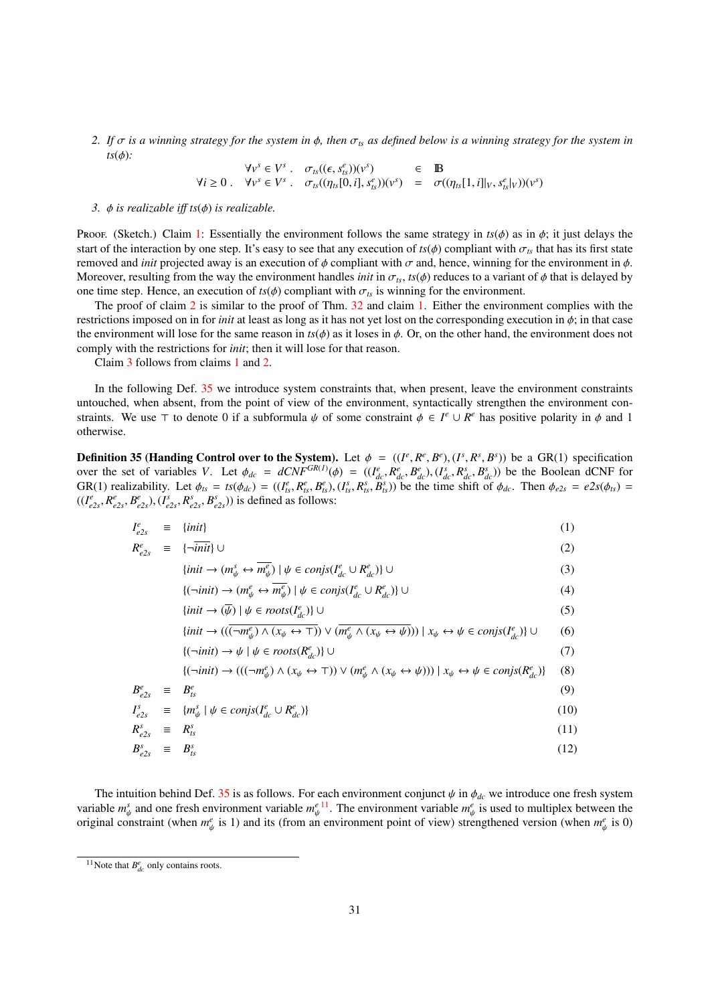<span id="page-30-0"></span>*2. If*  $\sigma$  *is a winning strategy for the system in*  $\phi$ *, then*  $\sigma_{ts}$  *as defined below is a winning strategy for the system in ts*(φ)*:*

$$
\forall v^s \in V^s. \quad \sigma_{ts}((\epsilon, s_{ts}^e))(v^s) \in \mathbb{B}
$$
  
\n
$$
\forall i \ge 0. \quad \forall v^s \in V^s. \quad \sigma_{ts}((\eta_{ts}[0, i], s_{ts}^e))(v^s) = \sigma((\eta_{ts}[1, i]|_V, s_{ts}^e|_V))(v^s)
$$

<span id="page-30-1"></span>*3.* φ *is realizable i*ff *ts*(φ) *is realizable.*

Proof. (Sketch.) Claim [1:](#page-29-1) Essentially the environment follows the same strategy in  $ts(\phi)$  as in  $\phi$ ; it just delays the start of the interaction by one step. It's easy to see that any execution of  $ts(\phi)$  compliant with  $\sigma_{ts}$  that has its first state removed and *init* projected away is an execution of  $\phi$  compliant with  $\sigma$  and, hence, winning for the environment in  $\phi$ . Moreover, resulting from the way the environment handles *init* in  $\sigma_{ts}$ ,  $ts(\phi)$  reduces to a variant of  $\phi$  that is delayed by one time step. Hence, an execution of  $ts(\phi)$  compliant with  $\sigma_{ts}$  is winning for the environment.

The proof of claim [2](#page-30-0) is similar to the proof of Thm. [32](#page-28-2) and claim [1.](#page-29-1) Either the environment complies with the restrictions imposed on in for *init* at least as long as it has not yet lost on the corresponding execution in φ; in that case the environment will lose for the same reason in  $ts(\phi)$  as it loses in  $\phi$ . Or, on the other hand, the environment does not comply with the restrictions for *init*; then it will lose for that reason.

Claim [3](#page-30-1) follows from claims [1](#page-29-1) and [2.](#page-30-0)

In the following Def. [35](#page-30-2) we introduce system constraints that, when present, leave the environment constraints untouched, when absent, from the point of view of the environment, syntactically strengthen the environment constraints. We use  $\top$  to denote 0 if a subformula  $\psi$  of some constraint  $\phi \in I^e \cup R^e$  has positive polarity in  $\phi$  and 1 otherwise otherwise.

<span id="page-30-2"></span>**Definition 35 (Handing Control over to the System).** Let  $\phi = ((I^e, R^e, B^e), (I^s, R^s, B^e))$ <br>over the set of variables  $V = [e^t, \phi] = -dCNF^{GR(I)}(\phi) = -((I^e, R^e, R^e) \text{ or } R^s \text{ or } R^s]$  $(e^{\theta}, R^e, B^e), (I^s, R^s, B^s))$  be a GR(1) specification over the set of variables V. Let  $\phi_{dc} = dCNF^{GR(I)}(\phi) = ((I_{dc}^e, R_{dc}^e, B_{dc}^e), (I_{dc}^s, R_{dc}^s, B_{dc}^s))$  be the Boolean dCNF for GR(1) realizability. Let  $\phi = t(G\phi) = t(I^e, R^e, R^s)$  be the time shift of  $\phi$ . Then  $\phi \circ \phi = e^{2s(\phi)}$ . GR(1) realizability. Let  $\phi_{ts} = ts(\phi_{dc}) = ((I_s^e, R_s^e, B_s^e), (I_s^s, R_s^s, B_s^s))$  be the time shift of  $\phi_{dc}$ . Then  $\phi_{e2s} = e2s(\phi_{ts}) =$ <br>  $((I^e, R^e, R^e) \cdot (I^s, R^s, R^s))$  is defined as follows:  $((I_{e2s}^e, R_{e2s}^e, B_{e2s}^e), (I_{e2s}^s, R_{e2s}^s, B_{e2s}^s))$  is defined as follows:

$$
I_{e2s}^e \equiv \{init\} \tag{1}
$$

$$
R_{e2s}^e \equiv {\overline{\text{-init}}}\cup \tag{2}
$$

 $\{init \rightarrow (m^s_{\psi} \leftrightarrow \overline{m^e_{\psi}}) \mid \psi \in \text{conjs}(I^e_{dc} \cup R^e_{dc})\} \cup$  (3)

$$
\{(\neg init) \to (m^e_{\psi} \leftrightarrow \overline{m^e_{\psi}}) \mid \psi \in \text{conjs}(I^e_{dc} \cup R^e_{dc})\} \cup \tag{4}
$$

$$
\{init \to (\overline{\psi}) \mid \psi \in roots(I_{dc}^e)\} \cup \tag{5}
$$

$$
\{\text{init} \to ((\overline{(\neg m_{\psi}^e) \land (x_{\psi} \leftrightarrow \top)}) \lor (\overline{m_{\psi}^e \land (x_{\psi} \leftrightarrow \psi)})) \mid x_{\psi} \leftrightarrow \psi \in \text{conjs}(I_{ac}^e)\} \cup \tag{6}
$$

$$
\{(\neg init) \to \psi \mid \psi \in roots(R_{dc}^e)\} \cup \tag{7}
$$

$$
\{ (\neg init) \to (((\neg m^e_{\psi}) \land (x_{\psi} \leftrightarrow \top)) \lor (m^e_{\psi} \land (x_{\psi} \leftrightarrow \psi))) \mid x_{\psi} \leftrightarrow \psi \in conjs(R^e_{dc}) \} \tag{8}
$$

$$
B_{e2s}^e \equiv B_{ts}^e \tag{9}
$$

$$
I_{e2s}^s \equiv \{m^s_{\psi} \mid \psi \in \text{conjs}(I_{dc}^e \cup R_{dc}^e) \} \tag{10}
$$

$$
R_{e2s}^s = R_{ts}^s \tag{11}
$$

$$
B_{e2s}^s \equiv B_{ts}^s \tag{12}
$$

The intuition behind Def. [35](#page-30-2) is as follows. For each environment conjunct  $\psi$  in  $\phi_{dc}$  we introduce one fresh system variable  $m_{\mu}^s$  and one fresh environment variable  $m_{\mu}^e$ <sup>[11](#page-30-3)</sup>. The environment variable  $m_{\mu}^e$  is used to multiplex between the original constraint (when  $m_{\mu}^e$  is 1) and its (from an environment point of view) strengthened version (when  $m_{\mu}^e$  is 0)

ψ

ψ

<span id="page-30-3"></span><sup>&</sup>lt;sup>11</sup>Note that  $B_{dc}^e$  only contains roots.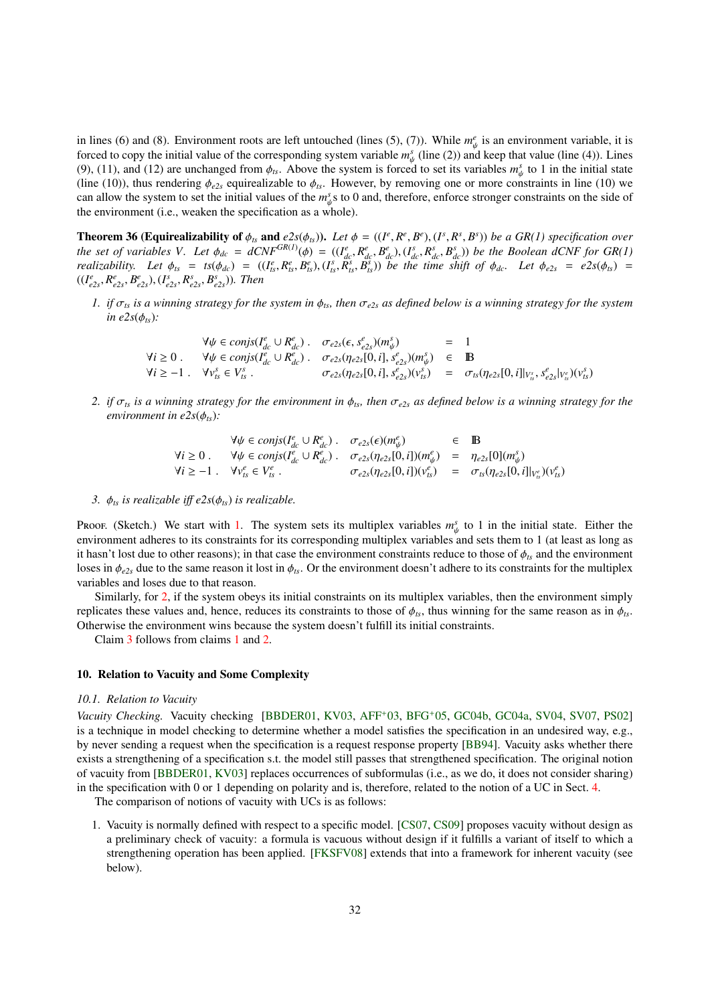<span id="page-31-5"></span>in lines (6) and (8). Environment roots are left untouched (lines (5), (7)). While  $m^e_{\mu}$  is an environment variable, it is forced to copy the initial value of the corresponding system variable  $m^s_\psi$  (line (2)) and keep that value (line (4)). Lines (9), (11), and (12) are unchanged from  $\phi_{ts}$ . Above the system is forced to set its variables  $m_{\psi}^s$  to 1 in the initial state<br>(line (10)), thus rendering  $\phi_s$ , equirellizable to  $\phi_s$ . However, by removing one or m (line (10)), thus rendering  $\phi_{e2s}$  equirealizable to  $\phi_{ts}$ . However, by removing one or more constraints in line (10) we<br>can allow the system to set the initial values of the m<sup>s</sup> s to 0 and therefore, enforce strong can allow the system to set the initial values of the  $m_{\mu}^s$  to 0 and, therefore, enforce stronger constraints on the side of the environment (i.e., weaken the specification as a whole).

**Theorem 36 (Equirealizability of**  $\phi_{ts}$  and  $e^{2s}(\phi_{ts})$ ). Let  $\phi = ((l^e, R^e, B^e), (l^s, R^s, B^e))$ <br>the set of variables  $V = \det \phi_{ts} = \frac{dCNF^{GR}(l)}{d\phi} = ((l^e, R^e, R^e) \cdot (l^s, R^s, R^s))$  $e^{\epsilon}$ ,  $R^e$ ,  $B^e$ ),  $(I^s, R^s, B^s)$ ) *be a GR(1) specification over* the set of variables V. Let  $\phi_{dc} = dCNF^{GR(I)}(\phi) = ((I_{ac}^e, R_{dc}^e, B_{dc}^e), (I_{dc}^s, R_{dc}^s, B_{dc}^s))$  be the Boolean dCNF for  $GR(I)$ <br>realizability. Let  $\phi = tS(\phi, \cdot) = ((I^e, R^e, R^e) \cdot (I^s, R^s, R^s))$  be the time shift of  $\phi$ . Let  $\phi \circ \$ realizability. Let  $\phi_{ts} = ts(\phi_{dc}) = ((I_{ts}^e, R_{ts}^e, B_{ts}^e), (I_{ts}^s, R_{ts}^s, B_{ts}^s))$  be the time shift of  $\phi_{dc}$ . Let  $\phi_{e2s} = e2s(\phi_{ts}) =$ <br>  $((I_{ts}^e, R_{ts}^e, R_{ts}^s, R_{ts}^s), (I_{ts}^s, R_{ts}^s, B_{ts}^s))$  be the time shift of  $\phi_{dc}$ . Let  $((I_{e2s}^e, R_{e2s}^e, B_{e2s}^e), (I_{e2s}^s, R_{e2s}^s, B_{e2s}^s))$ *. Then* 

<span id="page-31-2"></span>*1. if*  $\sigma$ <sub>*ts</sub> is a winning strategy for the system in*  $\phi$ <sub>*ts</sub>, then*  $\sigma$ <sub>*e*2*s*</sub> *as defined below is a winning strategy for the system*</sub></sub> *in e2s*( $\phi$ <sub>*ts*</sub>)*:* 

$$
\forall \psi \in cons(S(\mathcal{I}_{dc}^{e} \cup \mathcal{R}_{dc}^{e})) \quad \sigma_{e2s}(\epsilon, s_{e2s}^{e})(m_{\psi}^{s}) = 1
$$
\n
$$
\forall i \ge 0 \quad \forall \psi \in cons(S(\mathcal{I}_{dc}^{e} \cup \mathcal{R}_{dc}^{e})) \quad \sigma_{e2s}(\eta_{e2s}[0, i], s_{e2s}^{e})(m_{\psi}^{s}) \in \mathbb{B}
$$
\n
$$
\forall i \ge -1 \quad \forall v_{is}^{s} \in V_{is}^{s} \quad \sigma_{e2s}(\eta_{e2s}[0, i], s_{e2s}^{e})(v_{is}^{s}) = \sigma_{ts}(\eta_{e2s}[0, i]|_{V_{is}^{s}}, s_{e2s}^{e}(v_{is}^{s})(v_{is}^{s})
$$

<span id="page-31-3"></span>*2. if*  $\sigma_{ts}$  *is a winning strategy for the environment in*  $\phi_{ts}$ *, then*  $\sigma_{e2s}$  *as defined below is a winning strategy for the environment in e2s*(φ*ts*)*:*

$$
\forall \psi \in \text{conjs}(I_{dc}^e \cup R_{dc}^e) \quad \sigma_{e2s}(\epsilon)(m_{\psi}^e) \quad \in \mathbb{B}
$$
\n
$$
\forall i \ge 0 \quad \forall \psi \in \text{conjs}(I_{dc}^e \cup R_{dc}^e) \quad \sigma_{e2s}(\eta_{e2s}[0, i])(m_{\psi}^e) \quad = \quad \eta_{e2s}[0](m_{\psi}^s)
$$
\n
$$
\forall i \ge -1 \quad \forall v_{ts}^e \in V_{ts}^e \quad \sigma_{e2s}(\eta_{e2s}[0, i])(v_{ts}^e) \quad = \quad \sigma_{ts}(\eta_{e2s}[0, i]/v_{ts}^e)(v_{ts}^e)
$$

# <span id="page-31-4"></span>*3.*  $\phi_{ts}$  *is realizable iff e2s*( $\phi_{ts}$ ) *is realizable.*

Proof. (Sketch.) We start with [1.](#page-31-2) The system sets its multiplex variables  $m_{\nu}^s$  to 1 in the initial state. Either the environment adheres to its constraints for its corresponding multiplex variables and sets them to 1 (at least as long as it hasn't lost due to other reasons); in that case the environment constraints reduce to those of  $\phi_{ts}$  and the environment loses in  $\phi_{e2s}$  due to the same reason it lost in  $\phi_{ts}$ . Or the environment doesn't adhere to its constraints for the multiplex variables and loses due to that reason.

Similarly, for [2,](#page-31-3) if the system obeys its initial constraints on its multiplex variables, then the environment simply replicates these values and, hence, reduces its constraints to those of  $\phi_{ts}$ , thus winning for the same reason as in  $\phi_{ts}$ . Otherwise the environment wins because the system doesn't fulfill its initial constraints.

Claim [3](#page-31-4) follows from claims [1](#page-31-2) and [2.](#page-31-3)

#### <span id="page-31-1"></span>10. Relation to Vacuity and Some Complexity

#### <span id="page-31-0"></span>*10.1. Relation to Vacuity*

*Vacuity Checking.* Vacuity checking [\[BBDER01,](#page-35-0) [KV03,](#page-37-1) [AFF](#page-35-13)<sup>+</sup>03, [BFG](#page-35-14)<sup>+</sup>05, [GC04b,](#page-37-29) [GC04a,](#page-37-30) [SV04,](#page-38-23) [SV07,](#page-38-24) [PS02\]](#page-38-25) is a technique in model checking to determine whether a model satisfies the specification in an undesired way, e.g., by never sending a request when the specification is a request response property [\[BB94\]](#page-35-15). Vacuity asks whether there exists a strengthening of a specification s.t. the model still passes that strengthened specification. The original notion of vacuity from [\[BBDER01,](#page-35-0) [KV03\]](#page-37-1) replaces occurrences of subformulas (i.e., as we do, it does not consider sharing) in the specification with 0 or 1 depending on polarity and is, therefore, related to the notion of a UC in Sect. [4.](#page-3-0)

The comparison of notions of vacuity with UCs is as follows:

1. Vacuity is normally defined with respect to a specific model. [\[CS07,](#page-36-25) [CS09\]](#page-36-4) proposes vacuity without design as a preliminary check of vacuity: a formula is vacuous without design if it fulfills a variant of itself to which a strengthening operation has been applied. [\[FKSFV08\]](#page-37-2) extends that into a framework for inherent vacuity (see below).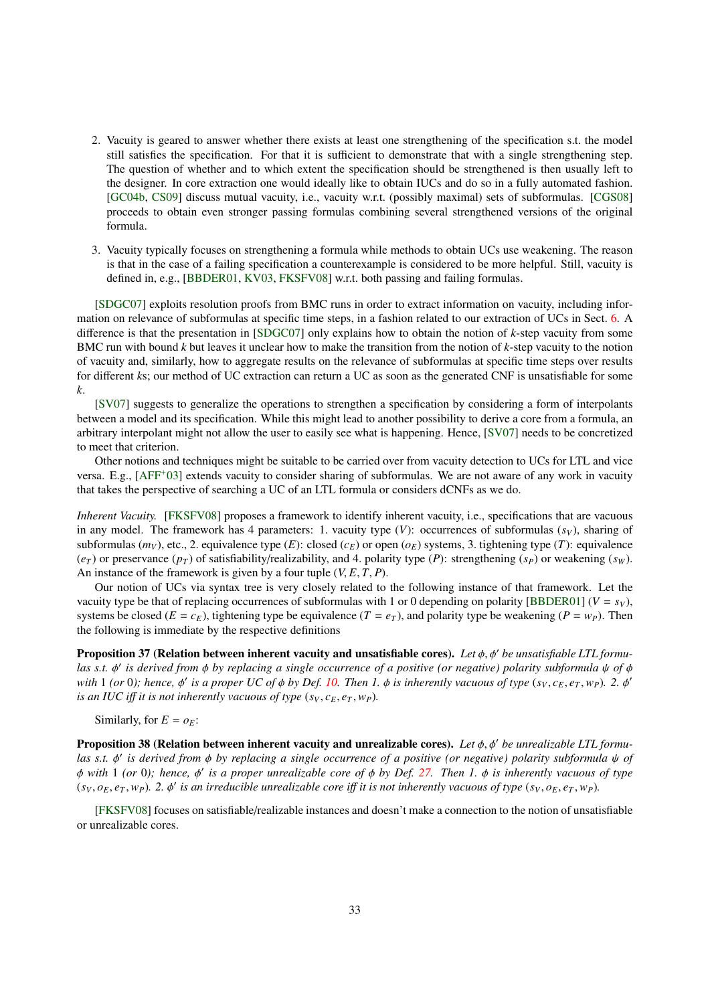- <span id="page-32-0"></span>2. Vacuity is geared to answer whether there exists at least one strengthening of the specification s.t. the model still satisfies the specification. For that it is sufficient to demonstrate that with a single strengthening step. The question of whether and to which extent the specification should be strengthened is then usually left to the designer. In core extraction one would ideally like to obtain IUCs and do so in a fully automated fashion. [\[GC04b,](#page-37-29) [CS09\]](#page-36-4) discuss mutual vacuity, i.e., vacuity w.r.t. (possibly maximal) sets of subformulas. [\[CGS08\]](#page-36-26) proceeds to obtain even stronger passing formulas combining several strengthened versions of the original formula.
- 3. Vacuity typically focuses on strengthening a formula while methods to obtain UCs use weakening. The reason is that in the case of a failing specification a counterexample is considered to be more helpful. Still, vacuity is defined in, e.g., [\[BBDER01,](#page-35-0) [KV03,](#page-37-1) [FKSFV08\]](#page-37-2) w.r.t. both passing and failing formulas.

[\[SDGC07\]](#page-38-26) exploits resolution proofs from BMC runs in order to extract information on vacuity, including information on relevance of subformulas at specific time steps, in a fashion related to our extraction of UCs in Sect. [6.](#page-13-0) A difference is that the presentation in [\[SDGC07\]](#page-38-26) only explains how to obtain the notion of *k*-step vacuity from some BMC run with bound *k* but leaves it unclear how to make the transition from the notion of *k*-step vacuity to the notion of vacuity and, similarly, how to aggregate results on the relevance of subformulas at specific time steps over results for different *k*s; our method of UC extraction can return a UC as soon as the generated CNF is unsatisfiable for some *k*.

[\[SV07\]](#page-38-24) suggests to generalize the operations to strengthen a specification by considering a form of interpolants between a model and its specification. While this might lead to another possibility to derive a core from a formula, an arbitrary interpolant might not allow the user to easily see what is happening. Hence, [\[SV07\]](#page-38-24) needs to be concretized to meet that criterion.

Other notions and techniques might be suitable to be carried over from vacuity detection to UCs for LTL and vice versa. E.g.,  $[AFF^+03]$  $[AFF^+03]$  extends vacuity to consider sharing of subformulas. We are not aware of any work in vacuity that takes the perspective of searching a UC of an LTL formula or considers dCNFs as we do.

*Inherent Vacuity.* [\[FKSFV08\]](#page-37-2) proposes a framework to identify inherent vacuity, i.e., specifications that are vacuous in any model. The framework has 4 parameters: 1. vacuity type  $(V)$ : occurrences of subformulas  $(s_V)$ , sharing of subformulas  $(m_V)$ , etc., 2. equivalence type  $(E)$ : closed  $(c_F)$  or open  $(o_F)$  systems, 3. tightening type  $(T)$ : equivalence  $(e_T)$  or preservance  $(p_T)$  of satisfiability/realizability, and 4. polarity type  $(P)$ : strengthening  $(s_P)$  or weakening  $(s_W)$ . An instance of the framework is given by a four tuple  $(V, E, T, P)$ .

Our notion of UCs via syntax tree is very closely related to the following instance of that framework. Let the vacuity type be that of replacing occurrences of subformulas with 1 or 0 depending on polarity [\[BBDER01\]](#page-35-0) ( $V = s_V$ ), systems be closed ( $E = c_E$ ), tightening type be equivalence ( $T = e_T$ ), and polarity type be weakening ( $P = w_P$ ). Then the following is immediate by the respective definitions

**Proposition 37 (Relation between inherent vacuity and unsatisfiable cores).** Let φ, φ' be unsatisfiable LTL formu*las s.t.* φ' is derived from φ by replacing a single occurrence of a positive (or negative) polarity subformula ψ of φ<br>with 1 (or 0): hence, φ' is a proper UC of φ by Def 10. Then 1, φ is inherently vacuous of type (sy c with 1 (or 0); hence,  $\phi'$  is a proper UC of  $\phi$  by Def. [10.](#page-4-1) Then 1.  $\phi$  is inherently vacuous of type  $(s_V, c_E, e_T, w_P)$ . 2.  $\phi'$ <br>is an IUC iff it is not inherently vacuous of type  $(s_V, c_E, e_T, w_P)$ *is an IUC iff it is not inherently vacuous of type*  $(s_V, c_E, e_T, w_P)$ *.* 

Similarly, for  $E = o_E$ :

**Proposition 38 (Relation between inherent vacuity and unrealizable cores).** Let  $\phi$ ,  $\phi'$  be unrealizable LTL formu*las s.t.* φ' is derived from φ by replacing a single occurrence of a positive (or negative) polarity subformula ψ of<br>φ with 1 (or 0): hence φ' is a proper unrealizable core of φ by Def. 27. Then L φ is inherently vacuous φ *with* <sup>1</sup> *(or* <sup>0</sup>*); hence,* φ 0 *is a proper unrealizable core of* φ *by Def. [27.](#page-26-2) Then 1.* φ *is inherently vacuous of type*  $(s_V, o_E, e_T, w_P)$ . 2.  $\phi'$  is an irreducible unrealizable core iff it is not inherently vacuous of type  $(s_V, o_E, e_T, w_P)$ .

[\[FKSFV08\]](#page-37-2) focuses on satisfiable/realizable instances and doesn't make a connection to the notion of unsatisfiable or unrealizable cores.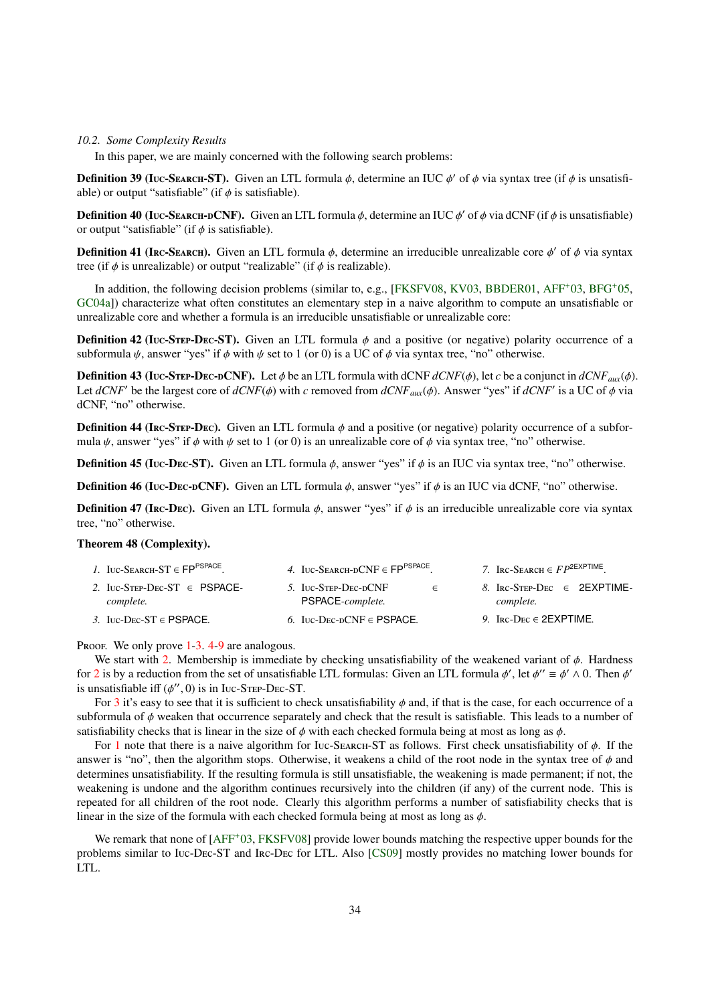# <span id="page-33-5"></span>*10.2. Some Complexity Results*

In this paper, we are mainly concerned with the following search problems:

**Definition 39 (Iuc-Search-ST).** Given an LTL formula  $\phi$ , determine an IUC  $\phi'$  of  $\phi$  via syntax tree (if  $\phi$  is unsatisfi-<br>able) or output "satisfiable" (if  $\phi$  is satisfiable) able) or output "satisfiable" (if  $\phi$  is satisfiable).

**Definition 40 (Iuc-Search-dCNF).** Given an LTL formula  $\phi$ , determine an IUC  $\phi'$  of  $\phi$  via dCNF (if  $\phi$  is unsatisfiable) or output "satisfiable" (if  $\phi$  is satisfiable) or output "satisfiable" (if  $\phi$  is satisfiable).

**Definition 41 (Irc-Search).** Given an LTL formula  $\phi$ , determine an irreducible unrealizable core  $\phi'$  of  $\phi$  via syntax tree (if  $\phi$  is unrealizable) or output "realizable" (if  $\phi$  is realizable) tree (if  $\phi$  is unrealizable) or output "realizable" (if  $\phi$  is realizable).

In addition, the following decision problems (similar to, e.g., [\[FKSFV08,](#page-37-2) [KV03,](#page-37-1) [BBDER01,](#page-35-0) [AFF](#page-35-13)<sup>+</sup>03, [BFG](#page-35-14)<sup>+</sup>05, [GC04a\]](#page-37-30)) characterize what often constitutes an elementary step in a naive algorithm to compute an unsatisfiable or unrealizable core and whether a formula is an irreducible unsatisfiable or unrealizable core:

**Definition 42 (Iuc-Step-Dec-ST).** Given an LTL formula  $\phi$  and a positive (or negative) polarity occurrence of a subformula  $\psi$ , answer "yes" if  $\phi$  with  $\psi$  set to 1 (or 0) is a UC of  $\phi$  via syntax tree, "no" otherwise.

**Definition 43 (Iuc-Step-Dec-dCNF).** Let  $\phi$  be an LTL formula with dCNF  $dCNF(\phi)$ , let *c* be a conjunct in  $dCNF_{aux}(\phi)$ . Let *dCNF'* be the largest core of *dCNF*( $\phi$ ) with *c* removed from *dCNF*<sub>*aux*</sub>( $\phi$ ). Answer "yes" if *dCNF'* is a UC of  $\phi$  via dCNF "no" otherwise dCNF, "no" otherwise.

**Definition 44 (IRC-STEP-DEC).** Given an LTL formula  $\phi$  and a positive (or negative) polarity occurrence of a subformula  $\psi$ , answer "yes" if  $\phi$  with  $\psi$  set to 1 (or 0) is an unrealizable core of  $\phi$  via syntax tree, "no" otherwise.

**Definition 45 (Iuc-Dec-ST).** Given an LTL formula  $\phi$ , answer "yes" if  $\phi$  is an IUC via syntax tree, "no" otherwise.

**Definition 46 (Iuc-Dec-dCNF).** Given an LTL formula  $\phi$ , answer "yes" if  $\phi$  is an IUC via dCNF, "no" otherwise.

**Definition 47 (Irc-Dec).** Given an LTL formula  $\phi$ , answer "yes" if  $\phi$  is an irreducible unrealizable core via syntax tree, "no" otherwise.

#### Theorem 48 (Complexity).

<span id="page-33-4"></span><span id="page-33-3"></span><span id="page-33-2"></span><span id="page-33-0"></span>

| <i>I</i> . IUC-SEARCH-ST $\in$ FP <sup>PSPACE</sup> . | 4. IUC-SEARCH-DCNF $\in$ FP <sup>PSPACE</sup> . |            | 7. IRC-SEARCH $\in FP^{2EXPTIME}$ .                 |
|-------------------------------------------------------|-------------------------------------------------|------------|-----------------------------------------------------|
| 2. IUC-STEP-DEC-ST $\in$ PSPACE-<br><i>complete.</i>  | 5. IUC-STEP-DEC-DCNF<br>PSPACE-complete.        | $\epsilon$ | 8. IRC-STEP-DEC $\in$ 2EXPTIME-<br><i>complete.</i> |
| 3. Iuc-Dec-ST $\in$ PSPACE.                           | 6. IUC-DEC-DCNF $\in$ PSPACE.                   |            | 9. IRC-DEC $\in$ 2EXPTIME.                          |

<span id="page-33-1"></span>Proof. We only prove [1-](#page-33-0)[3.](#page-33-1) [4-](#page-33-2)[9](#page-33-3) are analogous.

We start with [2.](#page-33-4) Membership is immediate by checking unsatisfiability of the weakened variant of  $\phi$ . Hardness for [2](#page-33-4) is by a reduction from the set of unsatisfiable LTL formulas: Given an LTL formula  $\phi'$ , let  $\phi'' \equiv \phi' \wedge 0$ . Then  $\phi'$  is unsatisfiable iff  $(\phi'' \cap)$  is in LIC-STEP-DEG-ST. is unsatisfiable iff  $(\phi'', 0)$  is in Iuc-Step-Dec-ST.<br>For 3 it's easy to see that it is sufficient to ch

For [3](#page-33-1) it's easy to see that it is sufficient to check unsatisfiability  $\phi$  and, if that is the case, for each occurrence of a subformula of  $\phi$  weaken that occurrence separately and check that the result is satisfiable. This leads to a number of satisfiability checks that is linear in the size of  $\phi$  with each checked formula being at most as long as  $\phi$ .

For [1](#page-33-0) note that there is a naive algorithm for Iuc-Search-ST as follows. First check unsatisfiability of  $\phi$ . If the answer is "no", then the algorithm stops. Otherwise, it weakens a child of the root node in the syntax tree of  $\phi$  and determines unsatisfiability. If the resulting formula is still unsatisfiable, the weakening is made permanent; if not, the weakening is undone and the algorithm continues recursively into the children (if any) of the current node. This is repeated for all children of the root node. Clearly this algorithm performs a number of satisfiability checks that is linear in the size of the formula with each checked formula being at most as long as  $\phi$ .

We remark that none of [\[AFF](#page-35-13)<sup>+</sup>03, [FKSFV08\]](#page-37-2) provide lower bounds matching the respective upper bounds for the problems similar to Iuc-Dec-ST and Irc-Dec for LTL. Also [\[CS09\]](#page-36-4) mostly provides no matching lower bounds for LTL.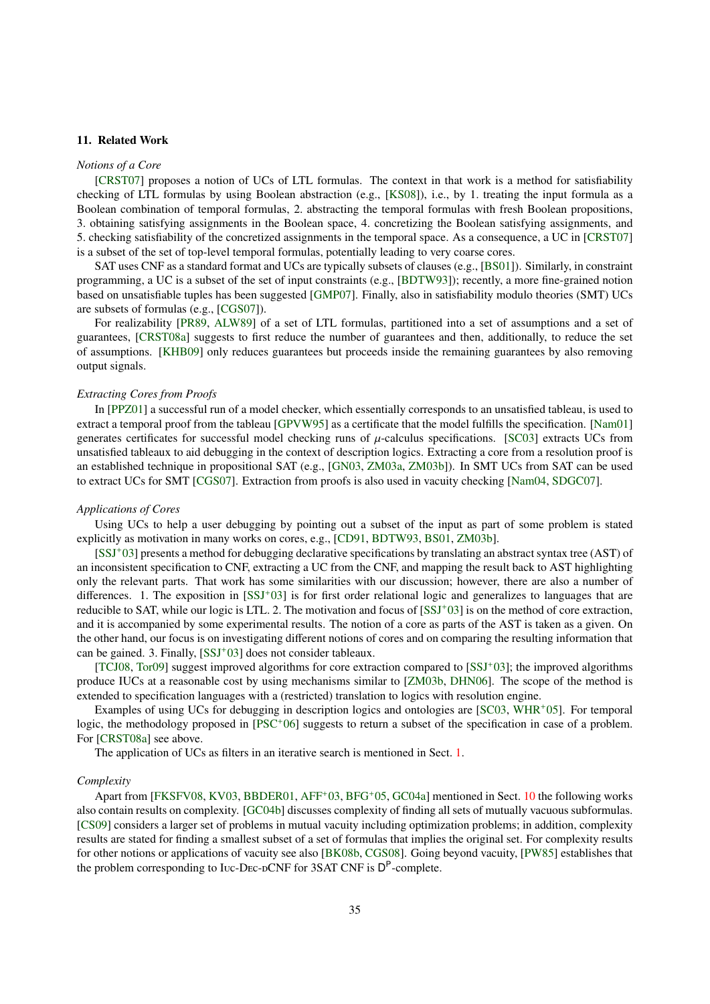# <span id="page-34-1"></span><span id="page-34-0"></span>11. Related Work

#### *Notions of a Core*

[\[CRST07\]](#page-36-11) proposes a notion of UCs of LTL formulas. The context in that work is a method for satisfiability checking of LTL formulas by using Boolean abstraction (e.g., [\[KS08\]](#page-37-16)), i.e., by 1. treating the input formula as a Boolean combination of temporal formulas, 2. abstracting the temporal formulas with fresh Boolean propositions, 3. obtaining satisfying assignments in the Boolean space, 4. concretizing the Boolean satisfying assignments, and 5. checking satisfiability of the concretized assignments in the temporal space. As a consequence, a UC in [\[CRST07\]](#page-36-11) is a subset of the set of top-level temporal formulas, potentially leading to very coarse cores.

SAT uses CNF as a standard format and UCs are typically subsets of clauses (e.g., [\[BS01\]](#page-36-27)). Similarly, in constraint programming, a UC is a subset of the set of input constraints (e.g., [\[BDTW93\]](#page-35-16)); recently, a more fine-grained notion based on unsatisfiable tuples has been suggested [\[GMP07\]](#page-37-31). Finally, also in satisfiability modulo theories (SMT) UCs are subsets of formulas (e.g., [\[CGS07\]](#page-36-14)).

For realizability [\[PR89,](#page-38-4) [ALW89\]](#page-35-1) of a set of LTL formulas, partitioned into a set of assumptions and a set of guarantees, [\[CRST08a\]](#page-36-12) suggests to first reduce the number of guarantees and then, additionally, to reduce the set of assumptions. [\[KHB09\]](#page-37-4) only reduces guarantees but proceeds inside the remaining guarantees by also removing output signals.

#### *Extracting Cores from Proofs*

In [\[PPZ01\]](#page-38-27) a successful run of a model checker, which essentially corresponds to an unsatisfied tableau, is used to extract a temporal proof from the tableau [\[GPVW95\]](#page-37-5) as a certificate that the model fulfills the specification. [\[Nam01\]](#page-37-32) generates certificates for successful model checking runs of  $\mu$ -calculus specifications. [\[SC03\]](#page-38-28) extracts UCs from unsatisfied tableaux to aid debugging in the context of description logics. Extracting a core from a resolution proof is an established technique in propositional SAT (e.g., [\[GN03,](#page-37-8) [ZM03a,](#page-38-13) [ZM03b\]](#page-38-14)). In SMT UCs from SAT can be used to extract UCs for SMT [\[CGS07\]](#page-36-14). Extraction from proofs is also used in vacuity checking [\[Nam04,](#page-38-29) [SDGC07\]](#page-38-26).

#### *Applications of Cores*

Using UCs to help a user debugging by pointing out a subset of the input as part of some problem is stated explicitly as motivation in many works on cores, e.g., [\[CD91,](#page-36-28) [BDTW93,](#page-35-16) [BS01,](#page-36-27) [ZM03b\]](#page-38-14).

[\[SSJ](#page-38-30)+03] presents a method for debugging declarative specifications by translating an abstract syntax tree (AST) of an inconsistent specification to CNF, extracting a UC from the CNF, and mapping the result back to AST highlighting only the relevant parts. That work has some similarities with our discussion; however, there are also a number of differences. 1. The exposition in  $[SSJ<sup>+</sup>03]$  $[SSJ<sup>+</sup>03]$  is for first order relational logic and generalizes to languages that are reducible to SAT, while our logic is LTL. 2. The motivation and focus of [\[SSJ](#page-38-30)+03] is on the method of core extraction, and it is accompanied by some experimental results. The notion of a core as parts of the AST is taken as a given. On the other hand, our focus is on investigating different notions of cores and on comparing the resulting information that can be gained. 3. Finally, [\[SSJ](#page-38-30)+03] does not consider tableaux.

[\[TCJ08,](#page-38-15) [Tor09\]](#page-38-31) suggest improved algorithms for core extraction compared to  $[SSJ<sup>+</sup>03]$  $[SSJ<sup>+</sup>03]$ ; the improved algorithms produce IUCs at a reasonable cost by using mechanisms similar to [\[ZM03b,](#page-38-14) [DHN06\]](#page-36-29). The scope of the method is extended to specification languages with a (restricted) translation to logics with resolution engine.

Examples of using UCs for debugging in description logics and ontologies are [\[SC03,](#page-38-28) [WHR](#page-38-32)+05]. For temporal logic, the methodology proposed in [\[PSC](#page-38-1)<sup>+</sup>06] suggests to return a subset of the specification in case of a problem. For [\[CRST08a\]](#page-36-12) see above.

The application of UCs as filters in an iterative search is mentioned in Sect. [1.](#page-0-0)

#### *Complexity*

Apart from [\[FKSFV08,](#page-37-2) [KV03,](#page-37-1) [BBDER01,](#page-35-0) [AFF](#page-35-13)<sup>+</sup>03, [BFG](#page-35-14)<sup>+</sup>05, [GC04a\]](#page-37-30) mentioned in Sect. [10](#page-31-1) the following works also contain results on complexity. [\[GC04b\]](#page-37-29) discusses complexity of finding all sets of mutually vacuous subformulas. [\[CS09\]](#page-36-4) considers a larger set of problems in mutual vacuity including optimization problems; in addition, complexity results are stated for finding a smallest subset of a set of formulas that implies the original set. For complexity results for other notions or applications of vacuity see also [\[BK08b,](#page-36-30) [CGS08\]](#page-36-26). Going beyond vacuity, [\[PW85\]](#page-38-33) establishes that the problem corresponding to Iuc-DEC-DCNF for 3SAT CNF is D<sup>P</sup>-complete.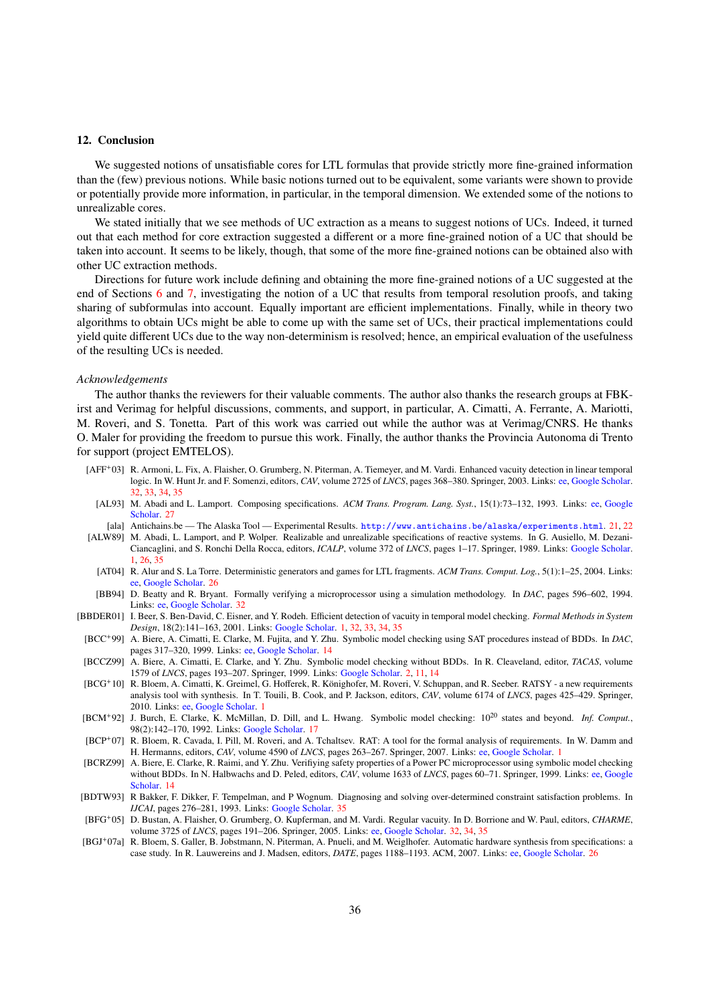# <span id="page-35-5"></span>12. Conclusion

We suggested notions of unsatisfiable cores for LTL formulas that provide strictly more fine-grained information than the (few) previous notions. While basic notions turned out to be equivalent, some variants were shown to provide or potentially provide more information, in particular, in the temporal dimension. We extended some of the notions to unrealizable cores.

We stated initially that we see methods of UC extraction as a means to suggest notions of UCs. Indeed, it turned out that each method for core extraction suggested a different or a more fine-grained notion of a UC that should be taken into account. It seems to be likely, though, that some of the more fine-grained notions can be obtained also with other UC extraction methods.

Directions for future work include defining and obtaining the more fine-grained notions of a UC suggested at the end of Sections [6](#page-13-0) and [7,](#page-16-0) investigating the notion of a UC that results from temporal resolution proofs, and taking sharing of subformulas into account. Equally important are efficient implementations. Finally, while in theory two algorithms to obtain UCs might be able to come up with the same set of UCs, their practical implementations could yield quite different UCs due to the way non-determinism is resolved; hence, an empirical evaluation of the usefulness of the resulting UCs is needed.

#### *Acknowledgements*

The author thanks the reviewers for their valuable comments. The author also thanks the research groups at FBKirst and Verimag for helpful discussions, comments, and support, in particular, A. Cimatti, A. Ferrante, A. Mariotti, M. Roveri, and S. Tonetta. Part of this work was carried out while the author was at Verimag/CNRS. He thanks O. Maler for providing the freedom to pursue this work. Finally, the author thanks the Provincia Autonoma di Trento for support (project EMTELOS).

- <span id="page-35-13"></span>[AFF<sup>+</sup>03] R. Armoni, L. Fix, A. Flaisher, O. Grumberg, N. Piterman, A. Tiemeyer, and M. Vardi. Enhanced vacuity detection in linear temporal logic. In W. Hunt Jr. and F. Somenzi, editors, *CAV*, volume 2725 of *LNCS*, pages 368–380. Springer, 2003. Links: [ee,](http://springerlink.metapress.com/openurl.asp?genre=article{&}issn=0302-9743{&}volume=2725{&}spage=368) [Google Scholar.](http://scholar.google.com/scholar?q=%22Enhanced+Vacuity+Detection+in+Linear+Temporal+Logic%22&hl=en&lr=&btnG=Search) [32,](#page-31-5) [33,](#page-32-0) [34,](#page-33-5) [35](#page-34-1)
- <span id="page-35-12"></span>[AL93] M. Abadi and L. Lamport. Composing specifications. *ACM Trans. Program. Lang. Syst.*, 15(1):73–132, 1993. Links: [ee,](http://doi.acm.org/10.1145/151646.151649) [Google](http://scholar.google.com/scholar?q=%22Composing+Specifications%22&hl=en&lr=&btnG=Search) Scholar<sub>.[27](#page-26-3)</sub>
- <span id="page-35-9"></span><span id="page-35-1"></span>[ala] Antichains.be — The Alaska Tool — Experimental Results. <http://www.antichains.be/alaska/experiments.html>. [21,](#page-20-2) [22](#page-21-1) [ALW89] M. Abadi, L. Lamport, and P. Wolper. Realizable and unrealizable specifications of reactive systems. In G. Ausiello, M. Dezani-
- Ciancaglini, and S. Ronchi Della Rocca, editors, *ICALP*, volume 372 of *LNCS*, pages 1–17. Springer, 1989. Links: [Google Scholar.](http://scholar.google.com/scholar?q=%22Realizable+and+Unrealizable+Specifications+of+Reactive+Systems%22&hl=en&lr=&btnG=Search) [1,](#page-0-1) [26,](#page-25-2) [35](#page-34-1)
- <span id="page-35-10"></span>[AT04] R. Alur and S. La Torre. Deterministic generators and games for LTL fragments. *ACM Trans. Comput. Log.*, 5(1):1–25, 2004. Links: [ee,](http://doi.acm.org/10.1145/963927.963928) [Google Scholar.](http://scholar.google.com/scholar?q=%22Deterministic+generators+and+games+for+LTL+fragments%22&hl=en&lr=&btnG=Search) [26](#page-25-2)
- <span id="page-35-15"></span>[BB94] D. Beatty and R. Bryant. Formally verifying a microprocessor using a simulation methodology. In *DAC*, pages 596–602, 1994. Links: [ee,](http://doi.acm.org/10.1145/196244.196575) [Google Scholar.](http://scholar.google.com/scholar?q=%22Formally+Verifying+a+Microprocessor+Using+a+Simulation+Methodology%22&hl=en&lr=&btnG=Search) [32](#page-31-5)
- <span id="page-35-0"></span>[BBDER01] I. Beer, S. Ben-David, C. Eisner, and Y. Rodeh. Efficient detection of vacuity in temporal model checking. *Formal Methods in System Design*, 18(2):141–163, 2001. Links: [Google Scholar.](http://scholar.google.com/scholar?q=%22Efficient+Detection+of+Vacuity+in+Temporal+Model+Checking%22&hl=en&lr=&btnG=Search) [1,](#page-0-1) [32,](#page-31-5) [33,](#page-32-0) [34,](#page-33-5) [35](#page-34-1)
- <span id="page-35-6"></span>[BCC+99] A. Biere, A. Cimatti, E. Clarke, M. Fujita, and Y. Zhu. Symbolic model checking using SAT procedures instead of BDDs. In *DAC*, pages 317–320, 1999. Links: [ee,](http://doi.acm.org/10.1145/309847.309942) [Google Scholar.](http://scholar.google.com/scholar?q=%22Symbolic+Model+Checking+Using+SAT+Procedures+instead+of+BDDs%22&hl=en&lr=&btnG=Search) [14](#page-13-5)
- <span id="page-35-4"></span>[BCCZ99] A. Biere, A. Cimatti, E. Clarke, and Y. Zhu. Symbolic model checking without BDDs. In R. Cleaveland, editor, *TACAS*, volume 1579 of *LNCS*, pages 193–207. Springer, 1999. Links: [Google Scholar.](http://scholar.google.com/scholar?q=%22Symbolic+Model+Checking+without+BDDs%22&hl=en&lr=&btnG=Search) [2,](#page-1-1) [11,](#page-10-2) [14](#page-13-5)
- <span id="page-35-2"></span>[BCG+10] R. Bloem, A. Cimatti, K. Greimel, G. Hofferek, R. Könighofer, M. Roveri, V. Schuppan, and R. Seeber. RATSY - a new requirements analysis tool with synthesis. In T. Touili, B. Cook, and P. Jackson, editors, *CAV*, volume 6174 of *LNCS*, pages 425–429. Springer, 2010. Links: [ee,](http://dx.doi.org/10.1007/978-3-642-14295-6_37) [Google Scholar.](http://scholar.google.com/scholar?q=%22RATSY+-+A+New+Requirements+Analysis+Tool+with+Synthesis%22&hl=en&lr=&btnG=Search) [1](#page-0-1)
- <span id="page-35-8"></span>[BCM+92] J. Burch, E. Clarke, K. McMillan, D. Dill, and L. Hwang. Symbolic model checking: 10<sup>20</sup> states and beyond. *Inf. Comput.*, 98(2):142–170, 1992. Links: [Google Scholar.](http://scholar.google.com/scholar?q=%22Symbolic+Model+Checking:+$10^20$+States+and+Beyond%22&hl=en&lr=&btnG=Search) [17](#page-16-1)
- <span id="page-35-3"></span>[BCP+07] R. Bloem, R. Cavada, I. Pill, M. Roveri, and A. Tchaltsev. RAT: A tool for the formal analysis of requirements. In W. Damm and H. Hermanns, editors, *CAV*, volume 4590 of *LNCS*, pages 263–267. Springer, 2007. Links: [ee,](http://dx.doi.org/10.1007/978-3-540-73368-3_30) [Google Scholar.](http://scholar.google.com/scholar?q=%22RAT:+A+Tool+for+the+Formal+Analysis+of+Requirements%22&hl=en&lr=&btnG=Search) [1](#page-0-1)
- <span id="page-35-7"></span>[BCRZ99] A. Biere, E. Clarke, R. Raimi, and Y. Zhu. Verifiying safety properties of a Power PC microprocessor using symbolic model checking without BDDs. In N. Halbwachs and D. Peled, editors, *CAV*, volume 1633 of *LNCS*, pages 60–71. Springer, 1999. Links: [ee,](http://link.springer.de/link/service/series/0558/bibs/1633/16330060.htm) [Google](http://scholar.google.com/scholar?q=%22Verifiying+Safety+Properties+of+a+Power+PC+Microprocessor+Using+Symbolic+Model+Checking+without+BDDs%22&hl=en&lr=&btnG=Search) [Scholar.](http://scholar.google.com/scholar?q=%22Verifiying+Safety+Properties+of+a+Power+PC+Microprocessor+Using+Symbolic+Model+Checking+without+BDDs%22&hl=en&lr=&btnG=Search) [14](#page-13-5)
- <span id="page-35-16"></span>[BDTW93] R Bakker, F. Dikker, F. Tempelman, and P Wognum. Diagnosing and solving over-determined constraint satisfaction problems. In *IJCAI*, pages 276–281, 1993. Links: [Google Scholar.](http://scholar.google.com/scholar?q=%22Diagnosing+and+Solving+Over-Determined+Constraint+Satisfaction+Problems%22&hl=en&lr=&btnG=Search) [35](#page-34-1)
- <span id="page-35-14"></span>[BFG+05] D. Bustan, A. Flaisher, O. Grumberg, O. Kupferman, and M. Vardi. Regular vacuity. In D. Borrione and W. Paul, editors, *CHARME*, volume 3725 of *LNCS*, pages 191–206. Springer, 2005. Links: [ee,](http://dx.doi.org/10.1007/11560548_16) [Google Scholar.](http://scholar.google.com/scholar?q=%22Regular+Vacuity%22&hl=en&lr=&btnG=Search) [32,](#page-31-5) [34,](#page-33-5) [35](#page-34-1)
- <span id="page-35-11"></span>[BGJ+07a] R. Bloem, S. Galler, B. Jobstmann, N. Piterman, A. Pnueli, and M. Weiglhofer. Automatic hardware synthesis from specifications: a case study. In R. Lauwereins and J. Madsen, editors, *DATE*, pages 1188–1193. ACM, 2007. Links: [ee,](http://doi.acm.org/10.1145/1266366.1266622) [Google Scholar.](http://scholar.google.com/scholar?q=%22Automatic+hardware+synthesis+from+specifications:+a+case+study%22&hl=en&lr=&btnG=Search) [26](#page-25-2)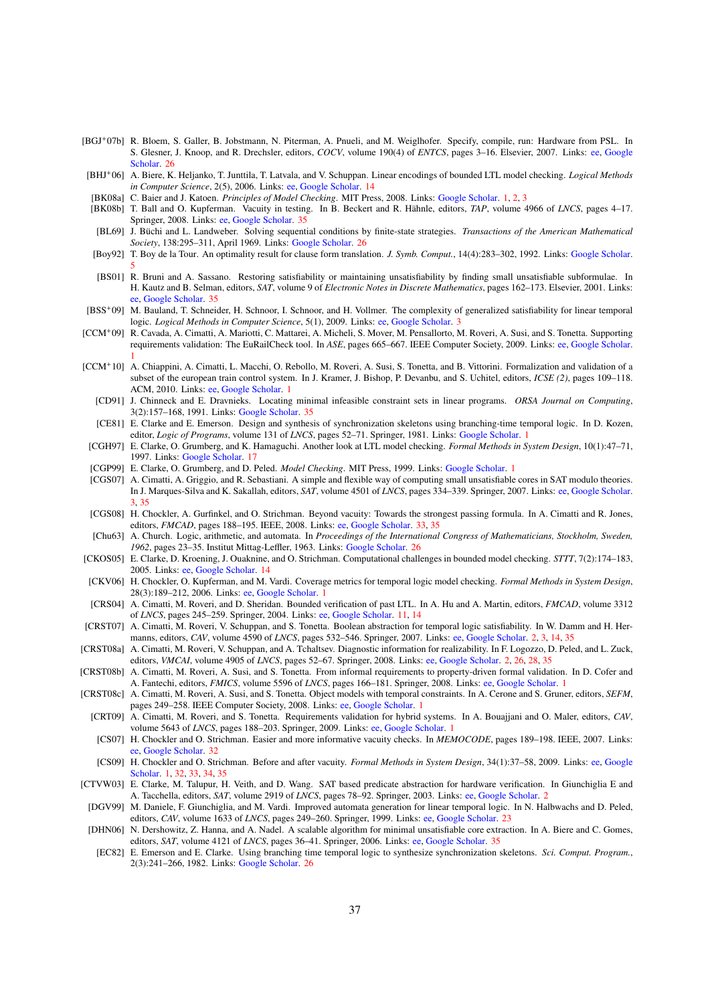- <span id="page-36-24"></span>[BGJ+07b] R. Bloem, S. Galler, B. Jobstmann, N. Piterman, A. Pnueli, and M. Weiglhofer. Specify, compile, run: Hardware from PSL. In S. Glesner, J. Knoop, and R. Drechsler, editors, *COCV*, volume 190(4) of *ENTCS*, pages 3–16. Elsevier, 2007. Links: [ee,](http://dx.doi.org/10.1016/j.entcs.2007.09.004) [Google](http://scholar.google.com/scholar?q=%22Specify,+Compile,+Run:+Hardware+from+PSL%22&hl=en&lr=&btnG=Search) [Scholar.](http://scholar.google.com/scholar?q=%22Specify,+Compile,+Run:+Hardware+from+PSL%22&hl=en&lr=&btnG=Search) [26](#page-25-2)
- <span id="page-36-17"></span>[BHJ+06] A. Biere, K. Heljanko, T. Junttila, T. Latvala, and V. Schuppan. Linear encodings of bounded LTL model checking. *Logical Methods in Computer Science*, 2(5), 2006. Links: [ee,](http://dx.doi.org/10.2168/LMCS-2(5:5)2006) [Google Scholar.](http://scholar.google.com/scholar?q=%22Linear+Encodings+of+Bounded+LTL+Model+Checking%22&hl=en&lr=&btnG=Search) [14](#page-13-5)
- <span id="page-36-3"></span>[BK08a] C. Baier and J. Katoen. *Principles of Model Checking*. MIT Press, 2008. Links: [Google Scholar.](http://scholar.google.com/scholar?q=%22Principles+of+Model+Checking%22&hl=en&lr=&btnG=Search) [1,](#page-0-1) [2,](#page-1-1) [3](#page-2-1)
- <span id="page-36-30"></span>[BK08b] T. Ball and O. Kupferman. Vacuity in testing. In B. Beckert and R. Hähnle, editors, *TAP*, volume 4966 of *LNCS*, pages 4-17. Springer, 2008. Links: [ee,](http://dx.doi.org/10.1007/978-3-540-79124-9_2) [Google Scholar.](http://scholar.google.com/scholar?q=%22Vacuity+in+Testing%22&hl=en&lr=&btnG=Search) [35](#page-34-1)
- <span id="page-36-23"></span>[BL69] J. Büchi and L. Landweber. Solving sequential conditions by finite-state strategies. *Transactions of the American Mathematical Society*, 138:295–311, April 1969. Links: [Google Scholar.](http://scholar.google.com/scholar?q=%22Solving+Sequential+Conditions+by+Finite-State+Strategies%22&hl=en&lr=&btnG=Search) [26](#page-25-2)
- <span id="page-36-15"></span>[Boy92] T. Boy de la Tour. An optimality result for clause form translation. *J. Symb. Comput.*, 14(4):283–302, 1992. Links: [Google Scholar.](http://scholar.google.com/scholar?q=%22An+Optimality+Result+for+Clause+Form+Translation%22&hl=en&lr=&btnG=Search) [5](#page-4-4)
- <span id="page-36-27"></span>[BS01] R. Bruni and A. Sassano. Restoring satisfiability or maintaining unsatisfiability by finding small unsatisfiable subformulae. In H. Kautz and B. Selman, editors, *SAT*, volume 9 of *Electronic Notes in Discrete Mathematics*, pages 162–173. Elsevier, 2001. Links: [ee,](http://dx.doi.org/10.1016/S1571-0653(04)00320-8) [Google Scholar.](http://scholar.google.com/scholar?q=%22Restoring+Satisfiability+or+Maintaining+Unsatisfiability+by+finding+small+Unsatisfiable+Subformulae%22&hl=en&lr=&btnG=Search) [35](#page-34-1)
- <span id="page-36-13"></span>[BSS+09] M. Bauland, T. Schneider, H. Schnoor, I. Schnoor, and H. Vollmer. The complexity of generalized satisfiability for linear temporal logic. *Logical Methods in Computer Science*, 5(1), 2009. Links: [ee,](http://dx.doi.org/10.2168/LMCS-5(1:1)2009) [Google Scholar.](http://scholar.google.com/scholar?q=%22The+Complexity+of+Generalized+Satisfiability+for+Linear+Temporal+Logic%22&hl=en&lr=&btnG=Search) [3](#page-2-1)
- <span id="page-36-7"></span>[CCM+09] R. Cavada, A. Cimatti, A. Mariotti, C. Mattarei, A. Micheli, S. Mover, M. Pensallorto, M. Roveri, A. Susi, and S. Tonetta. Supporting requirements validation: The EuRailCheck tool. In *ASE*, pages 665–667. IEEE Computer Society, 2009. Links: [ee,](http://doi.ieeecomputersociety.org/10.1109/ASE.2009.49) [Google Scholar.](http://scholar.google.com/scholar?q=%22Supporting+Requirements+Validation:+The+EuRailCheck+Tool%22&hl=en&lr=&btnG=Search) [1](#page-0-1)
- <span id="page-36-28"></span><span id="page-36-5"></span>[CCM+10] A. Chiappini, A. Cimatti, L. Macchi, O. Rebollo, M. Roveri, A. Susi, S. Tonetta, and B. Vittorini. Formalization and validation of a subset of the european train control system. In J. Kramer, J. Bishop, P. Devanbu, and S. Uchitel, editors, *ICSE (2)*, pages 109–118. ACM, 2010. Links: [ee,](http://doi.acm.org/10.1145/1810295.1810312) [Google Scholar.](http://scholar.google.com/scholar?q=%22Formalization+and+validation+of+a+subset+of+the+European+Train+Control+System%22&hl=en&lr=&btnG=Search) [1](#page-0-1)
	- [CD91] J. Chinneck and E. Dravnieks. Locating minimal infeasible constraint sets in linear programs. *ORSA Journal on Computing*, 3(2):157–168, 1991. Links: [Google Scholar.](http://scholar.google.com/scholar?q=%22Locating+Minimal+Infeasible+Constraint+Sets+in+Linear+Programs%22&hl=en&lr=&btnG=Search) [35](#page-34-1)
	- [CE81] E. Clarke and E. Emerson. Design and synthesis of synchronization skeletons using branching-time temporal logic. In D. Kozen, editor, *Logic of Programs*, volume 131 of *LNCS*, pages 52–71. Springer, 1981. Links: [Google Scholar.](http://scholar.google.com/scholar?q=%22Design+and+Synthesis+of+Synchronization+Skeletons+Using+Branching-Time+Temporal+Logic%22&hl=en&lr=&btnG=Search) [1](#page-0-1)
- <span id="page-36-19"></span><span id="page-36-1"></span>[CGH97] E. Clarke, O. Grumberg, and K. Hamaguchi. Another look at LTL model checking. *Formal Methods in System Design*, 10(1):47–71, 1997. Links: [Google Scholar.](http://scholar.google.com/scholar?q=%22Another+Look+at+LTL+Model+Checking%22&hl=en&lr=&btnG=Search) [17](#page-16-1)
- <span id="page-36-2"></span>[CGP99] E. Clarke, O. Grumberg, and D. Peled. *Model Checking*. MIT Press, 1999. Links: [Google Scholar.](http://scholar.google.com/scholar?q=%22Model+Checking%22&hl=en&lr=&btnG=Search) [1](#page-0-1)
- <span id="page-36-14"></span>[CGS07] A. Cimatti, A. Griggio, and R. Sebastiani. A simple and flexible way of computing small unsatisfiable cores in SAT modulo theories. In J. Marques-Silva and K. Sakallah, editors, *SAT*, volume 4501 of *LNCS*, pages 334–339. Springer, 2007. Links: [ee,](http://dx.doi.org/10.1007/978-3-540-72788-0_32) [Google Scholar.](http://scholar.google.com/scholar?q=%22A+Simple+and+Flexible+Way+of+Computing+Small+Unsatisfiable+Cores+in+SAT+Modulo+Theories%22&hl=en&lr=&btnG=Search) [3,](#page-2-1) [35](#page-34-1)
- <span id="page-36-26"></span>[CGS08] H. Chockler, A. Gurfinkel, and O. Strichman. Beyond vacuity: Towards the strongest passing formula. In A. Cimatti and R. Jones, editors, *FMCAD*, pages 188-195. IEEE, 2008. Links: [ee,](http://dx.doi.org/10.1109/FMCAD.2008.ECP.28) [Google Scholar.](http://scholar.google.com/scholar?q=%22Beyond+Vacuity:+Towards+the+Strongest+Passing+Formula%22&hl=en&lr=&btnG=Search) [33,](#page-32-0) [35](#page-34-1)
- <span id="page-36-22"></span>[Chu63] A. Church. Logic, arithmetic, and automata. In *Proceedings of the International Congress of Mathematicians, Stockholm, Sweden, 1962*, pages 23–35. Institut Mittag-Leffler, 1963. Links: [Google Scholar.](http://scholar.google.com/scholar?q=%22Logic,+Arithmetic,+and+Automata%22&hl=en&lr=&btnG=Search) [26](#page-25-2)
- <span id="page-36-18"></span>[CKOS05] E. Clarke, D. Kroening, J. Ouaknine, and O. Strichman. Computational challenges in bounded model checking. *STTT*, 7(2):174–183, 2005. Links: [ee,](http://dx.doi.org/10.1007/s10009-004-0182-5) [Google Scholar.](http://scholar.google.com/scholar?q=%22Computational+challenges+in+bounded+model+checking%22&hl=en&lr=&btnG=Search) [14](#page-13-5)
- <span id="page-36-0"></span>[CKV06] H. Chockler, O. Kupferman, and M. Vardi. Coverage metrics for temporal logic model checking. *Formal Methods in System Design*, 28(3):189–212, 2006. Links: [ee,](http://dx.doi.org/10.1007/s10703-006-0001-6) [Google Scholar.](http://scholar.google.com/scholar?q=%22Coverage+metrics+for+temporal+logic+model+checking%22&hl=en&lr=&btnG=Search) [1](#page-0-1)
- <span id="page-36-16"></span>[CRS04] A. Cimatti, M. Roveri, and D. Sheridan. Bounded verification of past LTL. In A. Hu and A. Martin, editors, *FMCAD*, volume 3312 of *LNCS*, pages 245–259. Springer, 2004. Links: [ee,](http://springerlink.metapress.com/openurl.asp?genre=article{&}issn=0302-9743{&}volume=3312{&}spage=245) [Google Scholar.](http://scholar.google.com/scholar?q=%22Bounded+Verification+of+Past+LTL%22&hl=en&lr=&btnG=Search) [11,](#page-10-2) [14](#page-13-5)
- <span id="page-36-11"></span>[CRST07] A. Cimatti, M. Roveri, V. Schuppan, and S. Tonetta. Boolean abstraction for temporal logic satisfiability. In W. Damm and H. Hermanns, editors, *CAV*, volume 4590 of *LNCS*, pages 532–546. Springer, 2007. Links: [ee,](http://dx.doi.org/10.1007/978-3-540-73368-3_53) [Google Scholar.](http://scholar.google.com/scholar?q=%22Boolean+Abstraction+for+Temporal+Logic+Satisfiability%22&hl=en&lr=&btnG=Search) [2,](#page-1-1) [3,](#page-2-1) [14,](#page-13-5) [35](#page-34-1)
- <span id="page-36-12"></span>[CRST08a] A. Cimatti, M. Roveri, V. Schuppan, and A. Tchaltsev. Diagnostic information for realizability. In F. Logozzo, D. Peled, and L. Zuck, editors, *VMCAI*, volume 4905 of *LNCS*, pages 52–67. Springer, 2008. Links: [ee,](http://dx.doi.org/10.1007/978-3-540-78163-9_9) [Google Scholar.](http://scholar.google.com/scholar?q=%22Diagnostic+Information+for+Realizability%22&hl=en&lr=&btnG=Search) [2,](#page-1-1) [26,](#page-25-2) [28,](#page-27-1) [35](#page-34-1)
- <span id="page-36-6"></span>[CRST08b] A. Cimatti, M. Roveri, A. Susi, and S. Tonetta. From informal requirements to property-driven formal validation. In D. Cofer and A. Fantechi, editors, *FMICS*, volume 5596 of *LNCS*, pages 166–181. Springer, 2008. Links: [ee,](http://dx.doi.org/10.1007/978-3-642-03240-0_15) [Google Scholar.](http://scholar.google.com/scholar?q=%22From+Informal+Requirements+to+Property-Driven+Formal+Validation%22&hl=en&lr=&btnG=Search) [1](#page-0-1)
- <span id="page-36-8"></span>[CRST08c] A. Cimatti, M. Roveri, A. Susi, and S. Tonetta. Object models with temporal constraints. In A. Cerone and S. Gruner, editors, *SEFM*, pages 249–258. IEEE Computer Society, 2008. Links: [ee,](http://dx.doi.org/10.1109/SEFM.2008.23) [Google Scholar.](http://scholar.google.com/scholar?q=%22Object+Models+with+Temporal+Constraints%22&hl=en&lr=&btnG=Search) [1](#page-0-1)
- <span id="page-36-9"></span>[CRT09] A. Cimatti, M. Roveri, and S. Tonetta. Requirements validation for hybrid systems. In A. Bouajjani and O. Maler, editors, *CAV*, volume 5643 of *LNCS*, pages 188–203. Springer, 2009. Links: [ee,](http://dx.doi.org/10.1007/978-3-642-02658-4_17) [Google Scholar.](http://scholar.google.com/scholar?q=%22Requirements+Validation+for+Hybrid+Systems%22&hl=en&lr=&btnG=Search) [1](#page-0-1)
- <span id="page-36-25"></span>[CS07] H. Chockler and O. Strichman. Easier and more informative vacuity checks. In *MEMOCODE*, pages 189–198. IEEE, 2007. Links: [ee,](http://dx.doi.org/10.1109/MEMCOD.2007.371225) [Google Scholar.](http://scholar.google.com/scholar?q=%22Easier+and+More+Informative+Vacuity+Checks%22&hl=en&lr=&btnG=Search) [32](#page-31-5)
- <span id="page-36-4"></span>[CS09] H. Chockler and O. Strichman. Before and after vacuity. *Formal Methods in System Design*, 34(1):37–58, 2009. Links: [ee,](http://dx.doi.org/10.1007/s10703-008-0060-y) [Google](http://scholar.google.com/scholar?q=%22Before+and+after+vacuity%22&hl=en&lr=&btnG=Search) [Scholar.](http://scholar.google.com/scholar?q=%22Before+and+after+vacuity%22&hl=en&lr=&btnG=Search) [1,](#page-0-1) [32,](#page-31-5) [33,](#page-32-0) [34,](#page-33-5) [35](#page-34-1)
- <span id="page-36-10"></span>[CTVW03] E. Clarke, M. Talupur, H. Veith, and D. Wang. SAT based predicate abstraction for hardware verification. In Giunchiglia E and A. Tacchella, editors, *SAT*, volume 2919 of *LNCS*, pages 78–92. Springer, 2003. Links: [ee,](http://springerlink.metapress.com/openurl.asp?genre=article{&}issn=0302-9743{&}volume=2919{&}spage=78) [Google Scholar.](http://scholar.google.com/scholar?q=%22SAT+Based+Predicate+Abstraction+for+Hardware+Verification%22&hl=en&lr=&btnG=Search) [2](#page-1-1)
- <span id="page-36-20"></span>[DGV99] M. Daniele, F. Giunchiglia, and M. Vardi. Improved automata generation for linear temporal logic. In N. Halbwachs and D. Peled, editors, *CAV*, volume 1633 of *LNCS*, pages 249–260. Springer, 1999. Links: [ee,](http://link.springer.de/link/service/series/0558/bibs/1633/16330249.htm) [Google Scholar.](http://scholar.google.com/scholar?q=%22Improved+Automata+Generation+for+Linear+Temporal+Logic%22&hl=en&lr=&btnG=Search) [23](#page-22-1)
- <span id="page-36-29"></span>[DHN06] N. Dershowitz, Z. Hanna, and A. Nadel. A scalable algorithm for minimal unsatisfiable core extraction. In A. Biere and C. Gomes, editors, *SAT*, volume 4121 of *LNCS*, pages 36-41. Springer, 2006. Links: [ee,](http://dx.doi.org/10.1007/11814948_5) [Google Scholar.](http://scholar.google.com/scholar?q=%22A+Scalable+Algorithm+for+Minimal+Unsatisfiable+Core+Extraction%22&hl=en&lr=&btnG=Search) [35](#page-34-1)
- <span id="page-36-21"></span>[EC82] E. Emerson and E. Clarke. Using branching time temporal logic to synthesize synchronization skeletons. *Sci. Comput. Program.*, 2(3):241–266, 1982. Links: [Google Scholar.](http://scholar.google.com/scholar?q=%22Using+Branching+Time+Temporal+Logic+to+Synthesize+Synchronization+Skeletons%22&hl=en&lr=&btnG=Search) [26](#page-25-2)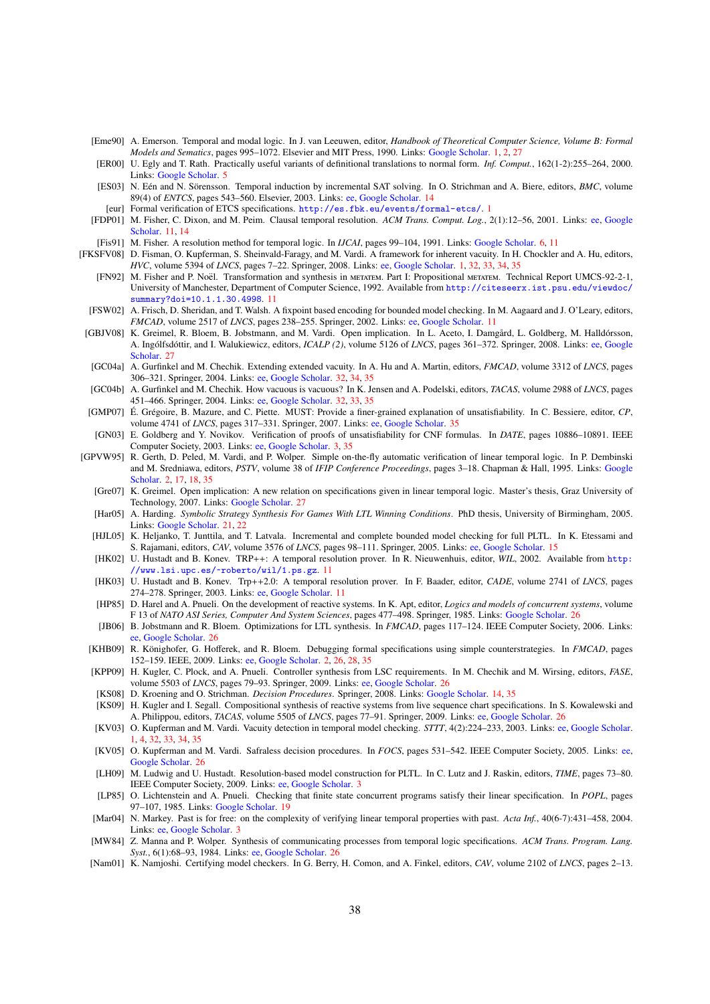- <span id="page-37-0"></span>[Eme90] A. Emerson. Temporal and modal logic. In J. van Leeuwen, editor, *Handbook of Theoretical Computer Science, Volume B: Formal Models and Sematics*, pages 995–1072. Elsevier and MIT Press, 1990. Links: [Google Scholar.](http://scholar.google.com/scholar?q=%22Temporal+and+Modal+Logic%22&hl=en&lr=&btnG=Search) [1,](#page-0-1) [2,](#page-1-1) [27](#page-26-3)
- <span id="page-37-9"></span>[ER00] U. Egly and T. Rath. Practically useful variants of definitional translations to normal form. *Inf. Comput.*, 162(1-2):255–264, 2000. Links: [Google Scholar.](http://scholar.google.com/scholar?q=%22Practically+Useful+Variants+of+Definitional+Translations+to+Normal+Form%22&hl=en&lr=&btnG=Search) [5](#page-4-4)
- <span id="page-37-17"></span>[ES03] N. Eén and N. Sörensson. Temporal induction by incremental SAT solving. In O. Strichman and A. Biere, editors, *BMC*, volume 89(4) of *ENTCS*, pages 543–560. Elsevier, 2003. Links: [ee,](http://dx.doi.org/10.1016/S1571-0661(05)82542-3) [Google Scholar.](http://scholar.google.com/scholar?q=%22Temporal+Induction+by+Incremental+SAT+Solving%22&hl=en&lr=&btnG=Search) [14](#page-13-5)
- <span id="page-37-3"></span>[eur] Formal verification of ETCS specifications. <http://es.fbk.eu/events/formal-etcs/>. [1](#page-0-1)
- <span id="page-37-12"></span>[FDP01] M. Fisher, C. Dixon, and M. Peim. Clausal temporal resolution. *ACM Trans. Comput. Log.*, 2(1):12–56, 2001. Links: [ee,](http://doi.acm.org/10.1145/371282.371311) [Google](http://scholar.google.com/scholar?q=%22Clausal+temporal+resolution%22&hl=en&lr=&btnG=Search) Scholar<sub>11</sub> [14](#page-13-5)
- <span id="page-37-10"></span>[Fis91] M. Fisher. A resolution method for temporal logic. In *IJCAI*, pages 99–104, 1991. Links: [Google Scholar.](http://scholar.google.com/scholar?q=%22A+Resolution+Method+for+Temporal+Logic%22&hl=en&lr=&btnG=Search) [6,](#page-5-3) [11](#page-10-2)
- <span id="page-37-11"></span><span id="page-37-2"></span>[FKSFV08] D. Fisman, O. Kupferman, S. Sheinvald-Faragy, and M. Vardi. A framework for inherent vacuity. In H. Chockler and A. Hu, editors, *HVC*, volume 5394 of *LNCS*, pages 7–22. Springer, 2008. Links: [ee,](http://dx.doi.org/10.1007/978-3-642-01702-5_7) [Google Scholar.](http://scholar.google.com/scholar?q=%22A+Framework+for+Inherent+Vacuity%22&hl=en&lr=&btnG=Search) [1,](#page-0-1) [32,](#page-31-5) [33,](#page-32-0) [34,](#page-33-5) [35](#page-34-1)
	- [FN92] M. Fisher and P. Noël. Transformation and synthesis in METATEM. Part I: Propositional METATEM. Technical Report UMCS-92-2-1, University of Manchester, Department of Computer Science, 1992. Available from [http://citeseerx.ist.psu.edu/viewdoc/](http://citeseerx.ist.psu.edu/viewdoc/summary?doi=10.1.1.30.4998) [summary?doi=10.1.1.30.4998](http://citeseerx.ist.psu.edu/viewdoc/summary?doi=10.1.1.30.4998). [11](#page-10-2)
- <span id="page-37-15"></span>[FSW02] A. Frisch, D. Sheridan, and T. Walsh. A fixpoint based encoding for bounded model checking. In M. Aagaard and J. O'Leary, editors, *FMCAD*, volume 2517 of *LNCS*, pages 238–255. Springer, 2002. Links: [ee,](http://link.springer.de/link/service/series/0558/bibs/2517/25170238.htm) [Google Scholar.](http://scholar.google.com/scholar?q=%22A+Fixpoint+Based+Encoding+for+Bounded+Model+Checking%22&hl=en&lr=&btnG=Search) [11](#page-10-2)
- <span id="page-37-27"></span>[GBJV08] K. Greimel, R. Bloem, B. Jobstmann, and M. Vardi. Open implication. In L. Aceto, I. Damgård, L. Goldberg, M. Halldorsson, ´ A. Ingólfsdóttir, and I. Walukiewicz, editors, *ICALP* (2), volume 5126 of *LNCS*, pages 361–372. Springer, 2008. Links: [ee,](http://dx.doi.org/10.1007/978-3-540-70583-3_30) [Google](http://scholar.google.com/scholar?q=%22Open+Implication%22&hl=en&lr=&btnG=Search) Scholar<sub>.</sub> [27](#page-26-3)
- <span id="page-37-30"></span>[GC04a] A. Gurfinkel and M. Chechik. Extending extended vacuity. In A. Hu and A. Martin, editors, *FMCAD*, volume 3312 of *LNCS*, pages 306–321. Springer, 2004. Links: [ee,](http://springerlink.metapress.com/openurl.asp?genre=article{&}issn=0302-9743{&}volume=3312{&}spage=306) [Google Scholar.](http://scholar.google.com/scholar?q=%22Extending+Extended+Vacuity%22&hl=en&lr=&btnG=Search) [32,](#page-31-5) [34,](#page-33-5) [35](#page-34-1)
- <span id="page-37-29"></span>[GC04b] A. Gurfinkel and M. Chechik. How vacuous is vacuous? In K. Jensen and A. Podelski, editors, *TACAS*, volume 2988 of *LNCS*, pages 451–466. Springer, 2004. Links: [ee,](http://springerlink.metapress.com/openurl.asp?genre=article{&}issn=0302-9743{&}volume=2988{&}spage=451) [Google Scholar.](http://scholar.google.com/scholar?q=%22How+Vacuous+Is+Vacuous?%22&hl=en&lr=&btnG=Search) [32,](#page-31-5) [33,](#page-32-0) [35](#page-34-1)
- <span id="page-37-31"></span>[GMP07] É. Grégoire, B. Mazure, and C. Piette. MUST: Provide a finer-grained explanation of unsatisfiability. In C. Bessiere, editor, CP, volume 4741 of *LNCS*, pages 317–331. Springer, 2007. Links: [ee,](http://dx.doi.org/10.1007/978-3-540-74970-7_24) [Google Scholar.](http://scholar.google.com/scholar?q=%22MUST:+Provide+a+Finer-Grained+Explanation+of+Unsatisfiability%22&hl=en&lr=&btnG=Search) [35](#page-34-1)
- <span id="page-37-8"></span>[GN03] E. Goldberg and Y. Novikov. Verification of proofs of unsatisfiability for CNF formulas. In *DATE*, pages 10886–10891. IEEE Computer Society, 2003. Links: [ee,](http://csdl.computer.org/comp/proceedings/date/2003/1870/01/187010886abs.htm) [Google Scholar.](http://scholar.google.com/scholar?q=%22Verification+of+Proofs+of+Unsatisfiability+for+CNF+Formulas%22&hl=en&lr=&btnG=Search) [3,](#page-2-1) [35](#page-34-1)
- <span id="page-37-32"></span><span id="page-37-28"></span><span id="page-37-26"></span><span id="page-37-25"></span><span id="page-37-24"></span><span id="page-37-23"></span><span id="page-37-22"></span><span id="page-37-21"></span><span id="page-37-20"></span><span id="page-37-19"></span><span id="page-37-18"></span><span id="page-37-16"></span><span id="page-37-14"></span><span id="page-37-13"></span><span id="page-37-7"></span><span id="page-37-6"></span><span id="page-37-5"></span><span id="page-37-4"></span><span id="page-37-1"></span>[GPVW95] R. Gerth, D. Peled, M. Vardi, and P. Wolper. Simple on-the-fly automatic verification of linear temporal logic. In P. Dembinski and M. Sredniawa, editors, *PSTV*, volume 38 of *IFIP Conference Proceedings*, pages 3–18. Chapman & Hall, 1995. Links: [Google](http://scholar.google.com/scholar?q=%22Simple+on-the-fly+automatic+verification+of+linear+temporal+logic%22&hl=en&lr=&btnG=Search) [Scholar.](http://scholar.google.com/scholar?q=%22Simple+on-the-fly+automatic+verification+of+linear+temporal+logic%22&hl=en&lr=&btnG=Search) [2,](#page-1-1) [17,](#page-16-1) [18,](#page-17-1) [35](#page-34-1)
	- [Gre07] K. Greimel. Open implication: A new relation on specifications given in linear temporal logic. Master's thesis, Graz University of Technology, 2007. Links: [Google Scholar.](http://scholar.google.com/scholar?q=%22Open+Implication:+A+New+Relation+on+Specifications+Given+in+Linear+Temporal+Logic%22&hl=en&lr=&btnG=Search) [27](#page-26-3)
	- [Har05] A. Harding. *Symbolic Strategy Synthesis For Games With LTL Winning Conditions*. PhD thesis, University of Birmingham, 2005. Links: [Google Scholar.](http://scholar.google.com/scholar?q=%22Symbolic+Strategy+Synthesis+For+Games+With+LTL+Winning+Conditions%22&hl=en&lr=&btnG=Search) [21,](#page-20-2) [22](#page-21-1)
	- [HJL05] K. Heljanko, T. Junttila, and T. Latvala. Incremental and complete bounded model checking for full PLTL. In K. Etessami and S. Rajamani, editors, *CAV*, volume 3576 of *LNCS*, pages 98–111. Springer, 2005. Links: [ee,](http://dx.doi.org/10.1007/11513988_10) [Google Scholar.](http://scholar.google.com/scholar?q=%22Incremental+and+Complete+Bounded+Model+Checking+for+Full+PLTL%22&hl=en&lr=&btnG=Search) [15](#page-14-1)
	- [HK02] U. Hustadt and B. Konev. TRP++: A temporal resolution prover. In R. Nieuwenhuis, editor, *WIL*, 2002. Available from [http:](http://www.lsi.upc.es/~roberto/wil/1.ps.gz) [//www.lsi.upc.es/~roberto/wil/1.ps.gz](http://www.lsi.upc.es/~roberto/wil/1.ps.gz). [11](#page-10-2)
	- [HK03] U. Hustadt and B. Konev. Trp++2.0: A temporal resolution prover. In F. Baader, editor, *CADE*, volume 2741 of *LNCS*, pages 274–278. Springer, 2003. Links: [ee,](http://springerlink.metapress.com/openurl.asp?genre=article{&}issn=0302-9743{&}volume=2741{&}spage=274) [Google Scholar.](http://scholar.google.com/scholar?q=%22TRP++2.0:+A+Temporal+Resolution+Prover%22&hl=en&lr=&btnG=Search) [11](#page-10-2)
	- [HP85] D. Harel and A. Pnueli. On the development of reactive systems. In K. Apt, editor, *Logics and models of concurrent systems*, volume F 13 of *NATO ASI Series, Computer And System Sciences*, pages 477–498. Springer, 1985. Links: [Google Scholar.](http://scholar.google.com/scholar?q=%22On+the+Development+of+Reactive+Systems%22&hl=en&lr=&btnG=Search) [26](#page-25-2)
	- [JB06] B. Jobstmann and R. Bloem. Optimizations for LTL synthesis. In *FMCAD*, pages 117-124. IEEE Computer Society, 2006. Links: [ee,](http://doi.ieeecomputersociety.org/10.1109/FMCAD.2006.22) [Google Scholar.](http://scholar.google.com/scholar?q=%22Optimizations+for+LTL+Synthesis%22&hl=en&lr=&btnG=Search) [26](#page-25-2)
	- [KHB09] R. Könighofer, G. Hofferek, and R. Bloem. Debugging formal specifications using simple counterstrategies. In *FMCAD*, pages 152–159. IEEE, 2009. Links: [ee,](http://dx.doi.org/10.1109/FMCAD.2009.5351127) [Google Scholar.](http://scholar.google.com/scholar?q=%22Debugging+formal+specifications+using+simple+counterstrategies%22&hl=en&lr=&btnG=Search) [2,](#page-1-1) [26,](#page-25-2) [28,](#page-27-1) [35](#page-34-1)
	- [KPP09] H. Kugler, C. Plock, and A. Pnueli. Controller synthesis from LSC requirements. In M. Chechik and M. Wirsing, editors, *FASE*, volume 5503 of *LNCS*, pages 79–93. Springer, 2009. Links: [ee,](http://dx.doi.org/10.1007/978-3-642-00593-0_6) [Google Scholar.](http://scholar.google.com/scholar?q=%22Controller+Synthesis+from+LSC+Requirements%22&hl=en&lr=&btnG=Search) [26](#page-25-2)
	- [KS08] D. Kroening and O. Strichman. *Decision Procedures*. Springer, 2008. Links: [Google Scholar.](http://scholar.google.com/scholar?q=%22Decision+Procedures%22&hl=en&lr=&btnG=Search) [14,](#page-13-5) [35](#page-34-1)
	- [KS09] H. Kugler and I. Segall. Compositional synthesis of reactive systems from live sequence chart specifications. In S. Kowalewski and A. Philippou, editors, *TACAS*, volume 5505 of *LNCS*, pages 77–91. Springer, 2009. Links: [ee,](http://dx.doi.org/10.1007/978-3-642-00768-2_9) [Google Scholar.](http://scholar.google.com/scholar?q=%22Compositional+Synthesis+of+Reactive+Systems+from+Live+Sequence+Chart+Specifications%22&hl=en&lr=&btnG=Search) [26](#page-25-2)
	- [KV03] O. Kupferman and M. Vardi. Vacuity detection in temporal model checking. *STTT*, 4(2):224–233, 2003. Links: [ee,](http://dx.doi.org/10.1007/s100090100062) [Google Scholar.](http://scholar.google.com/scholar?q=%22Vacuity+detection+in+temporal+model+checking%22&hl=en&lr=&btnG=Search) [1,](#page-0-1) [4,](#page-3-5) [32,](#page-31-5) [33,](#page-32-0) [34,](#page-33-5) [35](#page-34-1)
	- [KV05] O. Kupferman and M. Vardi. Safraless decision procedures. In *FOCS*, pages 531–542. IEEE Computer Society, 2005. Links: [ee,](http://doi.ieeecomputersociety.org/10.1109/SFCS.2005.66) [Google Scholar.](http://scholar.google.com/scholar?q=%22Safraless+Decision+Procedures%22&hl=en&lr=&btnG=Search) [26](#page-25-2)
	- [LH09] M. Ludwig and U. Hustadt. Resolution-based model construction for PLTL. In C. Lutz and J. Raskin, editors, *TIME*, pages 73–80. IEEE Computer Society, 2009. Links: [ee,](http://doi.ieeecomputersociety.org/10.1109/TIME.2009.11) [Google Scholar.](http://scholar.google.com/scholar?q=%22Resolution-Based+Model+Construction+for+PLTL%22&hl=en&lr=&btnG=Search) [3](#page-2-1)
	- [LP85] O. Lichtenstein and A. Pnueli. Checking that finite state concurrent programs satisfy their linear specification. In *POPL*, pages 97–107, 1985. Links: [Google Scholar.](http://scholar.google.com/scholar?q=%22Checking+That+Finite+State+Concurrent+Programs+Satisfy+Their+Linear+Specification%22&hl=en&lr=&btnG=Search) [19](#page-18-2)
	- [Mar04] N. Markey. Past is for free: on the complexity of verifying linear temporal properties with past. *Acta Inf.*, 40(6-7):431–458, 2004. Links: [ee,](http://dx.doi.org/10.1007/s00236-003-0136-5) [Google Scholar.](http://scholar.google.com/scholar?q=%22Past+is+for+free:+on+the+complexity+of+verifying+linear+temporal+properties+with+past%22&hl=en&lr=&btnG=Search) [3](#page-2-1)
	- [MW84] Z. Manna and P. Wolper. Synthesis of communicating processes from temporal logic specifications. *ACM Trans. Program. Lang. Syst.*, 6(1):68–93, 1984. Links: [ee,](http://doi.acm.org/10.1145/357233.357237) [Google Scholar.](http://scholar.google.com/scholar?q=%22Synthesis+of+Communicating+Processes+from+Temporal+Logic+Specifications%22&hl=en&lr=&btnG=Search) [26](#page-25-2)
	- [Nam01] K. Namjoshi. Certifying model checkers. In G. Berry, H. Comon, and A. Finkel, editors, *CAV*, volume 2102 of *LNCS*, pages 2–13.